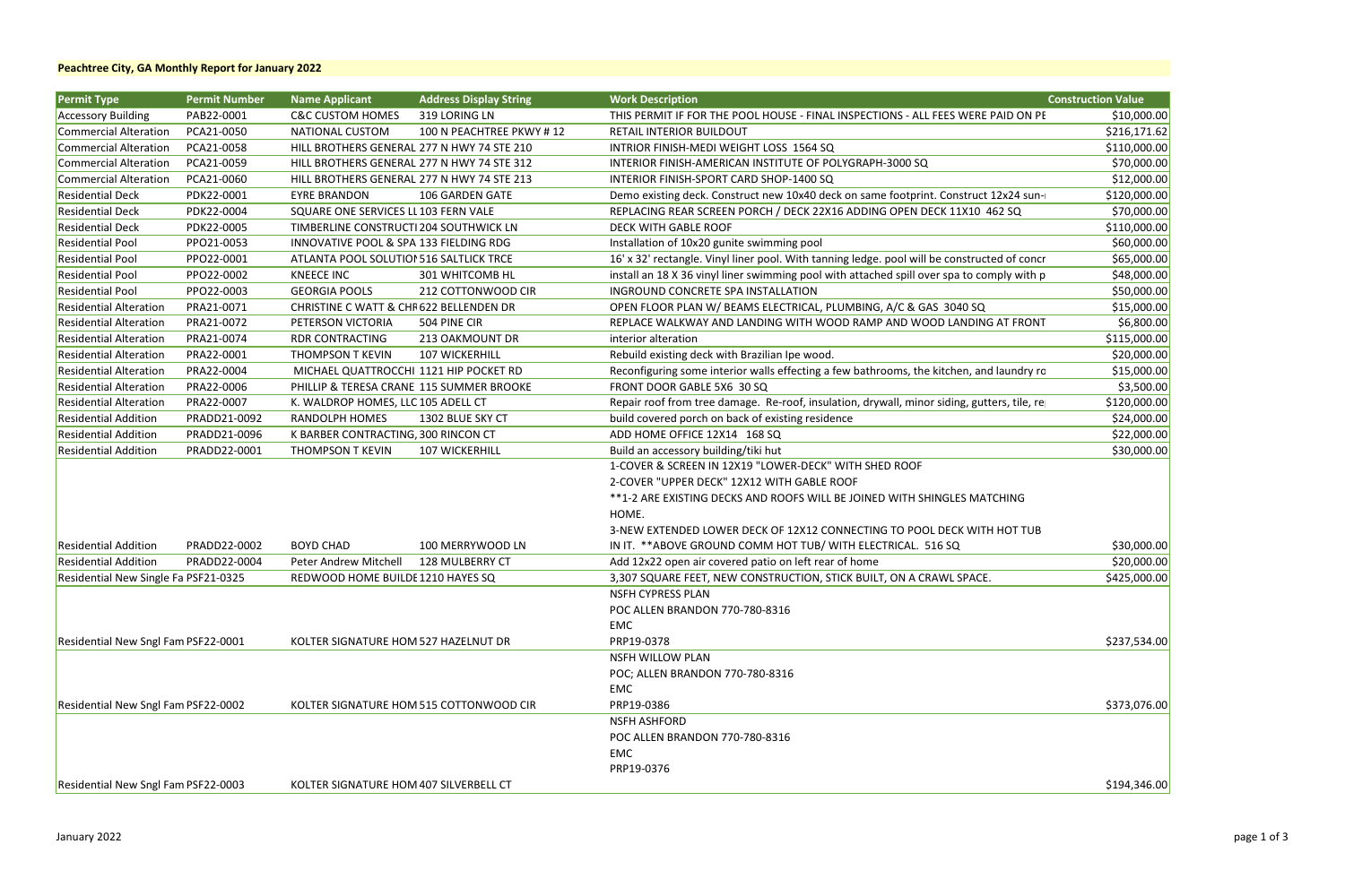| <b>Permit Type</b>                   | <b>Permit Number</b> | <b>Name Applicant</b>                      | <b>Address Display String</b>              | <b>Work Description</b>                                                                      | <b>Construction Value</b> |
|--------------------------------------|----------------------|--------------------------------------------|--------------------------------------------|----------------------------------------------------------------------------------------------|---------------------------|
| <b>Accessory Building</b>            | PAB22-0001           | <b>C&amp;C CUSTOM HOMES</b>                | 319 LORING LN                              | THIS PERMIT IF FOR THE POOL HOUSE - FINAL INSPECTIONS - ALL FEES WERE PAID ON PE             | \$10,000.00               |
| Commercial Alteration                | PCA21-0050           | NATIONAL CUSTOM                            | 100 N PEACHTREE PKWY #12                   | <b>RETAIL INTERIOR BUILDOUT</b>                                                              | \$216,171.62              |
| <b>Commercial Alteration</b>         | PCA21-0058           | HILL BROTHERS GENERAL 277 N HWY 74 STE 210 |                                            | INTRIOR FINISH-MEDI WEIGHT LOSS 1564 SQ                                                      | \$110,000.00              |
| Commercial Alteration                | PCA21-0059           | HILL BROTHERS GENERAL 277 N HWY 74 STE 312 |                                            | INTERIOR FINISH-AMERICAN INSTITUTE OF POLYGRAPH-3000 SQ                                      | \$70,000.00               |
| Commercial Alteration                | PCA21-0060           |                                            | HILL BROTHERS GENERAL 277 N HWY 74 STE 213 | INTERIOR FINISH-SPORT CARD SHOP-1400 SQ                                                      | \$12,000.00               |
| <b>Residential Deck</b>              | PDK22-0001           | <b>EYRE BRANDON</b>                        | 106 GARDEN GATE                            | Demo existing deck. Construct new 10x40 deck on same footprint. Construct 12x24 sun-         | \$120,000.00              |
| <b>Residential Deck</b>              | PDK22-0004           | SQUARE ONE SERVICES LL 103 FERN VALE       |                                            | REPLACING REAR SCREEN PORCH / DECK 22X16 ADDING OPEN DECK 11X10 462 SQ                       | \$70,000.00               |
| <b>Residential Deck</b>              | PDK22-0005           | TIMBERLINE CONSTRUCTI 204 SOUTHWICK LN     |                                            | <b>DECK WITH GABLE ROOF</b>                                                                  | \$110,000.00              |
| <b>Residential Pool</b>              | PPO21-0053           | INNOVATIVE POOL & SPA 133 FIELDING RDG     |                                            | Installation of 10x20 gunite swimming pool                                                   | \$60,000.00               |
| <b>Residential Pool</b>              | PPO22-0001           | ATLANTA POOL SOLUTION 516 SALTLICK TRCE    |                                            | 16' x 32' rectangle. Vinyl liner pool. With tanning ledge. pool will be constructed of concr | \$65,000.00               |
| <b>Residential Pool</b>              | PPO22-0002           | KNEECE INC                                 | 301 WHITCOMB HL                            | install an 18 X 36 vinyl liner swimming pool with attached spill over spa to comply with p   | \$48,000.00               |
| <b>Residential Pool</b>              | PPO22-0003           | <b>GEORGIA POOLS</b>                       | 212 COTTONWOOD CIR                         | INGROUND CONCRETE SPA INSTALLATION                                                           | \$50,000.00               |
| <b>Residential Alteration</b>        | PRA21-0071           | CHRISTINE C WATT & CHR622 BELLENDEN DR     |                                            | OPEN FLOOR PLAN W/ BEAMS ELECTRICAL, PLUMBING, A/C & GAS 3040 SQ                             | \$15,000.00               |
| <b>Residential Alteration</b>        | PRA21-0072           | PETERSON VICTORIA                          | 504 PINE CIR                               | REPLACE WALKWAY AND LANDING WITH WOOD RAMP AND WOOD LANDING AT FRONT                         | \$6,800.00                |
| <b>Residential Alteration</b>        | PRA21-0074           | <b>RDR CONTRACTING</b>                     | 213 OAKMOUNT DR                            | interior alteration                                                                          | \$115,000.00              |
| <b>Residential Alteration</b>        | PRA22-0001           | THOMPSON T KEVIN                           | <b>107 WICKERHILL</b>                      | Rebuild existing deck with Brazilian Ipe wood.                                               | \$20,000.00               |
| <b>Residential Alteration</b>        | PRA22-0004           | MICHAEL QUATTROCCHI 1121 HIP POCKET RD     |                                            | Reconfiguring some interior walls effecting a few bathrooms, the kitchen, and laundry ro     | \$15,000.00               |
| <b>Residential Alteration</b>        | PRA22-0006           | PHILLIP & TERESA CRANE 115 SUMMER BROOKE   |                                            | FRONT DOOR GABLE 5X6 30 SQ                                                                   | \$3,500.00                |
| <b>Residential Alteration</b>        | PRA22-0007           | K. WALDROP HOMES, LLC 105 ADELL CT         |                                            | Repair roof from tree damage. Re-roof, insulation, drywall, minor siding, gutters, tile, re  | \$120,000.00              |
| <b>Residential Addition</b>          | PRADD21-0092         | RANDOLPH HOMES                             | 1302 BLUE SKY CT                           | build covered porch on back of existing residence                                            | \$24,000.00               |
| <b>Residential Addition</b>          | PRADD21-0096         | K BARBER CONTRACTING, 300 RINCON CT        |                                            | ADD HOME OFFICE 12X14 168 SQ                                                                 | \$22,000.00               |
| <b>Residential Addition</b>          | PRADD22-0001         | THOMPSON T KEVIN                           | <b>107 WICKERHILL</b>                      | Build an accessory building/tiki hut                                                         | \$30,000.00               |
|                                      |                      |                                            |                                            | 1-COVER & SCREEN IN 12X19 "LOWER-DECK" WITH SHED ROOF                                        |                           |
|                                      |                      |                                            |                                            | 2-COVER "UPPER DECK" 12X12 WITH GABLE ROOF                                                   |                           |
|                                      |                      |                                            |                                            | **1-2 ARE EXISTING DECKS AND ROOFS WILL BE JOINED WITH SHINGLES MATCHING                     |                           |
|                                      |                      |                                            |                                            | HOME.                                                                                        |                           |
|                                      |                      |                                            |                                            | 3-NEW EXTENDED LOWER DECK OF 12X12 CONNECTING TO POOL DECK WITH HOT TUB                      |                           |
| <b>Residential Addition</b>          | PRADD22-0002         | <b>BOYD CHAD</b>                           | 100 MERRYWOOD LN                           | IN IT. ** ABOVE GROUND COMM HOT TUB/ WITH ELECTRICAL. 516 SQ                                 | \$30,000.00               |
| <b>Residential Addition</b>          | PRADD22-0004         | Peter Andrew Mitchell                      | 128 MULBERRY CT                            | Add 12x22 open air covered patio on left rear of home                                        | \$20,000.00               |
| Residential New Single Fa PSF21-0325 |                      | REDWOOD HOME BUILDE 1210 HAYES SQ          |                                            | 3,307 SQUARE FEET, NEW CONSTRUCTION, STICK BUILT, ON A CRAWL SPACE.                          | \$425,000.00              |
|                                      |                      |                                            |                                            | <b>NSFH CYPRESS PLAN</b>                                                                     |                           |
|                                      |                      |                                            |                                            | POC ALLEN BRANDON 770-780-8316                                                               |                           |
|                                      |                      |                                            |                                            | EMC                                                                                          |                           |
| Residential New Sngl Fam PSF22-0001  |                      | KOLTER SIGNATURE HOM 527 HAZELNUT DR       |                                            | PRP19-0378                                                                                   | \$237,534.00              |
|                                      |                      |                                            |                                            | <b>NSFH WILLOW PLAN</b>                                                                      |                           |
|                                      |                      |                                            |                                            | POC; ALLEN BRANDON 770-780-8316                                                              |                           |
|                                      |                      |                                            |                                            | <b>EMC</b>                                                                                   |                           |
| Residential New Sngl Fam PSF22-0002  |                      |                                            | KOLTER SIGNATURE HOM 515 COTTONWOOD CIR    | PRP19-0386                                                                                   | \$373,076.00              |
|                                      |                      |                                            |                                            | <b>NSFH ASHFORD</b>                                                                          |                           |
|                                      |                      |                                            |                                            | POC ALLEN BRANDON 770-780-8316                                                               |                           |
|                                      |                      |                                            |                                            | EMC                                                                                          |                           |
|                                      |                      |                                            |                                            | PRP19-0376                                                                                   |                           |
| Residential New Sngl Fam PSF22-0003  |                      | KOLTER SIGNATURE HOM 407 SILVERBELL CT     |                                            |                                                                                              | \$194,346.00              |
|                                      |                      |                                            |                                            |                                                                                              |                           |

#### **Peachtree City, GA Monthly Report for January 2022**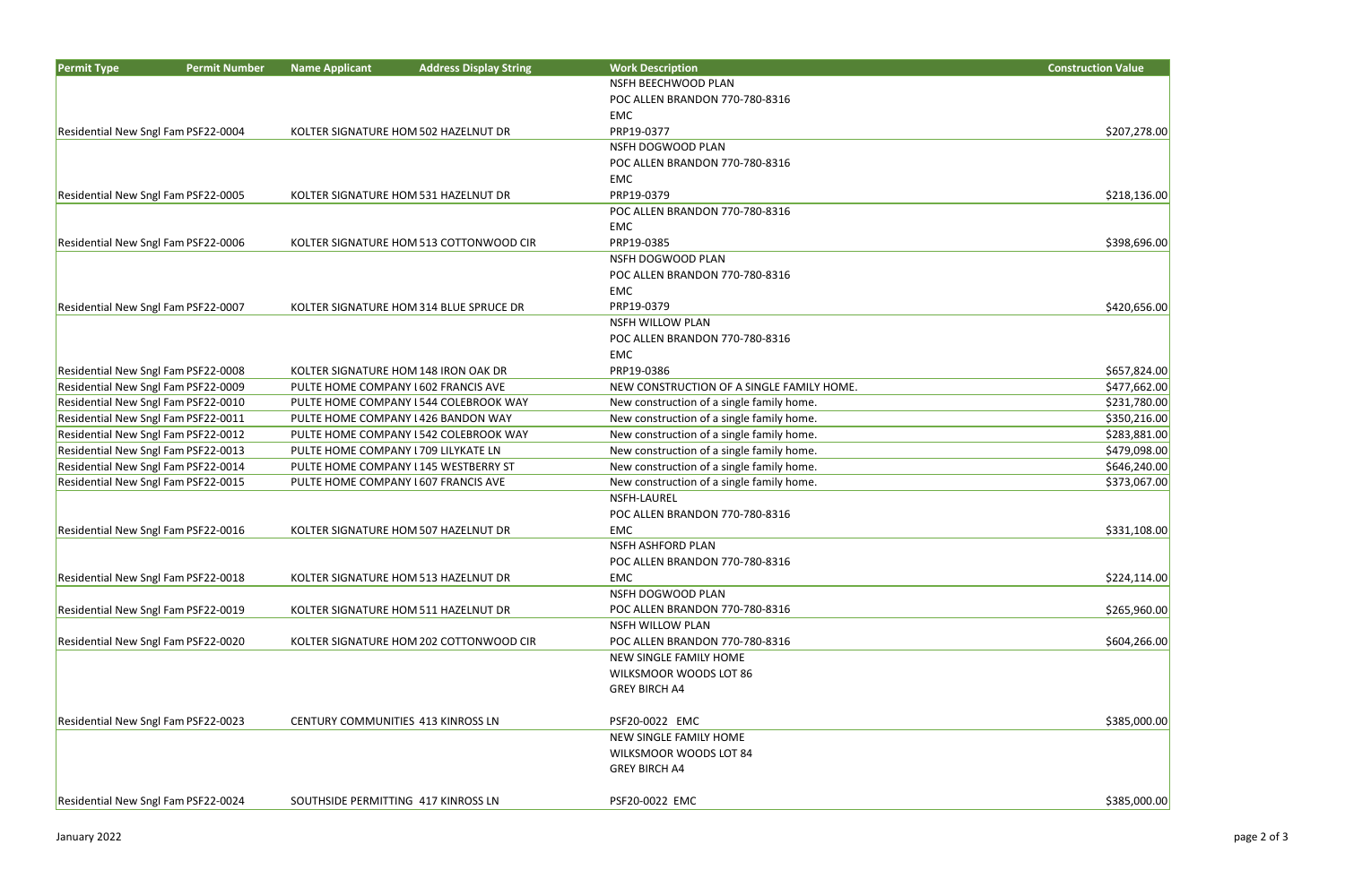| <b>Permit Type</b>                  | <b>Permit Number</b> | <b>Name Applicant</b> | <b>Address Display String</b>           | <b>Work Description</b>                   | <b>Construction Value</b> |
|-------------------------------------|----------------------|-----------------------|-----------------------------------------|-------------------------------------------|---------------------------|
|                                     |                      |                       |                                         | NSFH BEECHWOOD PLAN                       |                           |
|                                     |                      |                       |                                         | POC ALLEN BRANDON 770-780-8316            |                           |
|                                     |                      |                       |                                         | EMC                                       |                           |
| Residential New Sngl Fam PSF22-0004 |                      |                       | KOLTER SIGNATURE HOM 502 HAZELNUT DR    | PRP19-0377                                | \$207,278.00              |
|                                     |                      |                       |                                         | NSFH DOGWOOD PLAN                         |                           |
|                                     |                      |                       |                                         | POC ALLEN BRANDON 770-780-8316            |                           |
|                                     |                      |                       |                                         | EMC                                       |                           |
| Residential New Sngl Fam PSF22-0005 |                      |                       | KOLTER SIGNATURE HOM 531 HAZELNUT DR    | PRP19-0379                                | \$218,136.00              |
|                                     |                      |                       |                                         | POC ALLEN BRANDON 770-780-8316            |                           |
|                                     |                      |                       |                                         | EMC                                       |                           |
| Residential New Sngl Fam PSF22-0006 |                      |                       | KOLTER SIGNATURE HOM 513 COTTONWOOD CIR | PRP19-0385                                | \$398,696.00              |
|                                     |                      |                       |                                         | NSFH DOGWOOD PLAN                         |                           |
|                                     |                      |                       |                                         | POC ALLEN BRANDON 770-780-8316            |                           |
|                                     |                      |                       |                                         | EMC                                       |                           |
| Residential New Sngl Fam PSF22-0007 |                      |                       | KOLTER SIGNATURE HOM 314 BLUE SPRUCE DR | PRP19-0379                                | \$420,656.00              |
|                                     |                      |                       |                                         | <b>NSFH WILLOW PLAN</b>                   |                           |
|                                     |                      |                       |                                         | POC ALLEN BRANDON 770-780-8316            |                           |
|                                     |                      |                       |                                         | EMC                                       |                           |
| Residential New Sngl Fam PSF22-0008 |                      |                       | KOLTER SIGNATURE HOM 148 IRON OAK DR    | PRP19-0386                                | \$657,824.00              |
| Residential New Sngl Fam PSF22-0009 |                      |                       | PULTE HOME COMPANY 1602 FRANCIS AVE     | NEW CONSTRUCTION OF A SINGLE FAMILY HOME. | \$477,662.00              |
| Residential New Sngl Fam PSF22-0010 |                      |                       | PULTE HOME COMPANY I 544 COLEBROOK WAY  | New construction of a single family home. | \$231,780.00              |
| Residential New Sngl Fam PSF22-0011 |                      |                       | PULTE HOME COMPANY 1426 BANDON WAY      | New construction of a single family home. | \$350,216.00              |
| Residential New Sngl Fam PSF22-0012 |                      |                       | PULTE HOME COMPANY I 542 COLEBROOK WAY  | New construction of a single family home. | \$283,881.00              |
| Residential New Sngl Fam PSF22-0013 |                      |                       | PULTE HOME COMPANY 1709 LILYKATE LN     | New construction of a single family home. | \$479,098.00              |
| Residential New Sngl Fam PSF22-0014 |                      |                       | PULTE HOME COMPANY I 145 WESTBERRY ST   | New construction of a single family home. | \$646,240.00              |
| Residential New Sngl Fam PSF22-0015 |                      |                       | PULTE HOME COMPANY 1607 FRANCIS AVE     | New construction of a single family home. | \$373,067.00              |
|                                     |                      |                       |                                         | NSFH-LAUREL                               |                           |
|                                     |                      |                       |                                         | POC ALLEN BRANDON 770-780-8316            |                           |
| Residential New Sngl Fam PSF22-0016 |                      |                       | KOLTER SIGNATURE HOM 507 HAZELNUT DR    | EMC                                       | \$331,108.00              |
|                                     |                      |                       |                                         | <b>NSFH ASHFORD PLAN</b>                  |                           |
|                                     |                      |                       |                                         | POC ALLEN BRANDON 770-780-8316            |                           |
| Residential New Sngl Fam PSF22-0018 |                      |                       | KOLTER SIGNATURE HOM 513 HAZELNUT DR    | EMC                                       | \$224,114.00              |
|                                     |                      |                       |                                         | NSFH DOGWOOD PLAN                         |                           |
| Residential New Sngl Fam PSF22-0019 |                      |                       | KOLTER SIGNATURE HOM 511 HAZELNUT DR    | POC ALLEN BRANDON 770-780-8316            | \$265,960.00              |
|                                     |                      |                       |                                         | <b>NSFH WILLOW PLAN</b>                   |                           |
| Residential New Sngl Fam PSF22-0020 |                      |                       | KOLTER SIGNATURE HOM 202 COTTONWOOD CIR | POC ALLEN BRANDON 770-780-8316            | \$604,266.00              |
|                                     |                      |                       |                                         | NEW SINGLE FAMILY HOME                    |                           |
|                                     |                      |                       |                                         | WILKSMOOR WOODS LOT 86                    |                           |
|                                     |                      |                       |                                         | <b>GREY BIRCH A4</b>                      |                           |
|                                     |                      |                       |                                         |                                           |                           |
| Residential New Sngl Fam PSF22-0023 |                      |                       | CENTURY COMMUNITIES 413 KINROSS LN      | PSF20-0022 EMC                            | \$385,000.00              |
|                                     |                      |                       |                                         | NEW SINGLE FAMILY HOME                    |                           |
|                                     |                      |                       |                                         | WILKSMOOR WOODS LOT 84                    |                           |
|                                     |                      |                       |                                         | <b>GREY BIRCH A4</b>                      |                           |
|                                     |                      |                       |                                         |                                           |                           |
| Residential New Sngl Fam PSF22-0024 |                      |                       | SOUTHSIDE PERMITTING 417 KINROSS LN     | PSF20-0022 EMC                            | \$385,000.00              |

| <b>Construction Value</b>    |  |
|------------------------------|--|
|                              |  |
|                              |  |
| \$207,278.00                 |  |
|                              |  |
|                              |  |
|                              |  |
| \$218,136.00                 |  |
|                              |  |
| \$398,696.00                 |  |
|                              |  |
|                              |  |
|                              |  |
| \$420,656.00                 |  |
|                              |  |
|                              |  |
| \$657,824.00                 |  |
| \$477,662.00                 |  |
| \$231,780.00                 |  |
| \$350,216.00                 |  |
| \$283,881.00<br>\$479,098.00 |  |
| \$646,240.00                 |  |
| \$373,067.00                 |  |
|                              |  |
|                              |  |
| \$331,108.00                 |  |
|                              |  |
| \$224,114.00                 |  |
|                              |  |
| \$265,960.00                 |  |
|                              |  |
| \$604,266.00                 |  |
|                              |  |
|                              |  |
|                              |  |
| \$385,000.00                 |  |
|                              |  |
|                              |  |
|                              |  |

 $$385,000.00$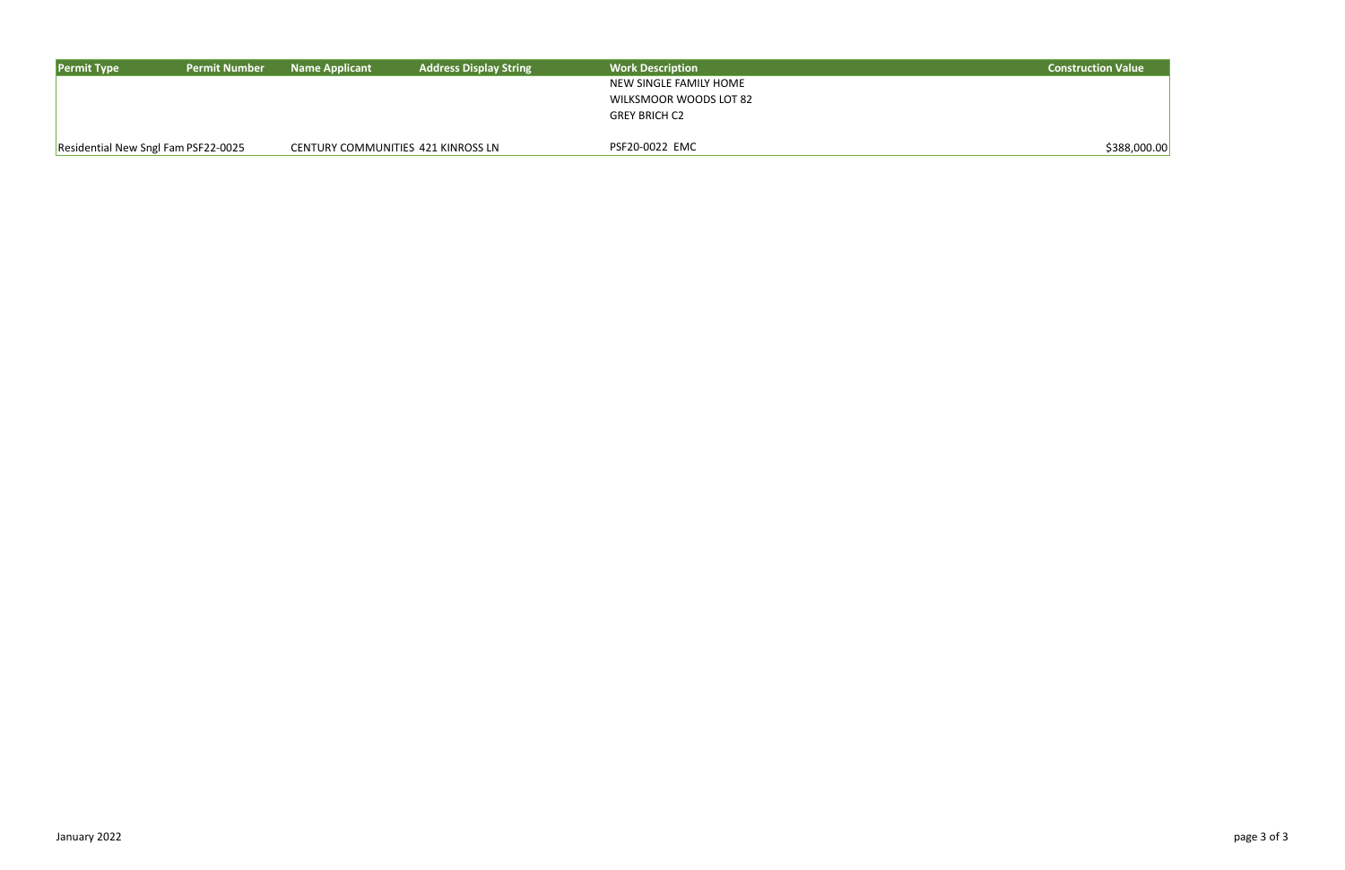| <b>Permit Type</b>                  | <b>Permit Number</b> | <b>Name Applicant</b> | <b>Address Display String</b>      | <b>Work Description</b> | <b>Construction Value</b> |
|-------------------------------------|----------------------|-----------------------|------------------------------------|-------------------------|---------------------------|
|                                     |                      |                       |                                    | NEW SINGLE FAMILY HOME  |                           |
|                                     |                      |                       |                                    | WILKSMOOR WOODS LOT 82  |                           |
|                                     |                      |                       |                                    | <b>GREY BRICH C2</b>    |                           |
| Residential New Sngl Fam PSF22-0025 |                      |                       | CENTURY COMMUNITIES 421 KINROSS LN | PSF20-0022 EMC          | \$388,00                  |

| <b>Construction Value</b> |  |
|---------------------------|--|
|                           |  |

 $$388,000.00$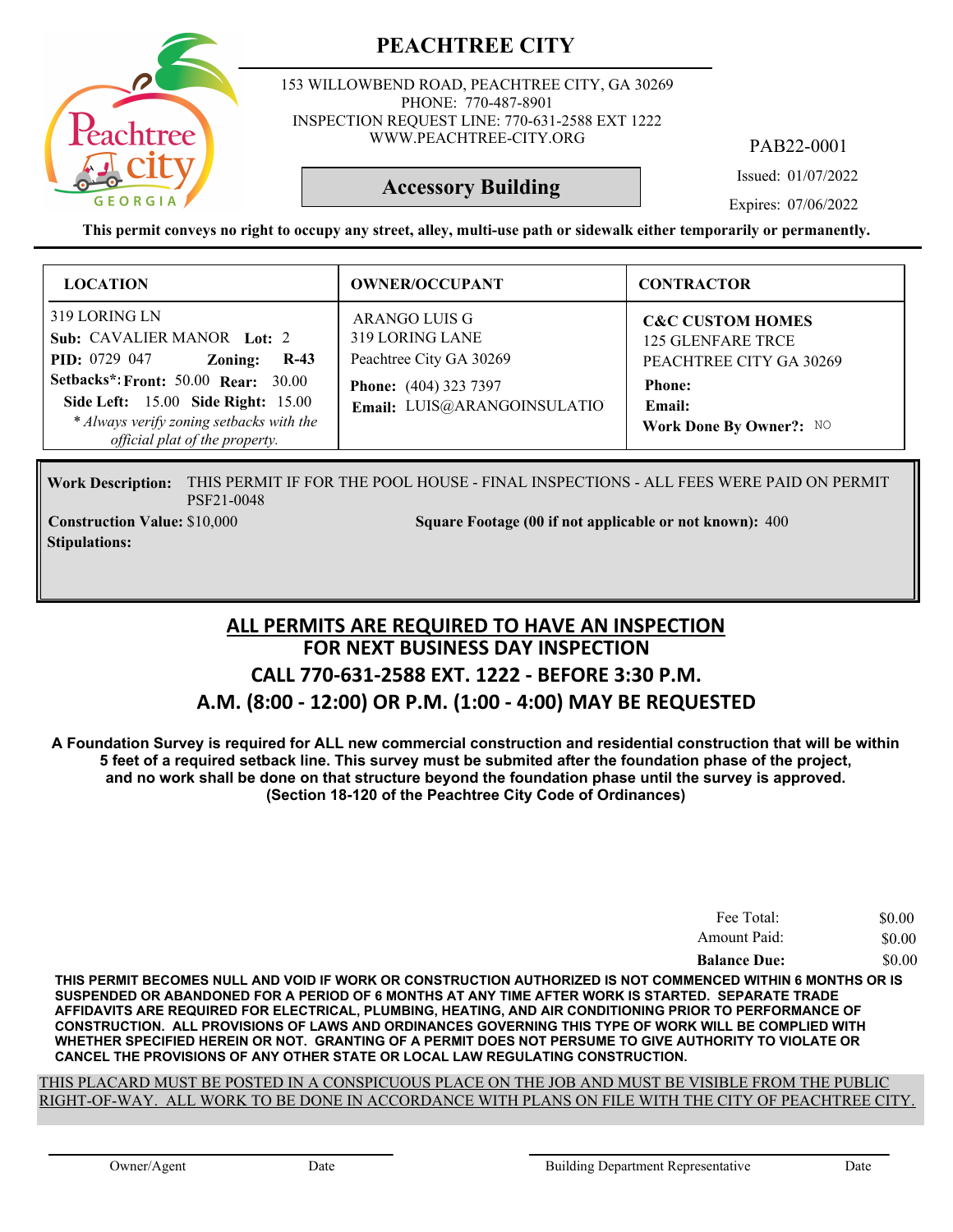

153 WILLOWBEND ROAD, PEACHTREE CITY, GA 30269 PHONE: 770-487-8901 INSPECTION REQUEST LINE: 770-631-2588 EXT 1222 WWW.PEACHTREE-CITY.ORG

PAB22-0001

Issued: 01/07/2022

Expires: 07/06/2022

**This permit conveys no right to occupy any street, alley, multi-use path or sidewalk either temporarily or permanently.**

**Accessory Building**

| <b>LOCATION</b>                                                                                                                                                                                                                                            | <b>OWNER/OCCUPANT</b>                                                                                                      | <b>CONTRACTOR</b>                                                                                                                        |
|------------------------------------------------------------------------------------------------------------------------------------------------------------------------------------------------------------------------------------------------------------|----------------------------------------------------------------------------------------------------------------------------|------------------------------------------------------------------------------------------------------------------------------------------|
| 319 LORING LN<br>Sub: CAVALIER MANOR Lot: 2<br><b>PID:</b> 0729 047<br>$R-43$<br>Zoning:<br><b>Setbacks*: Front: 50.00 Rear: 30.00</b><br>Side Left: 15.00 Side Right: 15.00<br>* Always verify zoning setbacks with the<br>official plat of the property. | ARANGO LUIS G<br>319 LORING LANE<br>Peachtree City GA 30269<br><b>Phone:</b> (404) 323 7397<br>Email: LUIS@ARANGOINSULATIO | <b>C&amp;C CUSTOM HOMES</b><br><b>125 GLENFARE TRCE</b><br>PEACHTREE CITY GA 30269<br><b>Phone:</b><br>Email:<br>Work Done By Owner?: NO |

Work Description: THIS PERMIT IF FOR THE POOL HOUSE - FINAL INSPECTIONS - ALL FEES WERE PAID ON PERMIT PSF21-0048 **Construction Value: Square Footage (00 if not applicable or not known):** \$10,000 400

**Stipulations:**

#### **FOR NEXT BUSINESS DAY INSPECTION CALL 770-631-2588 EXT. 1222 - BEFORE 3:30 P.M. A.M. (8:00 - 12:00) OR P.M. (1:00 - 4:00) MAY BE REQUESTED ALL PERMITS ARE REQUIRED TO HAVE AN INSPECTION**

**A Foundation Survey is required for ALL new commercial construction and residential construction that will be within 5 feet of a required setback line. This survey must be submited after the foundation phase of the project, and no work shall be done on that structure beyond the foundation phase until the survey is approved. (Section 18-120 of the Peachtree City Code of Ordinances)**

| Fee Total:          | \$0.00 |
|---------------------|--------|
| Amount Paid:        | \$0.00 |
| <b>Balance Due:</b> | \$0.00 |

**THIS PERMIT BECOMES NULL AND VOID IF WORK OR CONSTRUCTION AUTHORIZED IS NOT COMMENCED WITHIN 6 MONTHS OR IS SUSPENDED OR ABANDONED FOR A PERIOD OF 6 MONTHS AT ANY TIME AFTER WORK IS STARTED. SEPARATE TRADE AFFIDAVITS ARE REQUIRED FOR ELECTRICAL, PLUMBING, HEATING, AND AIR CONDITIONING PRIOR TO PERFORMANCE OF CONSTRUCTION. ALL PROVISIONS OF LAWS AND ORDINANCES GOVERNING THIS TYPE OF WORK WILL BE COMPLIED WITH WHETHER SPECIFIED HEREIN OR NOT. GRANTING OF A PERMIT DOES NOT PERSUME TO GIVE AUTHORITY TO VIOLATE OR CANCEL THE PROVISIONS OF ANY OTHER STATE OR LOCAL LAW REGULATING CONSTRUCTION.**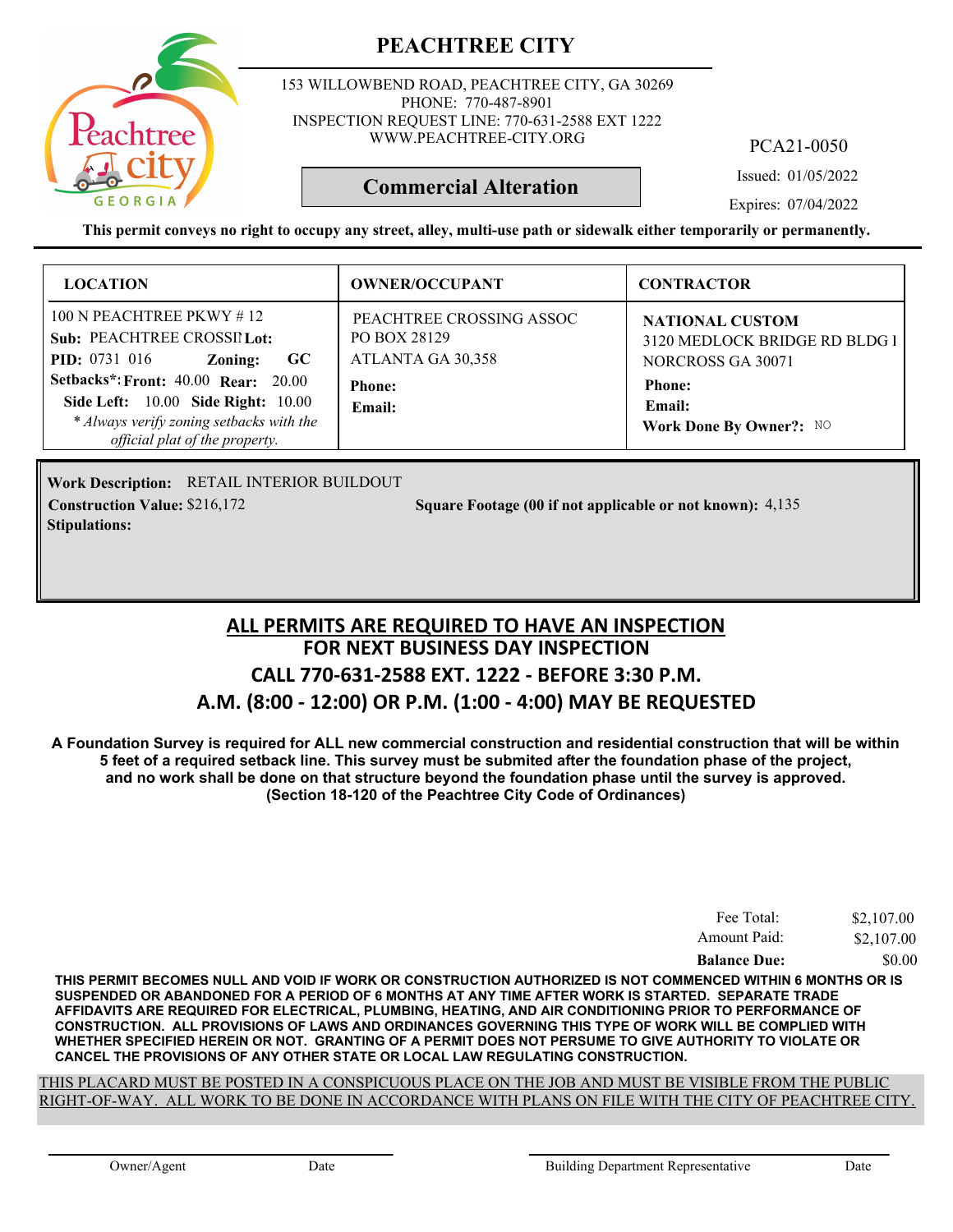

153 WILLOWBEND ROAD, PEACHTREE CITY, GA 30269 PHONE: 770-487-8901 INSPECTION REQUEST LINE: 770-631-2588 EXT 1222 WWW.PEACHTREE-CITY.ORG

PCA21-0050

Issued: 01/05/2022

Expires: 07/04/2022

**This permit conveys no right to occupy any street, alley, multi-use path or sidewalk either temporarily or permanently.**

**Commercial Alteration**

| <b>LOCATION</b>                                                                                                                                                                                                                                                     | <b>OWNER/OCCUPANT</b>                                                                    | <b>CONTRACTOR</b>                                                                                                                  |
|---------------------------------------------------------------------------------------------------------------------------------------------------------------------------------------------------------------------------------------------------------------------|------------------------------------------------------------------------------------------|------------------------------------------------------------------------------------------------------------------------------------|
| 100 N PEACHTREE PKWY $\#$ 12<br>Sub: PEACHTREE CROSSIL Lot:<br><b>PID:</b> $0731$ 016<br>- GC<br>Zoning:<br>Setbacks*: Front: 40.00 Rear: 20.00<br>Side Left: 10.00 Side Right: 10.00<br>* Always verify zoning setbacks with the<br>official plat of the property. | PEACHTREE CROSSING ASSOC<br>PO BOX 28129<br>ATLANTA GA 30,358<br><b>Phone:</b><br>Email: | <b>NATIONAL CUSTOM</b><br>3120 MEDLOCK BRIDGE RD BLDG I<br>NORCROSS GA 30071<br><b>Phone:</b><br>Email:<br>Work Done By Owner?: NO |

RETAIL INTERIOR BUILDOUT **Work Description: Stipulations:**

**Construction Value:** \$216,172 54,135 **Square Footage (00 if not applicable or not known):** 4,135

#### **FOR NEXT BUSINESS DAY INSPECTION CALL 770-631-2588 EXT. 1222 - BEFORE 3:30 P.M. A.M. (8:00 - 12:00) OR P.M. (1:00 - 4:00) MAY BE REQUESTED ALL PERMITS ARE REQUIRED TO HAVE AN INSPECTION**

**A Foundation Survey is required for ALL new commercial construction and residential construction that will be within 5 feet of a required setback line. This survey must be submited after the foundation phase of the project, and no work shall be done on that structure beyond the foundation phase until the survey is approved. (Section 18-120 of the Peachtree City Code of Ordinances)**

| Fee Total:          | \$2,107.00 |
|---------------------|------------|
| Amount Paid:        | \$2,107.00 |
| <b>Balance Due:</b> | \$0.00     |

**THIS PERMIT BECOMES NULL AND VOID IF WORK OR CONSTRUCTION AUTHORIZED IS NOT COMMENCED WITHIN 6 MONTHS OR IS SUSPENDED OR ABANDONED FOR A PERIOD OF 6 MONTHS AT ANY TIME AFTER WORK IS STARTED. SEPARATE TRADE AFFIDAVITS ARE REQUIRED FOR ELECTRICAL, PLUMBING, HEATING, AND AIR CONDITIONING PRIOR TO PERFORMANCE OF CONSTRUCTION. ALL PROVISIONS OF LAWS AND ORDINANCES GOVERNING THIS TYPE OF WORK WILL BE COMPLIED WITH WHETHER SPECIFIED HEREIN OR NOT. GRANTING OF A PERMIT DOES NOT PERSUME TO GIVE AUTHORITY TO VIOLATE OR CANCEL THE PROVISIONS OF ANY OTHER STATE OR LOCAL LAW REGULATING CONSTRUCTION.**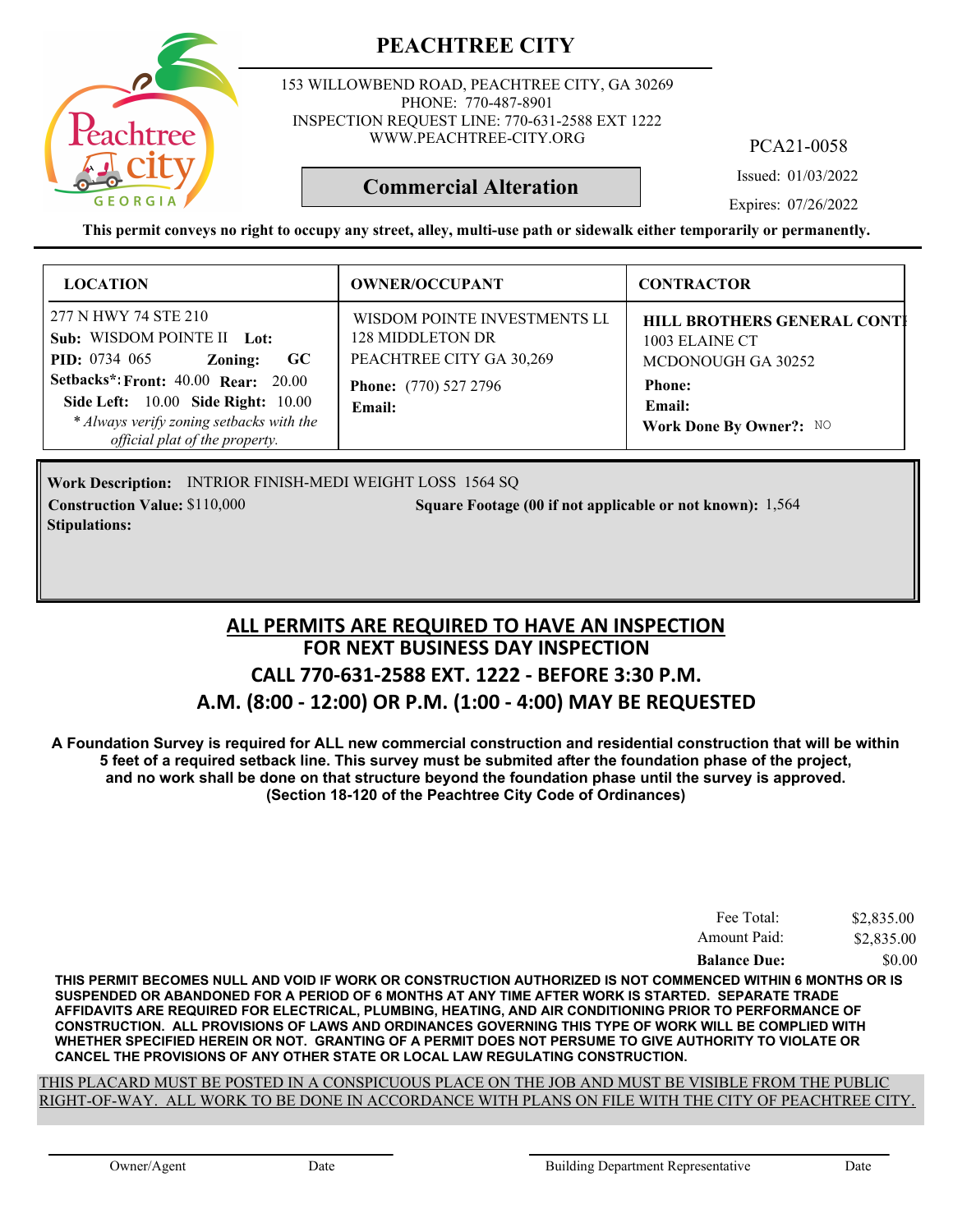

153 WILLOWBEND ROAD, PEACHTREE CITY, GA 30269 PHONE: 770-487-8901 INSPECTION REQUEST LINE: 770-631-2588 EXT 1222 WWW.PEACHTREE-CITY.ORG

PCA21-0058

Issued: 01/03/2022

Expires: 07/26/2022

**This permit conveys no right to occupy any street, alley, multi-use path or sidewalk either temporarily or permanently.**

**Commercial Alteration**

| <b>LOCATION</b>                                                                                                                                                                                                                                                                   | <b>OWNER/OCCUPANT</b>                                                                                                  | <b>CONTRACTOR</b>                                                                                                                       |
|-----------------------------------------------------------------------------------------------------------------------------------------------------------------------------------------------------------------------------------------------------------------------------------|------------------------------------------------------------------------------------------------------------------------|-----------------------------------------------------------------------------------------------------------------------------------------|
| 277 N HWY 74 STE 210<br>Sub: WISDOM POINTE II Lot:<br><b>PID:</b> 0734 065<br>$\bf GC$<br>Zoning:<br><b>Setbacks*: Front: 40.00 Rear: 20.00</b><br><b>Side Left:</b> 10.00 <b>Side Right:</b> 10.00<br>* Always verify zoning setbacks with the<br>official plat of the property. | WISDOM POINTE INVESTMENTS LI<br>128 MIDDLETON DR<br>PEACHTREE CITY GA 30,269<br><b>Phone:</b> (770) 527 2796<br>Email: | <b>HILL BROTHERS GENERAL CONTI</b><br>1003 ELAINE CT<br>MCDONOUGH GA 30252<br><b>Phone:</b><br><b>Email:</b><br>Work Done By Owner?: NO |

Work Description: INTRIOR FINISH-MEDI WEIGHT LOSS 1564 SQ **Construction Value:** \$110,000 1,564 Square Footage (00 if not applicable or not known): 1,564 **Stipulations:**

#### **FOR NEXT BUSINESS DAY INSPECTION CALL 770-631-2588 EXT. 1222 - BEFORE 3:30 P.M. A.M. (8:00 - 12:00) OR P.M. (1:00 - 4:00) MAY BE REQUESTED ALL PERMITS ARE REQUIRED TO HAVE AN INSPECTION**

**A Foundation Survey is required for ALL new commercial construction and residential construction that will be within 5 feet of a required setback line. This survey must be submited after the foundation phase of the project, and no work shall be done on that structure beyond the foundation phase until the survey is approved. (Section 18-120 of the Peachtree City Code of Ordinances)**

| Fee Total:          | \$2,835.00 |
|---------------------|------------|
| Amount Paid:        | \$2,835.00 |
| <b>Balance Due:</b> | \$0.00     |

**THIS PERMIT BECOMES NULL AND VOID IF WORK OR CONSTRUCTION AUTHORIZED IS NOT COMMENCED WITHIN 6 MONTHS OR IS SUSPENDED OR ABANDONED FOR A PERIOD OF 6 MONTHS AT ANY TIME AFTER WORK IS STARTED. SEPARATE TRADE AFFIDAVITS ARE REQUIRED FOR ELECTRICAL, PLUMBING, HEATING, AND AIR CONDITIONING PRIOR TO PERFORMANCE OF CONSTRUCTION. ALL PROVISIONS OF LAWS AND ORDINANCES GOVERNING THIS TYPE OF WORK WILL BE COMPLIED WITH WHETHER SPECIFIED HEREIN OR NOT. GRANTING OF A PERMIT DOES NOT PERSUME TO GIVE AUTHORITY TO VIOLATE OR CANCEL THE PROVISIONS OF ANY OTHER STATE OR LOCAL LAW REGULATING CONSTRUCTION.**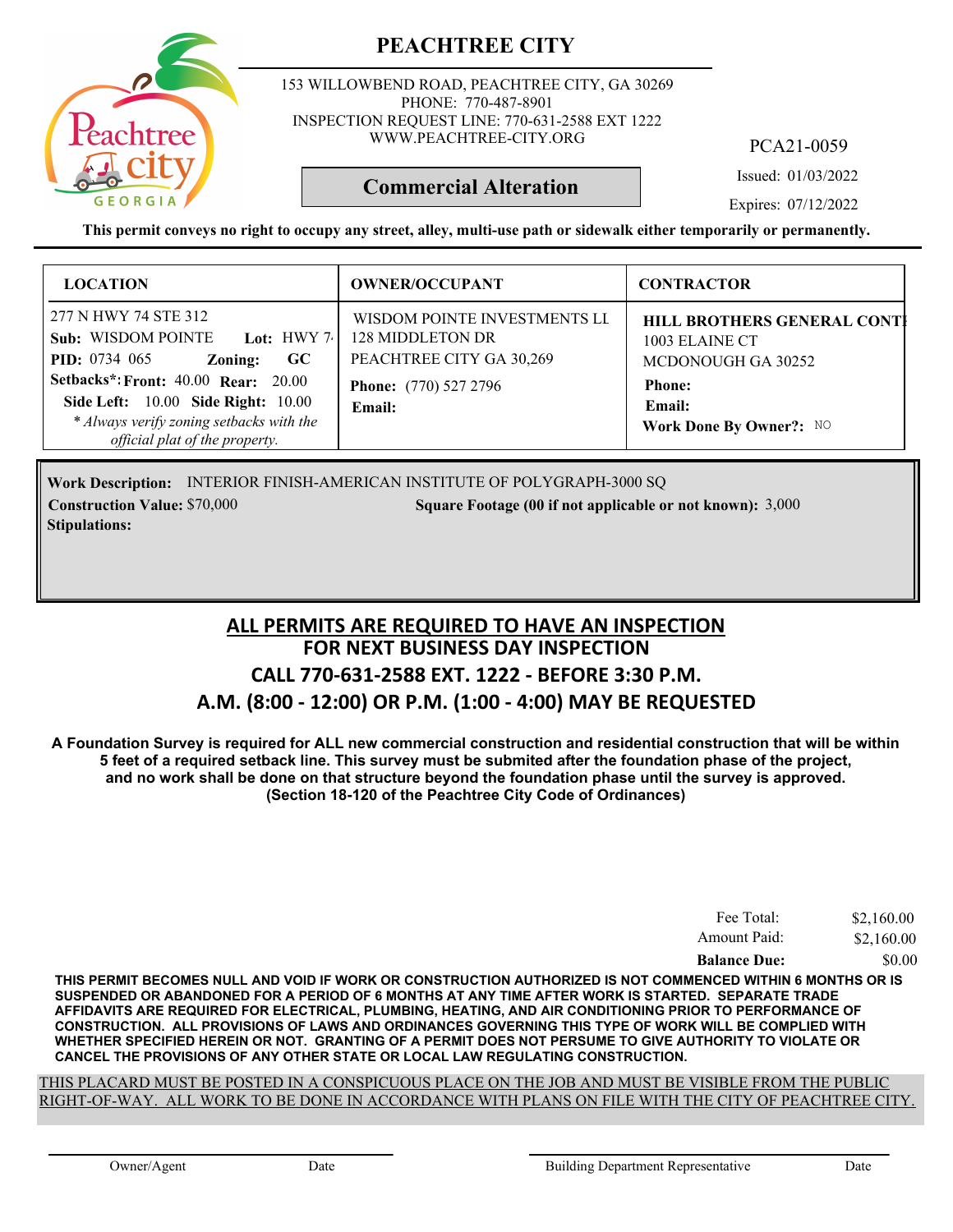

153 WILLOWBEND ROAD, PEACHTREE CITY, GA 30269 PHONE: 770-487-8901 INSPECTION REQUEST LINE: 770-631-2588 EXT 1222 WWW.PEACHTREE-CITY.ORG

PCA21-0059

Issued: 01/03/2022

**Commercial Alteration**

Expires: 07/12/2022

**This permit conveys no right to occupy any street, alley, multi-use path or sidewalk either temporarily or permanently.**

| <b>LOCATION</b>                                                                                                                                                                                                                                                          | <b>OWNER/OCCUPANT</b>                                                                                                  | <b>CONTRACTOR</b>                                                                                                                       |
|--------------------------------------------------------------------------------------------------------------------------------------------------------------------------------------------------------------------------------------------------------------------------|------------------------------------------------------------------------------------------------------------------------|-----------------------------------------------------------------------------------------------------------------------------------------|
| 277 N HWY 74 STE 312<br>Sub: WISDOM POINTE Lot: HWY 7.<br><b>PID:</b> 0734 065<br><b>GC</b><br>Zoning:<br><b>Setbacks*: Front: 40.00 Rear: 20.00</b><br>Side Left: 10.00 Side Right: 10.00<br>* Always verify zoning setbacks with the<br>official plat of the property. | WISDOM POINTE INVESTMENTS LI<br>128 MIDDLETON DR<br>PEACHTREE CITY GA 30,269<br><b>Phone:</b> (770) 527 2796<br>Email: | <b>HILL BROTHERS GENERAL CONTI</b><br>1003 ELAINE CT<br>MCDONOUGH GA 30252<br><b>Phone:</b><br><b>Email:</b><br>Work Done By Owner?: NO |

Work Description: INTERIOR FINISH-AMERICAN INSTITUTE OF POLYGRAPH-3000 SQ **Construction Value:** \$70,000 3,000 Square Footage (00 if not applicable or not known): 3,000 **Stipulations:**

#### **FOR NEXT BUSINESS DAY INSPECTION CALL 770-631-2588 EXT. 1222 - BEFORE 3:30 P.M. A.M. (8:00 - 12:00) OR P.M. (1:00 - 4:00) MAY BE REQUESTED ALL PERMITS ARE REQUIRED TO HAVE AN INSPECTION**

**A Foundation Survey is required for ALL new commercial construction and residential construction that will be within 5 feet of a required setback line. This survey must be submited after the foundation phase of the project, and no work shall be done on that structure beyond the foundation phase until the survey is approved. (Section 18-120 of the Peachtree City Code of Ordinances)**

| Fee Total:          | \$2,160.00 |
|---------------------|------------|
| Amount Paid:        | \$2,160.00 |
| <b>Balance Due:</b> | \$0.00     |

**THIS PERMIT BECOMES NULL AND VOID IF WORK OR CONSTRUCTION AUTHORIZED IS NOT COMMENCED WITHIN 6 MONTHS OR IS SUSPENDED OR ABANDONED FOR A PERIOD OF 6 MONTHS AT ANY TIME AFTER WORK IS STARTED. SEPARATE TRADE AFFIDAVITS ARE REQUIRED FOR ELECTRICAL, PLUMBING, HEATING, AND AIR CONDITIONING PRIOR TO PERFORMANCE OF CONSTRUCTION. ALL PROVISIONS OF LAWS AND ORDINANCES GOVERNING THIS TYPE OF WORK WILL BE COMPLIED WITH WHETHER SPECIFIED HEREIN OR NOT. GRANTING OF A PERMIT DOES NOT PERSUME TO GIVE AUTHORITY TO VIOLATE OR CANCEL THE PROVISIONS OF ANY OTHER STATE OR LOCAL LAW REGULATING CONSTRUCTION.**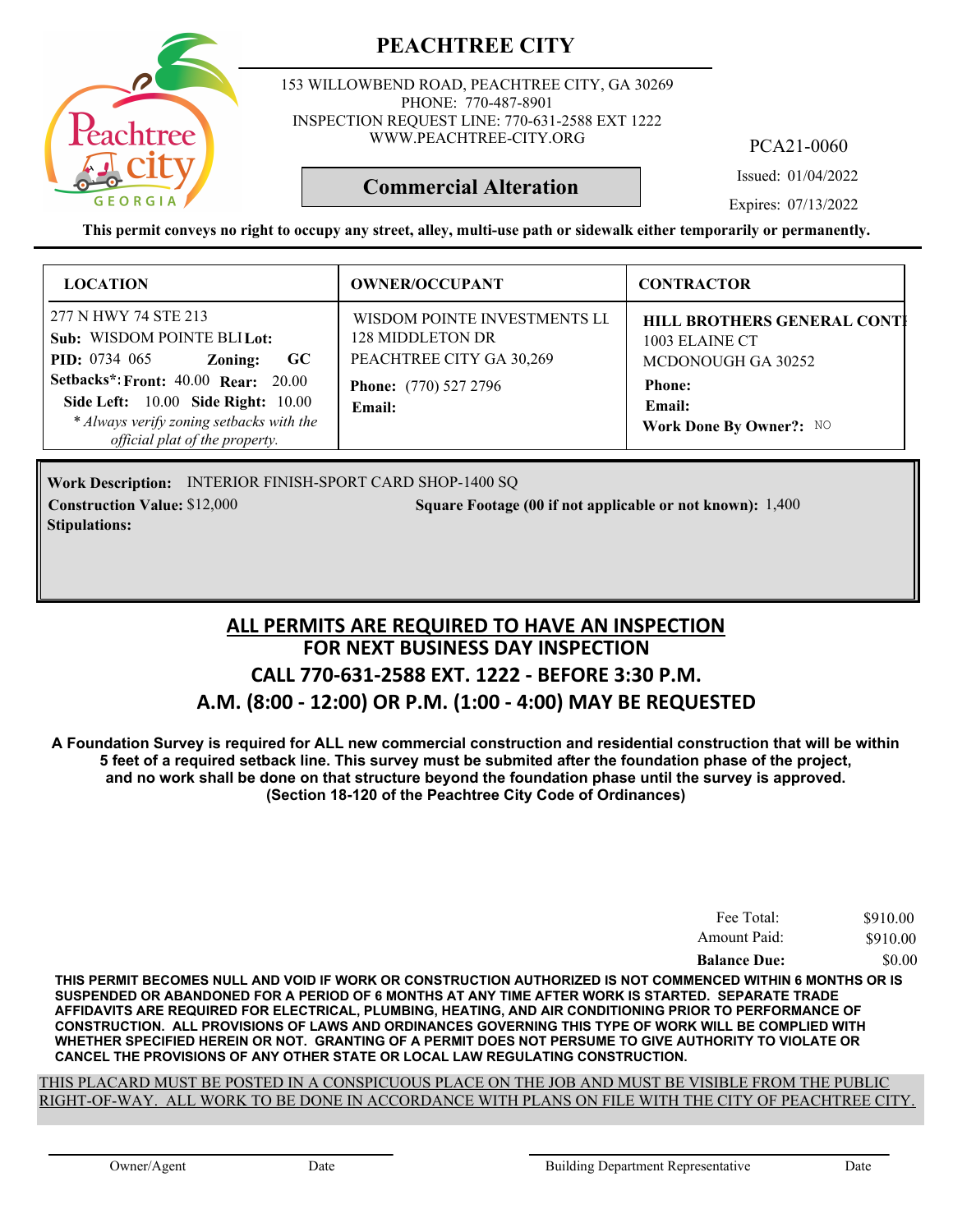

153 WILLOWBEND ROAD, PEACHTREE CITY, GA 30269 PHONE: 770-487-8901 INSPECTION REQUEST LINE: 770-631-2588 EXT 1222 WWW.PEACHTREE-CITY.ORG

PCA21-0060

Issued: 01/04/2022

Expires: 07/13/2022

**This permit conveys no right to occupy any street, alley, multi-use path or sidewalk either temporarily or permanently.**

**Commercial Alteration**

| <b>LOCATION</b>                                                                                                                                                                                                                                                       | <b>OWNER/OCCUPANT</b>                                                                                                  | <b>CONTRACTOR</b>                                                                                                                       |
|-----------------------------------------------------------------------------------------------------------------------------------------------------------------------------------------------------------------------------------------------------------------------|------------------------------------------------------------------------------------------------------------------------|-----------------------------------------------------------------------------------------------------------------------------------------|
| 277 N HWY 74 STE 213<br>Sub: WISDOM POINTE BLILot:<br><b>PID:</b> $0734$ 065<br>$\bf GC$<br>Zoning:<br><b>Setbacks*: Front: 40.00 Rear: 20.00</b><br>Side Left: 10.00 Side Right: 10.00<br>* Always verify zoning setbacks with the<br>official plat of the property. | WISDOM POINTE INVESTMENTS LI<br>128 MIDDLETON DR<br>PEACHTREE CITY GA 30,269<br><b>Phone:</b> (770) 527 2796<br>Email: | <b>HILL BROTHERS GENERAL CONTI</b><br>1003 ELAINE CT<br>MCDONOUGH GA 30252<br><b>Phone:</b><br><b>Email:</b><br>Work Done By Owner?: NO |

Work Description: INTERIOR FINISH-SPORT CARD SHOP-1400 SQ **Construction Value:** \$12,000 1,400 Square Footage (00 if not applicable or not known): 1,400 **Stipulations:**

#### **FOR NEXT BUSINESS DAY INSPECTION CALL 770-631-2588 EXT. 1222 - BEFORE 3:30 P.M. A.M. (8:00 - 12:00) OR P.M. (1:00 - 4:00) MAY BE REQUESTED ALL PERMITS ARE REQUIRED TO HAVE AN INSPECTION**

**A Foundation Survey is required for ALL new commercial construction and residential construction that will be within 5 feet of a required setback line. This survey must be submited after the foundation phase of the project, and no work shall be done on that structure beyond the foundation phase until the survey is approved. (Section 18-120 of the Peachtree City Code of Ordinances)**

| Fee Total:          | \$910.00 |
|---------------------|----------|
| Amount Paid:        | \$910.00 |
| <b>Balance Due:</b> | \$0.00   |

**THIS PERMIT BECOMES NULL AND VOID IF WORK OR CONSTRUCTION AUTHORIZED IS NOT COMMENCED WITHIN 6 MONTHS OR IS SUSPENDED OR ABANDONED FOR A PERIOD OF 6 MONTHS AT ANY TIME AFTER WORK IS STARTED. SEPARATE TRADE AFFIDAVITS ARE REQUIRED FOR ELECTRICAL, PLUMBING, HEATING, AND AIR CONDITIONING PRIOR TO PERFORMANCE OF CONSTRUCTION. ALL PROVISIONS OF LAWS AND ORDINANCES GOVERNING THIS TYPE OF WORK WILL BE COMPLIED WITH WHETHER SPECIFIED HEREIN OR NOT. GRANTING OF A PERMIT DOES NOT PERSUME TO GIVE AUTHORITY TO VIOLATE OR CANCEL THE PROVISIONS OF ANY OTHER STATE OR LOCAL LAW REGULATING CONSTRUCTION.**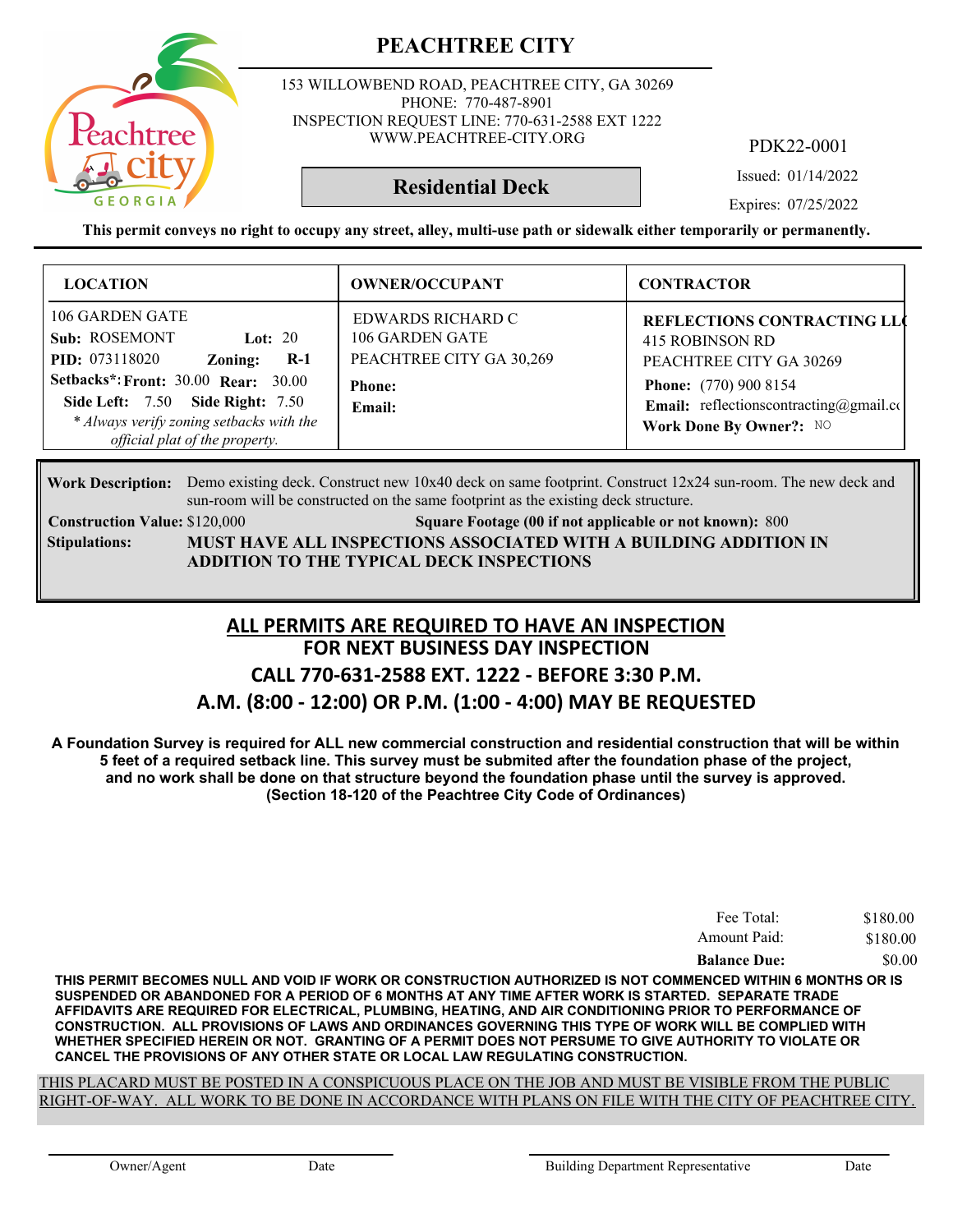153 WILLOWBEND ROAD, PEACHTREE CITY, GA 30269 PHONE: 770-487-8901 INSPECTION REQUEST LINE: 770-631-2588 EXT 1222 WWW.PEACHTREE-CITY.ORG

PDK22-0001

Issued: 01/14/2022

Expires: 07/25/2022

**This permit conveys no right to occupy any street, alley, multi-use path or sidewalk either temporarily or permanently.**

**Residential Deck**

| <b>LOCATION</b>                                                                                                                                                                                                                                            | <b>OWNER/OCCUPANT</b>                                                                       | <b>CONTRACTOR</b>                                                                                                                                                                                   |
|------------------------------------------------------------------------------------------------------------------------------------------------------------------------------------------------------------------------------------------------------------|---------------------------------------------------------------------------------------------|-----------------------------------------------------------------------------------------------------------------------------------------------------------------------------------------------------|
| 106 GARDEN GATE<br>Sub: ROSEMONT<br>Lot: $20$<br><b>PID:</b> 073118020<br>$R-1$<br>Zoning:<br><b>Setbacks*: Front: 30.00 Rear: 30.00</b><br>Side Left: 7.50 Side Right: 7.50<br>* Always verify zoning setbacks with the<br>official plat of the property. | EDWARDS RICHARD C<br>106 GARDEN GATE<br>PEACHTREE CITY GA 30,269<br><b>Phone:</b><br>Email: | <b>REFLECTIONS CONTRACTING LLC</b><br>415 ROBINSON RD<br>PEACHTREE CITY GA 30269<br><b>Phone:</b> (770) 900 8154<br><b>Email:</b> reflections contracting $@)$ gmail.com<br>Work Done By Owner?: NO |

Work Description: Demo existing deck. Construct new 10x40 deck on same footprint. Construct 12x24 sun-room. The new deck and sun-room will be constructed on the same footprint as the existing deck structure.

**Stipulations:**

**Construction Value: Square Footage (00 if not applicable or not known):** \$120,000 800 **MUST HAVE ALL INSPECTIONS ASSOCIATED WITH A BUILDING ADDITION IN**

**ADDITION TO THE TYPICAL DECK INSPECTIONS**

#### **FOR NEXT BUSINESS DAY INSPECTION CALL 770-631-2588 EXT. 1222 - BEFORE 3:30 P.M. A.M. (8:00 - 12:00) OR P.M. (1:00 - 4:00) MAY BE REQUESTED ALL PERMITS ARE REQUIRED TO HAVE AN INSPECTION**

**A Foundation Survey is required for ALL new commercial construction and residential construction that will be within 5 feet of a required setback line. This survey must be submited after the foundation phase of the project, and no work shall be done on that structure beyond the foundation phase until the survey is approved. (Section 18-120 of the Peachtree City Code of Ordinances)**

| Fee Total:          | \$180.00 |
|---------------------|----------|
| Amount Paid:        | \$180.00 |
| <b>Balance Due:</b> | \$0.00   |

**THIS PERMIT BECOMES NULL AND VOID IF WORK OR CONSTRUCTION AUTHORIZED IS NOT COMMENCED WITHIN 6 MONTHS OR IS SUSPENDED OR ABANDONED FOR A PERIOD OF 6 MONTHS AT ANY TIME AFTER WORK IS STARTED. SEPARATE TRADE AFFIDAVITS ARE REQUIRED FOR ELECTRICAL, PLUMBING, HEATING, AND AIR CONDITIONING PRIOR TO PERFORMANCE OF CONSTRUCTION. ALL PROVISIONS OF LAWS AND ORDINANCES GOVERNING THIS TYPE OF WORK WILL BE COMPLIED WITH WHETHER SPECIFIED HEREIN OR NOT. GRANTING OF A PERMIT DOES NOT PERSUME TO GIVE AUTHORITY TO VIOLATE OR CANCEL THE PROVISIONS OF ANY OTHER STATE OR LOCAL LAW REGULATING CONSTRUCTION.**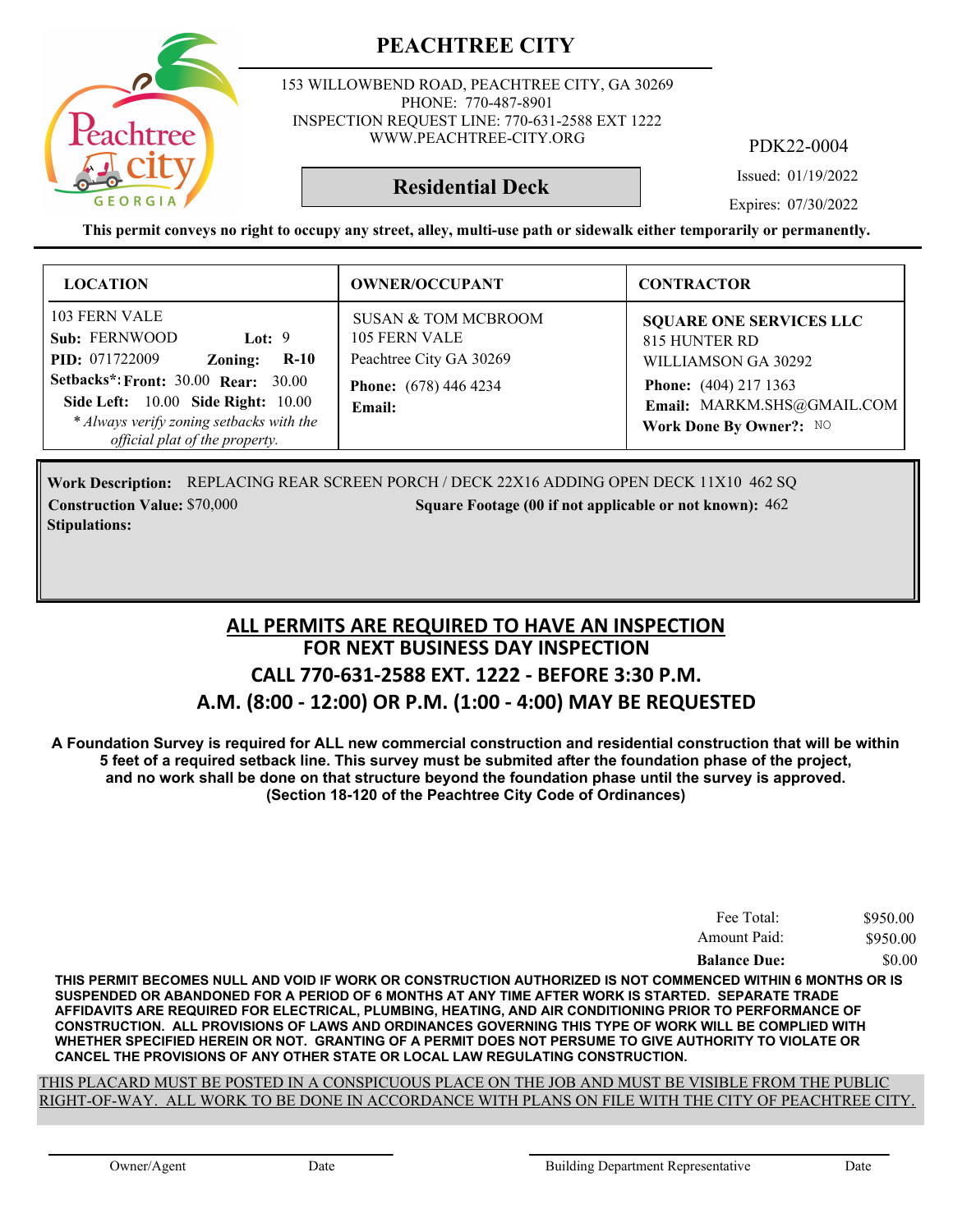153 WILLOWBEND ROAD, PEACHTREE CITY, GA 30269 PHONE: 770-487-8901 INSPECTION REQUEST LINE: 770-631-2588 EXT 1222 WWW.PEACHTREE-CITY.ORG

PDK22-0004

Issued: 01/19/2022

Expires: 07/30/2022

**This permit conveys no right to occupy any street, alley, multi-use path or sidewalk either temporarily or permanently.**

**Residential Deck**

| <b>LOCATION</b>                                                                                                                                                                                                                                            | <b>OWNER/OCCUPANT</b>                                                                                                | <b>CONTRACTOR</b>                                                                                                                                               |
|------------------------------------------------------------------------------------------------------------------------------------------------------------------------------------------------------------------------------------------------------------|----------------------------------------------------------------------------------------------------------------------|-----------------------------------------------------------------------------------------------------------------------------------------------------------------|
| 103 FERN VALE<br>Sub: FERNWOOD<br>Lot: $9$<br><b>PID:</b> 071722009<br>$R-10$<br>Zoning:<br><b>Setbacks*: Front: 30.00 Rear: 30.00</b><br>Side Left: 10.00 Side Right: 10.00<br>* Always verify zoning setbacks with the<br>official plat of the property. | <b>SUSAN &amp; TOM MCBROOM</b><br>105 FERN VALE<br>Peachtree City GA 30269<br><b>Phone:</b> (678) 446 4234<br>Email: | <b>SQUARE ONE SERVICES LLC</b><br>815 HUNTER RD<br>WILLIAMSON GA 30292<br><b>Phone:</b> (404) 217 1363<br>Email: MARKM.SHS@GMAIL.COM<br>Work Done By Owner?: NO |

Work Description: REPLACING REAR SCREEN PORCH / DECK 22X16 ADDING OPEN DECK 11X10 462 SQ **Construction Value:** \$70,000 **5000 5000 50000 50000 50000 462 50000 462 50000 60000 462 60000 50000 60000 462 60000 60000 60000 60000 60000 60000 60000 60000 60000 60000 60000 60000 60000 60000 60000 60000 60000 60000 600 Stipulations:**

#### **FOR NEXT BUSINESS DAY INSPECTION CALL 770-631-2588 EXT. 1222 - BEFORE 3:30 P.M. A.M. (8:00 - 12:00) OR P.M. (1:00 - 4:00) MAY BE REQUESTED ALL PERMITS ARE REQUIRED TO HAVE AN INSPECTION**

**A Foundation Survey is required for ALL new commercial construction and residential construction that will be within 5 feet of a required setback line. This survey must be submited after the foundation phase of the project, and no work shall be done on that structure beyond the foundation phase until the survey is approved. (Section 18-120 of the Peachtree City Code of Ordinances)**

| Fee Total:          | \$950.00 |
|---------------------|----------|
| Amount Paid:        | \$950.00 |
| <b>Balance Due:</b> | \$0.00   |

**THIS PERMIT BECOMES NULL AND VOID IF WORK OR CONSTRUCTION AUTHORIZED IS NOT COMMENCED WITHIN 6 MONTHS OR IS SUSPENDED OR ABANDONED FOR A PERIOD OF 6 MONTHS AT ANY TIME AFTER WORK IS STARTED. SEPARATE TRADE AFFIDAVITS ARE REQUIRED FOR ELECTRICAL, PLUMBING, HEATING, AND AIR CONDITIONING PRIOR TO PERFORMANCE OF CONSTRUCTION. ALL PROVISIONS OF LAWS AND ORDINANCES GOVERNING THIS TYPE OF WORK WILL BE COMPLIED WITH WHETHER SPECIFIED HEREIN OR NOT. GRANTING OF A PERMIT DOES NOT PERSUME TO GIVE AUTHORITY TO VIOLATE OR CANCEL THE PROVISIONS OF ANY OTHER STATE OR LOCAL LAW REGULATING CONSTRUCTION.**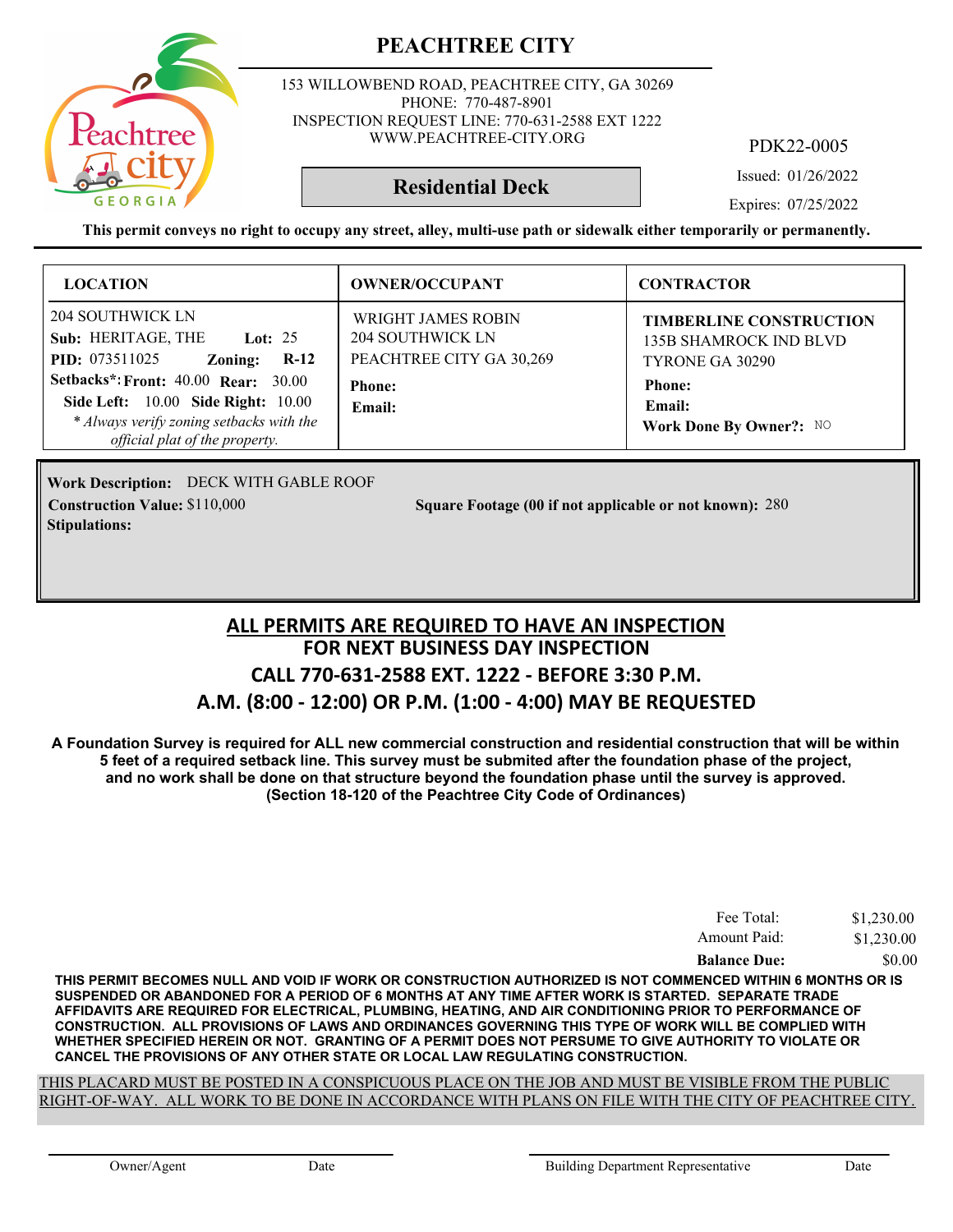

153 WILLOWBEND ROAD, PEACHTREE CITY, GA 30269 PHONE: 770-487-8901 INSPECTION REQUEST LINE: 770-631-2588 EXT 1222 WWW.PEACHTREE-CITY.ORG

PDK22-0005

Issued: 01/26/2022

**Residential Deck**

Expires: 07/25/2022

**This permit conveys no right to occupy any street, alley, multi-use path or sidewalk either temporarily or permanently.**

| <b>LOCATION</b>                                                                                                                                                              | <b>OWNER/OCCUPANT</b>                                                     | <b>CONTRACTOR</b>                                                           |
|------------------------------------------------------------------------------------------------------------------------------------------------------------------------------|---------------------------------------------------------------------------|-----------------------------------------------------------------------------|
| 204 SOUTHWICK LN<br>Sub: HERITAGE, THE<br><b>Lot: 25</b><br><b>PID:</b> 073511025<br>$R-12$<br>Zoning:                                                                       | <b>WRIGHT JAMES ROBIN</b><br>204 SOUTHWICK LN<br>PEACHTREE CITY GA 30,269 | <b>TIMBERLINE CONSTRUCTION</b><br>135B SHAMROCK IND BLVD<br>TYRONE GA 30290 |
| <b>Setbacks*: Front: 40.00 Rear: 30.00</b><br><b>Side Left:</b> 10.00 <b>Side Right:</b> 10.00<br>* Always verify zoning setbacks with the<br>official plat of the property. | <b>Phone:</b><br>Email:                                                   | <b>Phone:</b><br><b>Email:</b><br>Work Done By Owner?: NO                   |

Work Description: DECK WITH GABLE ROOF **Stipulations:**

**Construction Value: Square Footage (00 if not applicable or not known):** \$110,000 280

#### **FOR NEXT BUSINESS DAY INSPECTION CALL 770-631-2588 EXT. 1222 - BEFORE 3:30 P.M. A.M. (8:00 - 12:00) OR P.M. (1:00 - 4:00) MAY BE REQUESTED ALL PERMITS ARE REQUIRED TO HAVE AN INSPECTION**

**A Foundation Survey is required for ALL new commercial construction and residential construction that will be within 5 feet of a required setback line. This survey must be submited after the foundation phase of the project, and no work shall be done on that structure beyond the foundation phase until the survey is approved. (Section 18-120 of the Peachtree City Code of Ordinances)**

| <b>Balance Due:</b> | \$0.00     |
|---------------------|------------|
| Amount Paid:        | \$1,230.00 |
| Fee Total:          | \$1,230.00 |

**THIS PERMIT BECOMES NULL AND VOID IF WORK OR CONSTRUCTION AUTHORIZED IS NOT COMMENCED WITHIN 6 MONTHS OR IS SUSPENDED OR ABANDONED FOR A PERIOD OF 6 MONTHS AT ANY TIME AFTER WORK IS STARTED. SEPARATE TRADE AFFIDAVITS ARE REQUIRED FOR ELECTRICAL, PLUMBING, HEATING, AND AIR CONDITIONING PRIOR TO PERFORMANCE OF CONSTRUCTION. ALL PROVISIONS OF LAWS AND ORDINANCES GOVERNING THIS TYPE OF WORK WILL BE COMPLIED WITH WHETHER SPECIFIED HEREIN OR NOT. GRANTING OF A PERMIT DOES NOT PERSUME TO GIVE AUTHORITY TO VIOLATE OR CANCEL THE PROVISIONS OF ANY OTHER STATE OR LOCAL LAW REGULATING CONSTRUCTION.**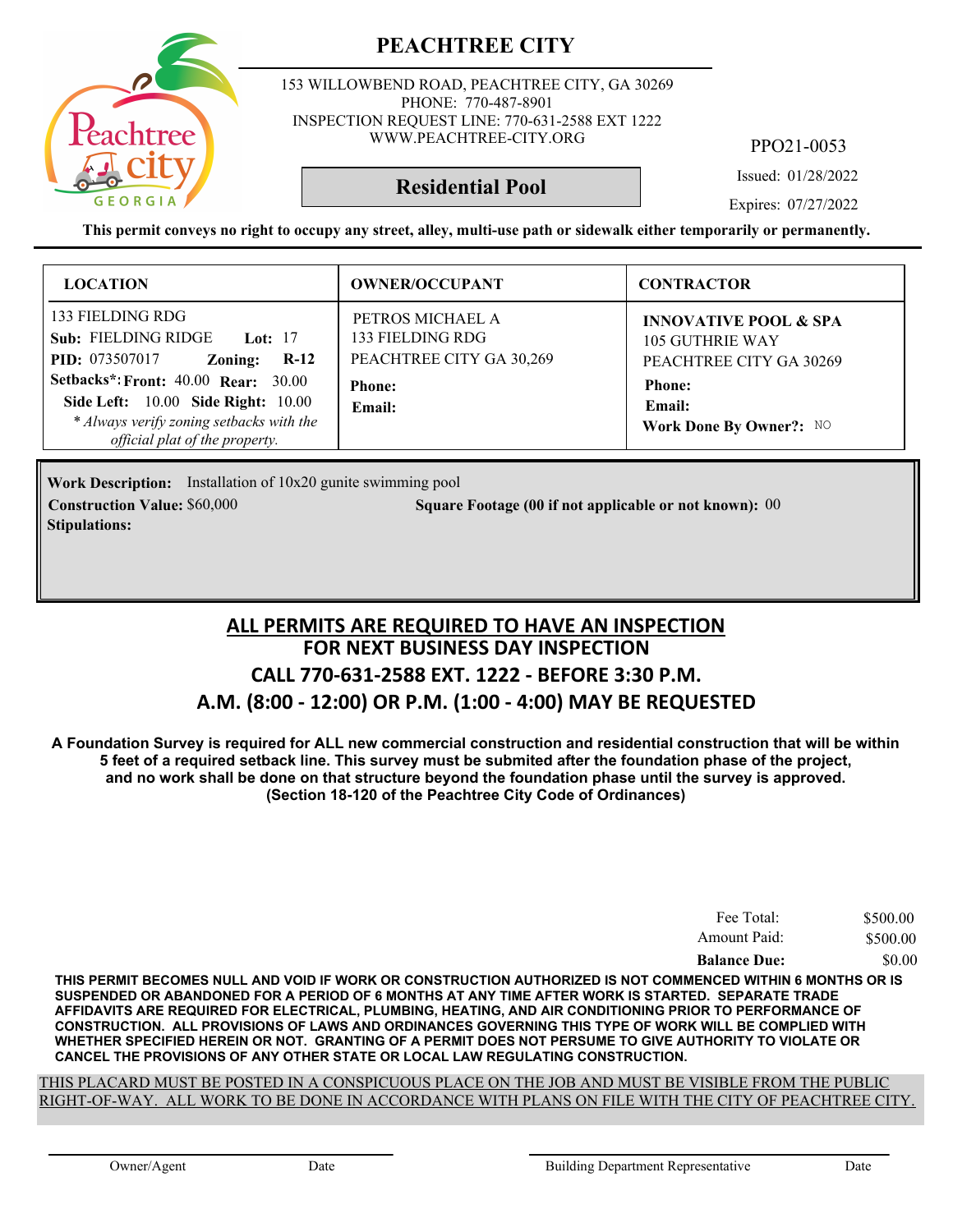

153 WILLOWBEND ROAD, PEACHTREE CITY, GA 30269 PHONE: 770-487-8901 INSPECTION REQUEST LINE: 770-631-2588 EXT 1222 WWW.PEACHTREE-CITY.ORG

PPO21-0053

Issued: 01/28/2022

#### **Residential Pool**

Expires: 07/27/2022

**This permit conveys no right to occupy any street, alley, multi-use path or sidewalk either temporarily or permanently.**

| <b>LOCATION</b>                                                                                                                                                                                                                                | <b>OWNER/OCCUPANT</b>                                                                       | <b>CONTRACTOR</b>                                                                                                |
|------------------------------------------------------------------------------------------------------------------------------------------------------------------------------------------------------------------------------------------------|---------------------------------------------------------------------------------------------|------------------------------------------------------------------------------------------------------------------|
| 133 FIELDING RDG<br>Sub: FIELDING RIDGE<br><b>Lot:</b> 17<br><b>PID:</b> 073507017<br>$R-12$<br>Zoning:<br>Setbacks*: Front: 40.00 Rear: 30.00<br><b>Side Left:</b> 10.00 <b>Side Right:</b> 10.00<br>* Always verify zoning setbacks with the | PETROS MICHAEL A<br>133 FIELDING RDG<br>PEACHTREE CITY GA 30,269<br><b>Phone:</b><br>Email: | <b>INNOVATIVE POOL &amp; SPA</b><br><b>105 GUTHRIE WAY</b><br>PEACHTREE CITY GA 30269<br><b>Phone:</b><br>Email: |
| official plat of the property.                                                                                                                                                                                                                 |                                                                                             | Work Done By Owner?: NO                                                                                          |

**Work Description:** Installation of 10x20 gunite swimming pool **Construction Value:** \$60,000 000 000 000 5 Square Footage (00 if not applicable or not known): 00 **Stipulations:**

#### **FOR NEXT BUSINESS DAY INSPECTION CALL 770-631-2588 EXT. 1222 - BEFORE 3:30 P.M. A.M. (8:00 - 12:00) OR P.M. (1:00 - 4:00) MAY BE REQUESTED ALL PERMITS ARE REQUIRED TO HAVE AN INSPECTION**

**A Foundation Survey is required for ALL new commercial construction and residential construction that will be within 5 feet of a required setback line. This survey must be submited after the foundation phase of the project, and no work shall be done on that structure beyond the foundation phase until the survey is approved. (Section 18-120 of the Peachtree City Code of Ordinances)**

| Fee Total:          | \$500.00 |
|---------------------|----------|
| Amount Paid:        | \$500.00 |
| <b>Balance Due:</b> | \$0.00   |

**THIS PERMIT BECOMES NULL AND VOID IF WORK OR CONSTRUCTION AUTHORIZED IS NOT COMMENCED WITHIN 6 MONTHS OR IS SUSPENDED OR ABANDONED FOR A PERIOD OF 6 MONTHS AT ANY TIME AFTER WORK IS STARTED. SEPARATE TRADE AFFIDAVITS ARE REQUIRED FOR ELECTRICAL, PLUMBING, HEATING, AND AIR CONDITIONING PRIOR TO PERFORMANCE OF CONSTRUCTION. ALL PROVISIONS OF LAWS AND ORDINANCES GOVERNING THIS TYPE OF WORK WILL BE COMPLIED WITH WHETHER SPECIFIED HEREIN OR NOT. GRANTING OF A PERMIT DOES NOT PERSUME TO GIVE AUTHORITY TO VIOLATE OR CANCEL THE PROVISIONS OF ANY OTHER STATE OR LOCAL LAW REGULATING CONSTRUCTION.**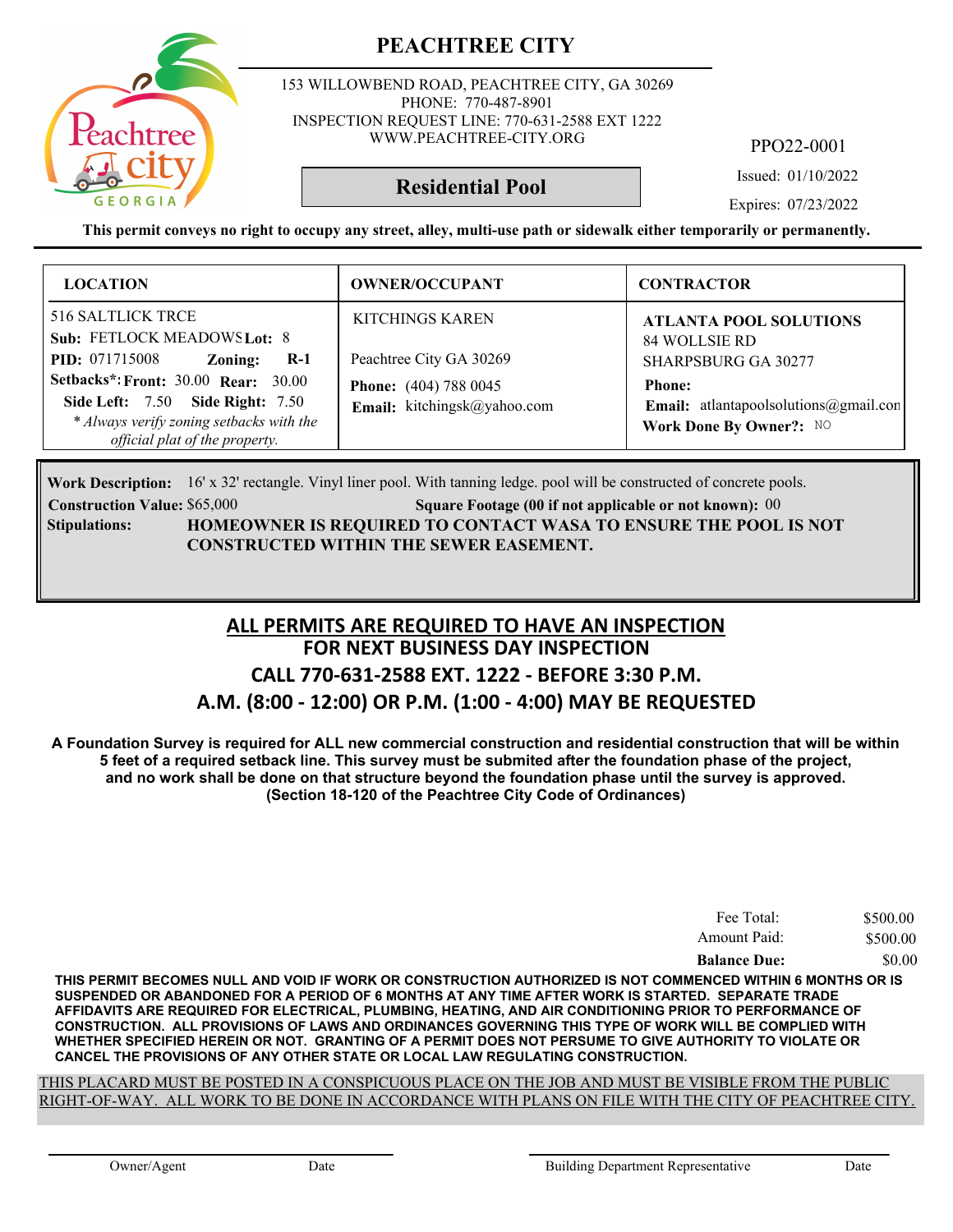153 WILLOWBEND ROAD, PEACHTREE CITY, GA 30269 PHONE: 770-487-8901 INSPECTION REQUEST LINE: 770-631-2588 EXT 1222 WWW.PEACHTREE-CITY.ORG

PPO22-0001

Issued: 01/10/2022

**Residential Pool**

Expires: 07/23/2022

**This permit conveys no right to occupy any street, alley, multi-use path or sidewalk either temporarily or permanently.**

| <b>LOCATION</b>                                                                                                                                                                                                                                                             | <b>OWNER/OCCUPANT</b>                                                                                     | <b>CONTRACTOR</b>                                                                                                                                                        |
|-----------------------------------------------------------------------------------------------------------------------------------------------------------------------------------------------------------------------------------------------------------------------------|-----------------------------------------------------------------------------------------------------------|--------------------------------------------------------------------------------------------------------------------------------------------------------------------------|
| <b>516 SALTLICK TRCE</b><br>Sub: FETLOCK MEADOWS Lot: 8<br><b>PID:</b> 071715008<br>Zoning:<br>$R-1$<br><b>Setbacks*: Front: 30.00 Rear: 30.00</b><br><b>Side Left: 7.50 Side Right: 7.50</b><br>* Always verify zoning setbacks with the<br>official plat of the property. | KITCHINGS KAREN<br>Peachtree City GA 30269<br><b>Phone:</b> (404) 788 0045<br>Email: kitchingsk@yahoo.com | <b>ATLANTA POOL SOLUTIONS</b><br>84 WOLLSIE RD<br><b>SHARPSBURG GA 30277</b><br><b>Phone:</b><br><b>Email:</b> atlantapoolsolutions@gmail.con<br>Work Done By Owner?: NO |

Work Description: 16' x 32' rectangle. Vinyl liner pool. With tanning ledge. pool will be constructed of concrete pools.

**Construction Value:** \$65,000 **000 Square Footage (00 if not applicable or not known):** 00 **HOMEOWNER IS REQUIRED TO CONTACT WASA TO ENSURE THE POOL IS NOT CONSTRUCTED WITHIN THE SEWER EASEMENT. Stipulations:**

#### **FOR NEXT BUSINESS DAY INSPECTION CALL 770-631-2588 EXT. 1222 - BEFORE 3:30 P.M. A.M. (8:00 - 12:00) OR P.M. (1:00 - 4:00) MAY BE REQUESTED ALL PERMITS ARE REQUIRED TO HAVE AN INSPECTION**

**A Foundation Survey is required for ALL new commercial construction and residential construction that will be within 5 feet of a required setback line. This survey must be submited after the foundation phase of the project, and no work shall be done on that structure beyond the foundation phase until the survey is approved. (Section 18-120 of the Peachtree City Code of Ordinances)**

| Fee Total:          | \$500.00 |
|---------------------|----------|
| Amount Paid:        | \$500.00 |
| <b>Balance Due:</b> | \$0.00   |

**THIS PERMIT BECOMES NULL AND VOID IF WORK OR CONSTRUCTION AUTHORIZED IS NOT COMMENCED WITHIN 6 MONTHS OR IS SUSPENDED OR ABANDONED FOR A PERIOD OF 6 MONTHS AT ANY TIME AFTER WORK IS STARTED. SEPARATE TRADE AFFIDAVITS ARE REQUIRED FOR ELECTRICAL, PLUMBING, HEATING, AND AIR CONDITIONING PRIOR TO PERFORMANCE OF CONSTRUCTION. ALL PROVISIONS OF LAWS AND ORDINANCES GOVERNING THIS TYPE OF WORK WILL BE COMPLIED WITH WHETHER SPECIFIED HEREIN OR NOT. GRANTING OF A PERMIT DOES NOT PERSUME TO GIVE AUTHORITY TO VIOLATE OR CANCEL THE PROVISIONS OF ANY OTHER STATE OR LOCAL LAW REGULATING CONSTRUCTION.**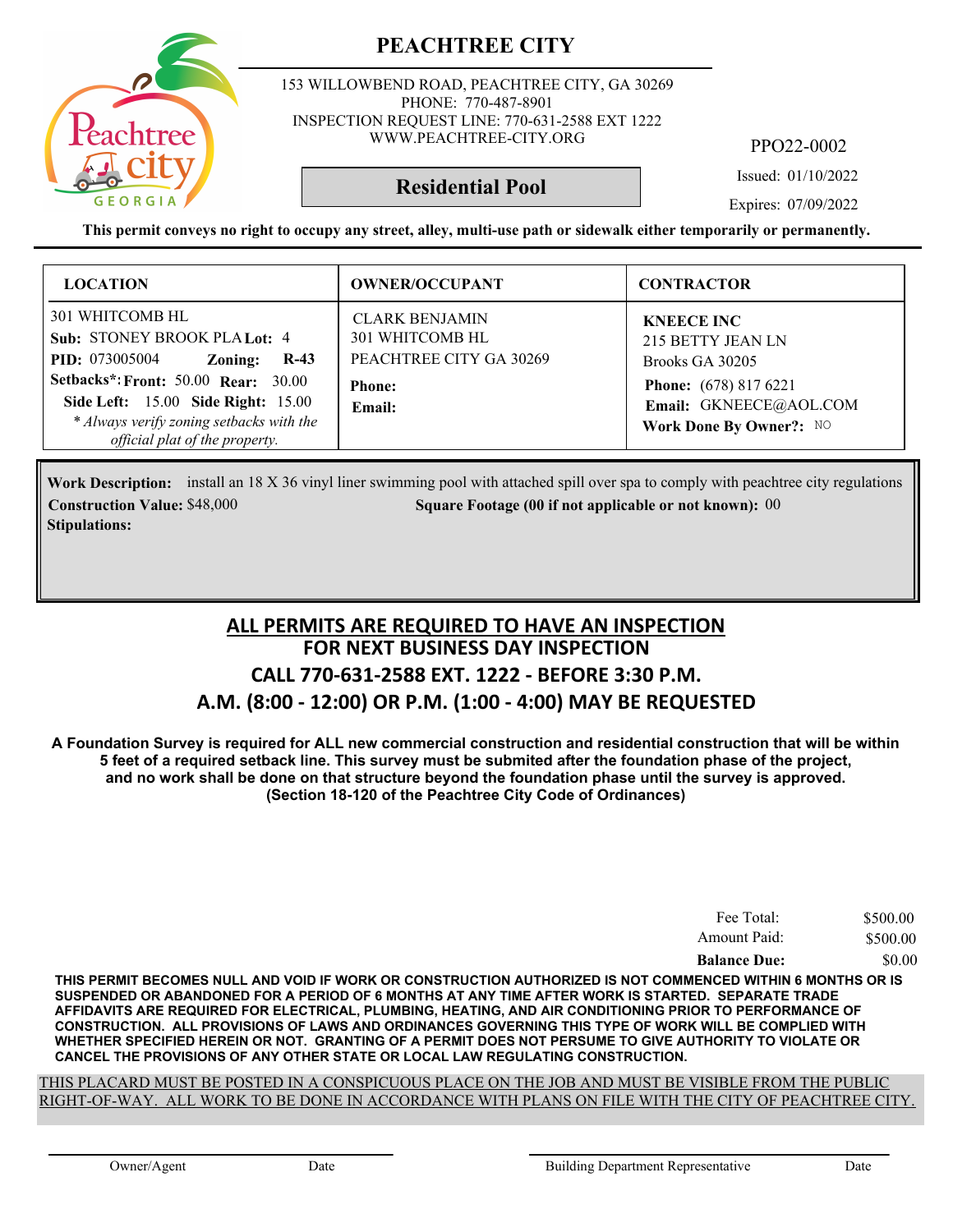

153 WILLOWBEND ROAD, PEACHTREE CITY, GA 30269 PHONE: 770-487-8901 INSPECTION REQUEST LINE: 770-631-2588 EXT 1222 WWW.PEACHTREE-CITY.ORG

PPO22-0002

Issued: 01/10/2022

Expires: 07/09/2022

**This permit conveys no right to occupy any street, alley, multi-use path or sidewalk either temporarily or permanently.**

**Residential Pool**

| <b>LOCATION</b>                                                                                                                                                                                                                                                 | <b>OWNER/OCCUPANT</b>                                                                          | <b>CONTRACTOR</b>                                                                                                                              |
|-----------------------------------------------------------------------------------------------------------------------------------------------------------------------------------------------------------------------------------------------------------------|------------------------------------------------------------------------------------------------|------------------------------------------------------------------------------------------------------------------------------------------------|
| 301 WHITCOMB HL<br>Sub: STONEY BROOK PLA Lot: 4<br><b>PID:</b> 073005004<br>Zoning:<br>$R-43$<br><b>Setbacks*: Front: 50.00 Rear: 30.00</b><br>Side Left: 15.00 Side Right: 15.00<br>* Always verify zoning setbacks with the<br>official plat of the property. | <b>CLARK BENJAMIN</b><br>301 WHITCOMB HL<br>PEACHTREE CITY GA 30269<br><b>Phone:</b><br>Email: | <b>KNEECE INC</b><br>215 BETTY JEAN LN<br>Brooks GA 30205<br><b>Phone:</b> (678) 817 6221<br>Email: GKNEECE@AOL.COM<br>Work Done By Owner?: NO |

Work Description: install an 18 X 36 vinyl liner swimming pool with attached spill over spa to comply with peachtree city regulations **Construction Value:** \$48,000 **000 000 000 000 Square Footage (00 if not applicable or not known): 00 Stipulations:**

#### **FOR NEXT BUSINESS DAY INSPECTION CALL 770-631-2588 EXT. 1222 - BEFORE 3:30 P.M. A.M. (8:00 - 12:00) OR P.M. (1:00 - 4:00) MAY BE REQUESTED ALL PERMITS ARE REQUIRED TO HAVE AN INSPECTION**

**A Foundation Survey is required for ALL new commercial construction and residential construction that will be within 5 feet of a required setback line. This survey must be submited after the foundation phase of the project, and no work shall be done on that structure beyond the foundation phase until the survey is approved. (Section 18-120 of the Peachtree City Code of Ordinances)**

| Fee Total:          | \$500.00 |
|---------------------|----------|
| Amount Paid:        | \$500.00 |
| <b>Balance Due:</b> | \$0.00   |

**THIS PERMIT BECOMES NULL AND VOID IF WORK OR CONSTRUCTION AUTHORIZED IS NOT COMMENCED WITHIN 6 MONTHS OR IS SUSPENDED OR ABANDONED FOR A PERIOD OF 6 MONTHS AT ANY TIME AFTER WORK IS STARTED. SEPARATE TRADE AFFIDAVITS ARE REQUIRED FOR ELECTRICAL, PLUMBING, HEATING, AND AIR CONDITIONING PRIOR TO PERFORMANCE OF CONSTRUCTION. ALL PROVISIONS OF LAWS AND ORDINANCES GOVERNING THIS TYPE OF WORK WILL BE COMPLIED WITH WHETHER SPECIFIED HEREIN OR NOT. GRANTING OF A PERMIT DOES NOT PERSUME TO GIVE AUTHORITY TO VIOLATE OR CANCEL THE PROVISIONS OF ANY OTHER STATE OR LOCAL LAW REGULATING CONSTRUCTION.**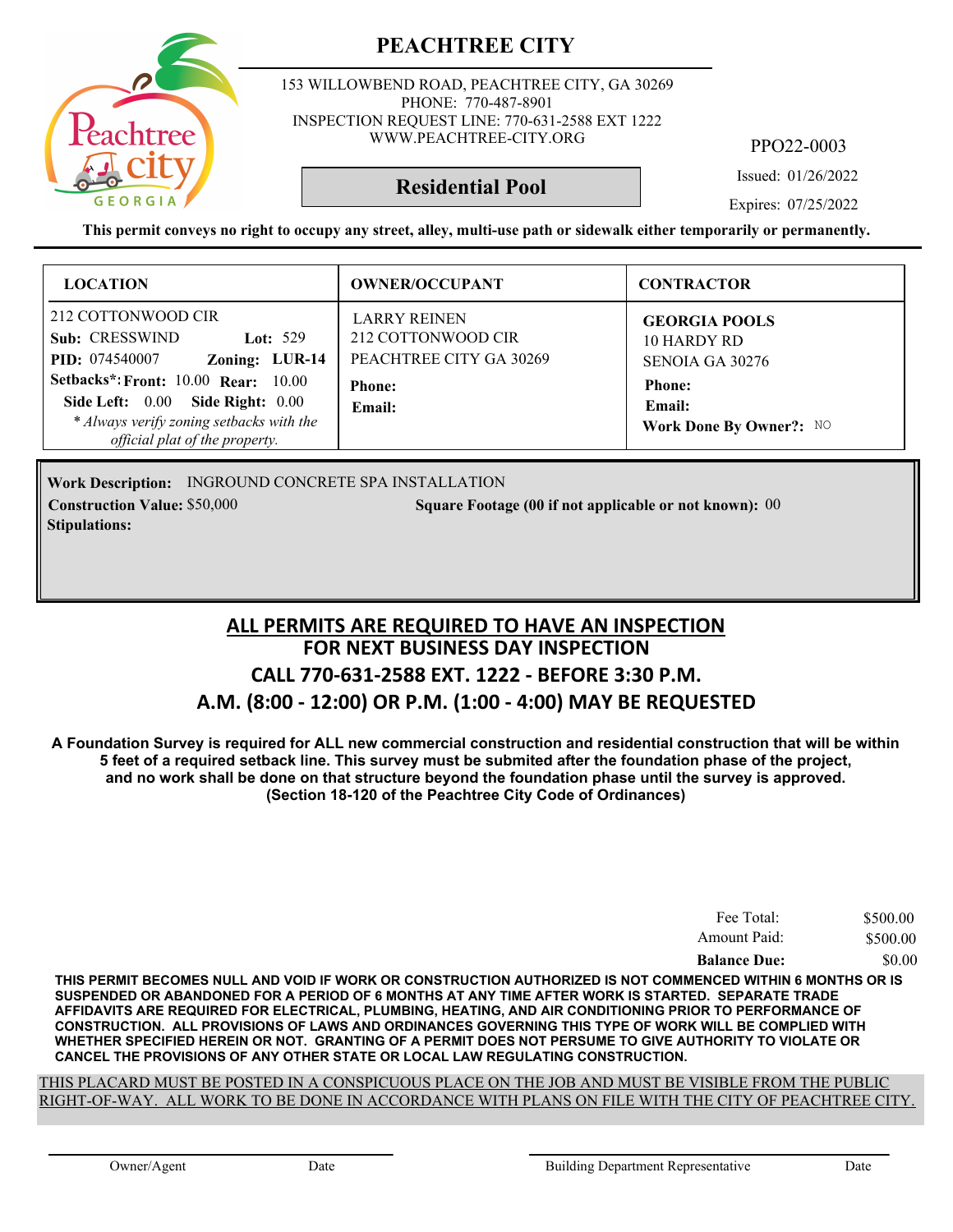

153 WILLOWBEND ROAD, PEACHTREE CITY, GA 30269 PHONE: 770-487-8901 INSPECTION REQUEST LINE: 770-631-2588 EXT 1222 WWW.PEACHTREE-CITY.ORG

PPO22-0003

Issued: 01/26/2022

**Residential Pool**

Expires: 07/25/2022

**This permit conveys no right to occupy any street, alley, multi-use path or sidewalk either temporarily or permanently.**

| <b>LOCATION</b>                                                                                                                                              | <b>OWNER/OCCUPANT</b>                                                | <b>CONTRACTOR</b>                                      |
|--------------------------------------------------------------------------------------------------------------------------------------------------------------|----------------------------------------------------------------------|--------------------------------------------------------|
| 212 COTTONWOOD CIR<br>Sub: CRESSWIND<br>Lot: $529$<br>Zoning: LUR-14<br><b>PID:</b> 074540007                                                                | <b>LARRY REINEN</b><br>212 COTTONWOOD CIR<br>PEACHTREE CITY GA 30269 | <b>GEORGIA POOLS</b><br>10 HARDY RD<br>SENOIA GA 30276 |
| <b>Setbacks*: Front: 10.00 Rear: 10.00</b><br>Side Left: 0.00 Side Right: 0.00<br>* Always verify zoning setbacks with the<br>official plat of the property. | <b>Phone:</b><br>Email:                                              | <b>Phone:</b><br>Email:<br>Work Done By Owner?: NO     |

Work Description: INGROUND CONCRETE SPA INSTALLATION **Construction Value:** \$50,000 **000 000 000 0000 0000 00000 5 Square Footage (00 if not applicable or not known): 00 Stipulations:**

#### **FOR NEXT BUSINESS DAY INSPECTION CALL 770-631-2588 EXT. 1222 - BEFORE 3:30 P.M. A.M. (8:00 - 12:00) OR P.M. (1:00 - 4:00) MAY BE REQUESTED ALL PERMITS ARE REQUIRED TO HAVE AN INSPECTION**

**A Foundation Survey is required for ALL new commercial construction and residential construction that will be within 5 feet of a required setback line. This survey must be submited after the foundation phase of the project, and no work shall be done on that structure beyond the foundation phase until the survey is approved. (Section 18-120 of the Peachtree City Code of Ordinances)**

| Fee Total:          | \$500.00 |
|---------------------|----------|
| Amount Paid:        | \$500.00 |
| <b>Balance Due:</b> | \$0.00   |

**THIS PERMIT BECOMES NULL AND VOID IF WORK OR CONSTRUCTION AUTHORIZED IS NOT COMMENCED WITHIN 6 MONTHS OR IS SUSPENDED OR ABANDONED FOR A PERIOD OF 6 MONTHS AT ANY TIME AFTER WORK IS STARTED. SEPARATE TRADE AFFIDAVITS ARE REQUIRED FOR ELECTRICAL, PLUMBING, HEATING, AND AIR CONDITIONING PRIOR TO PERFORMANCE OF CONSTRUCTION. ALL PROVISIONS OF LAWS AND ORDINANCES GOVERNING THIS TYPE OF WORK WILL BE COMPLIED WITH WHETHER SPECIFIED HEREIN OR NOT. GRANTING OF A PERMIT DOES NOT PERSUME TO GIVE AUTHORITY TO VIOLATE OR CANCEL THE PROVISIONS OF ANY OTHER STATE OR LOCAL LAW REGULATING CONSTRUCTION.**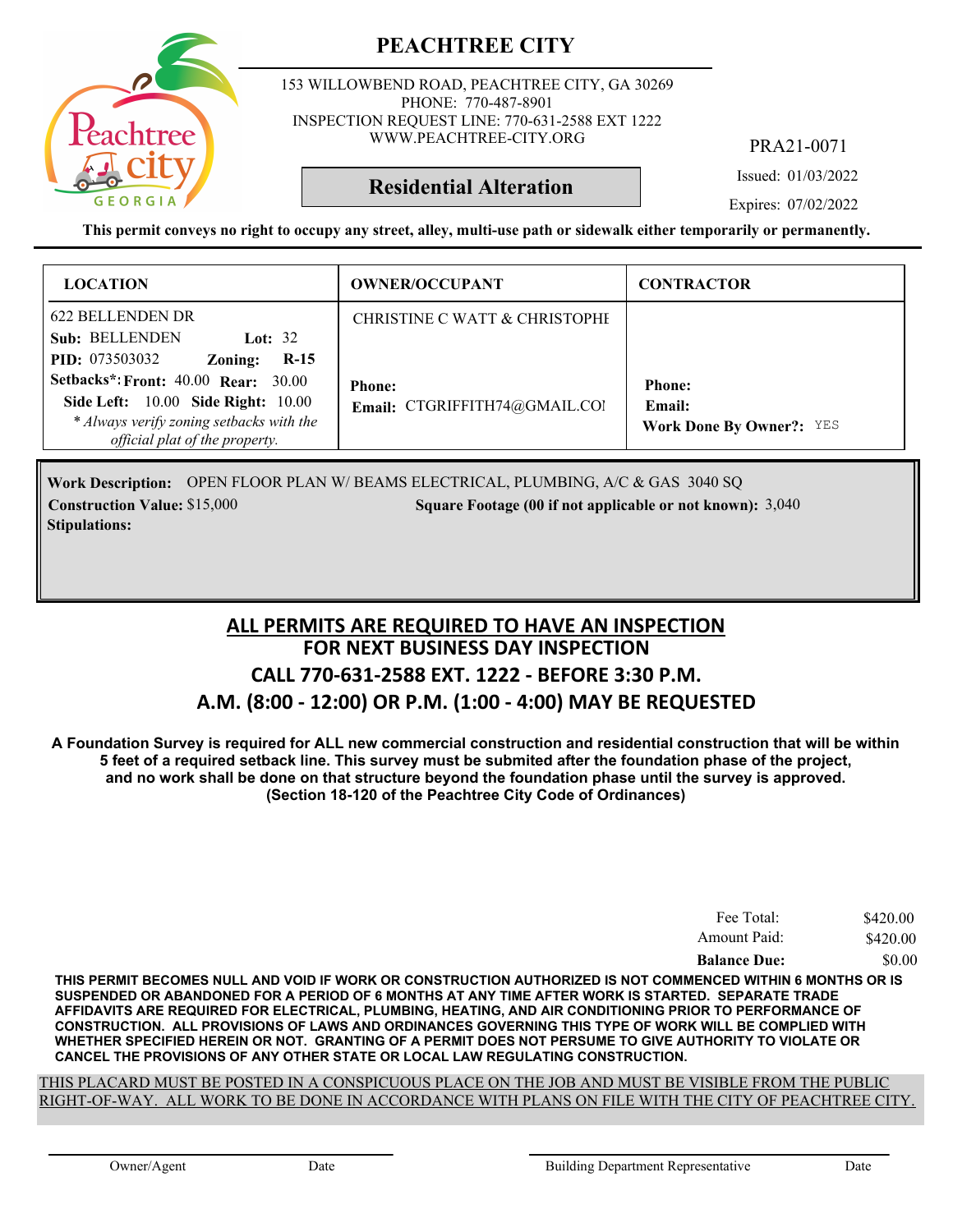

153 WILLOWBEND ROAD, PEACHTREE CITY, GA 30269 PHONE: 770-487-8901 INSPECTION REQUEST LINE: 770-631-2588 EXT 1222 WWW.PEACHTREE-CITY.ORG

PRA21-0071

Issued: 01/03/2022

Expires: 07/02/2022

**This permit conveys no right to occupy any street, alley, multi-use path or sidewalk either temporarily or permanently.**

**Residential Alteration**

| <b>LOCATION</b>                                                                                                                                                | <b>OWNER/OCCUPANT</b>                          | <b>CONTRACTOR</b>                                          |
|----------------------------------------------------------------------------------------------------------------------------------------------------------------|------------------------------------------------|------------------------------------------------------------|
| 622 BELLENDEN DR<br>Sub: BELLENDEN<br>Lot: $32$<br><b>PID:</b> 073503032<br>$R-15$<br>Zoning:                                                                  | CHRISTINE C WATT & CHRISTOPHI                  |                                                            |
| <b>Setbacks*: Front: 40.00 Rear: 30.00</b><br>Side Left: 10.00 Side Right: 10.00<br>* Always verify zoning setbacks with the<br>official plat of the property. | <b>Phone:</b><br>Email: CTGRIFFITH74@GMAIL.COI | <b>Phone:</b><br>Email:<br><b>Work Done By Owner?: YES</b> |

Work Description: OPEN FLOOR PLAN W/BEAMS ELECTRICAL, PLUMBING, A/C & GAS 3040 SQ **Construction Value:** \$15,000 3,040 **Square Footage (00 if not applicable or not known):** 3,040 **Stipulations:**

#### **FOR NEXT BUSINESS DAY INSPECTION CALL 770-631-2588 EXT. 1222 - BEFORE 3:30 P.M. A.M. (8:00 - 12:00) OR P.M. (1:00 - 4:00) MAY BE REQUESTED ALL PERMITS ARE REQUIRED TO HAVE AN INSPECTION**

**A Foundation Survey is required for ALL new commercial construction and residential construction that will be within 5 feet of a required setback line. This survey must be submited after the foundation phase of the project, and no work shall be done on that structure beyond the foundation phase until the survey is approved. (Section 18-120 of the Peachtree City Code of Ordinances)**

| Fee Total:          | \$420.00 |
|---------------------|----------|
| Amount Paid:        | \$420.00 |
| <b>Balance Due:</b> | \$0.00   |

**THIS PERMIT BECOMES NULL AND VOID IF WORK OR CONSTRUCTION AUTHORIZED IS NOT COMMENCED WITHIN 6 MONTHS OR IS SUSPENDED OR ABANDONED FOR A PERIOD OF 6 MONTHS AT ANY TIME AFTER WORK IS STARTED. SEPARATE TRADE AFFIDAVITS ARE REQUIRED FOR ELECTRICAL, PLUMBING, HEATING, AND AIR CONDITIONING PRIOR TO PERFORMANCE OF CONSTRUCTION. ALL PROVISIONS OF LAWS AND ORDINANCES GOVERNING THIS TYPE OF WORK WILL BE COMPLIED WITH WHETHER SPECIFIED HEREIN OR NOT. GRANTING OF A PERMIT DOES NOT PERSUME TO GIVE AUTHORITY TO VIOLATE OR CANCEL THE PROVISIONS OF ANY OTHER STATE OR LOCAL LAW REGULATING CONSTRUCTION.**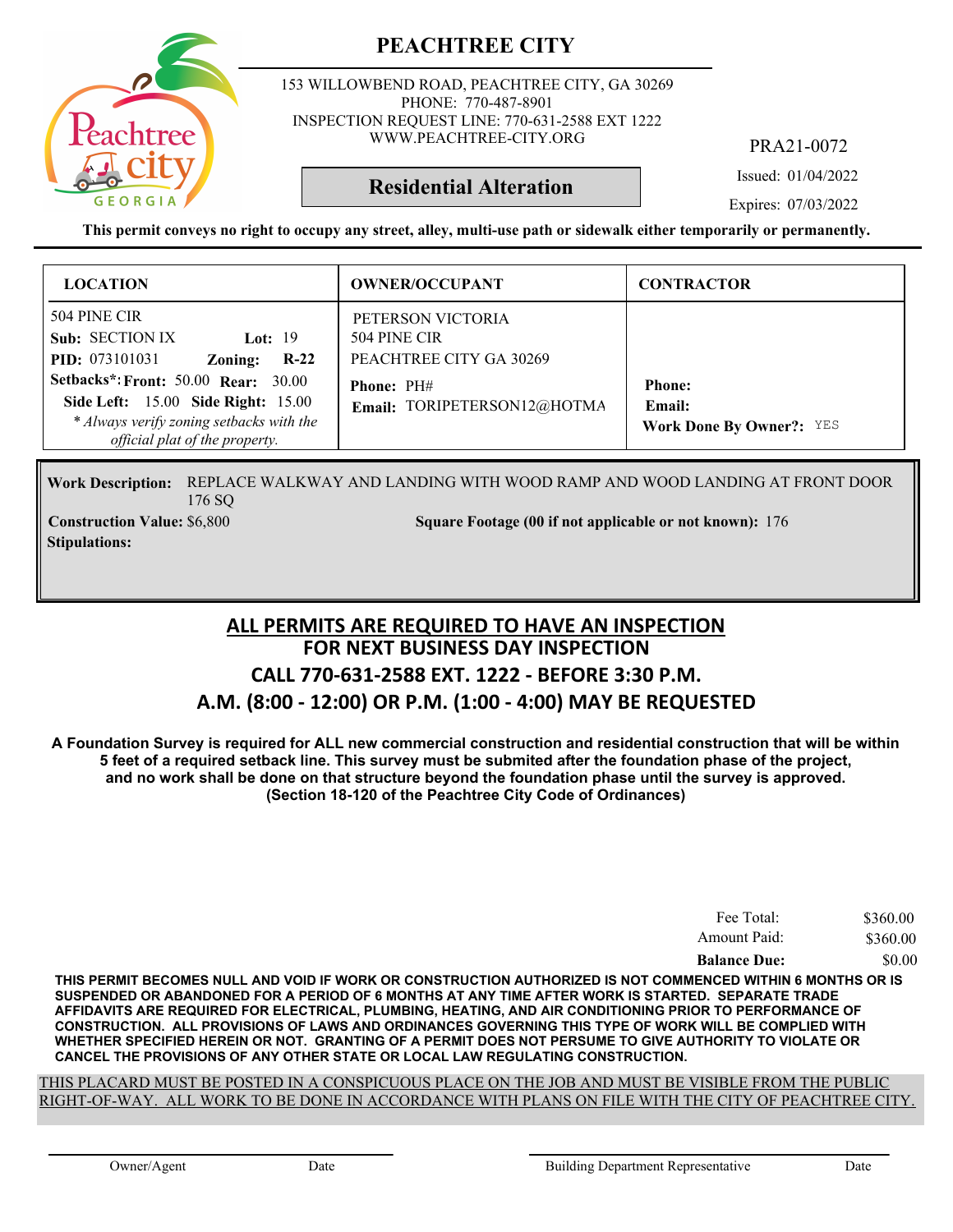

153 WILLOWBEND ROAD, PEACHTREE CITY, GA 30269 PHONE: 770-487-8901 INSPECTION REQUEST LINE: 770-631-2588 EXT 1222 WWW.PEACHTREE-CITY.ORG

PRA21-0072

Issued: 01/04/2022

Expires: 07/03/2022

**This permit conveys no right to occupy any street, alley, multi-use path or sidewalk either temporarily or permanently.**

**Residential Alteration**

| <b>LOCATION</b>                                                                                                                                                              | <b>OWNER/OCCUPANT</b>                                        | <b>CONTRACTOR</b>                                          |
|------------------------------------------------------------------------------------------------------------------------------------------------------------------------------|--------------------------------------------------------------|------------------------------------------------------------|
| 504 PINE CIR<br>Sub: SECTION IX<br>Lot: $19$<br><b>PID:</b> 073101031<br>$R-22$<br>Zoning:                                                                                   | PETERSON VICTORIA<br>504 PINE CIR<br>PEACHTREE CITY GA 30269 |                                                            |
| <b>Setbacks*: Front: 50.00 Rear: 30.00</b><br><b>Side Left:</b> 15.00 <b>Side Right:</b> 15.00<br>* Always verify zoning setbacks with the<br>official plat of the property. | <b>Phone: PH#</b><br>Email: TORIPETERSON12@HOTMA             | <b>Phone:</b><br>Email:<br><b>Work Done By Owner?: YES</b> |

Work Description: REPLACE WALKWAY AND LANDING WITH WOOD RAMP AND WOOD LANDING AT FRONT DOOR 176 SQ

**Stipulations:**

**Construction Value:** \$6,800 5 176 Square Footage (00 if not applicable or not known): 176

#### **FOR NEXT BUSINESS DAY INSPECTION CALL 770-631-2588 EXT. 1222 - BEFORE 3:30 P.M. A.M. (8:00 - 12:00) OR P.M. (1:00 - 4:00) MAY BE REQUESTED ALL PERMITS ARE REQUIRED TO HAVE AN INSPECTION**

**A Foundation Survey is required for ALL new commercial construction and residential construction that will be within 5 feet of a required setback line. This survey must be submited after the foundation phase of the project, and no work shall be done on that structure beyond the foundation phase until the survey is approved. (Section 18-120 of the Peachtree City Code of Ordinances)**

| Fee Total:          | \$360.00 |
|---------------------|----------|
| Amount Paid:        | \$360.00 |
| <b>Balance Due:</b> | \$0.00   |

**THIS PERMIT BECOMES NULL AND VOID IF WORK OR CONSTRUCTION AUTHORIZED IS NOT COMMENCED WITHIN 6 MONTHS OR IS SUSPENDED OR ABANDONED FOR A PERIOD OF 6 MONTHS AT ANY TIME AFTER WORK IS STARTED. SEPARATE TRADE AFFIDAVITS ARE REQUIRED FOR ELECTRICAL, PLUMBING, HEATING, AND AIR CONDITIONING PRIOR TO PERFORMANCE OF CONSTRUCTION. ALL PROVISIONS OF LAWS AND ORDINANCES GOVERNING THIS TYPE OF WORK WILL BE COMPLIED WITH WHETHER SPECIFIED HEREIN OR NOT. GRANTING OF A PERMIT DOES NOT PERSUME TO GIVE AUTHORITY TO VIOLATE OR CANCEL THE PROVISIONS OF ANY OTHER STATE OR LOCAL LAW REGULATING CONSTRUCTION.**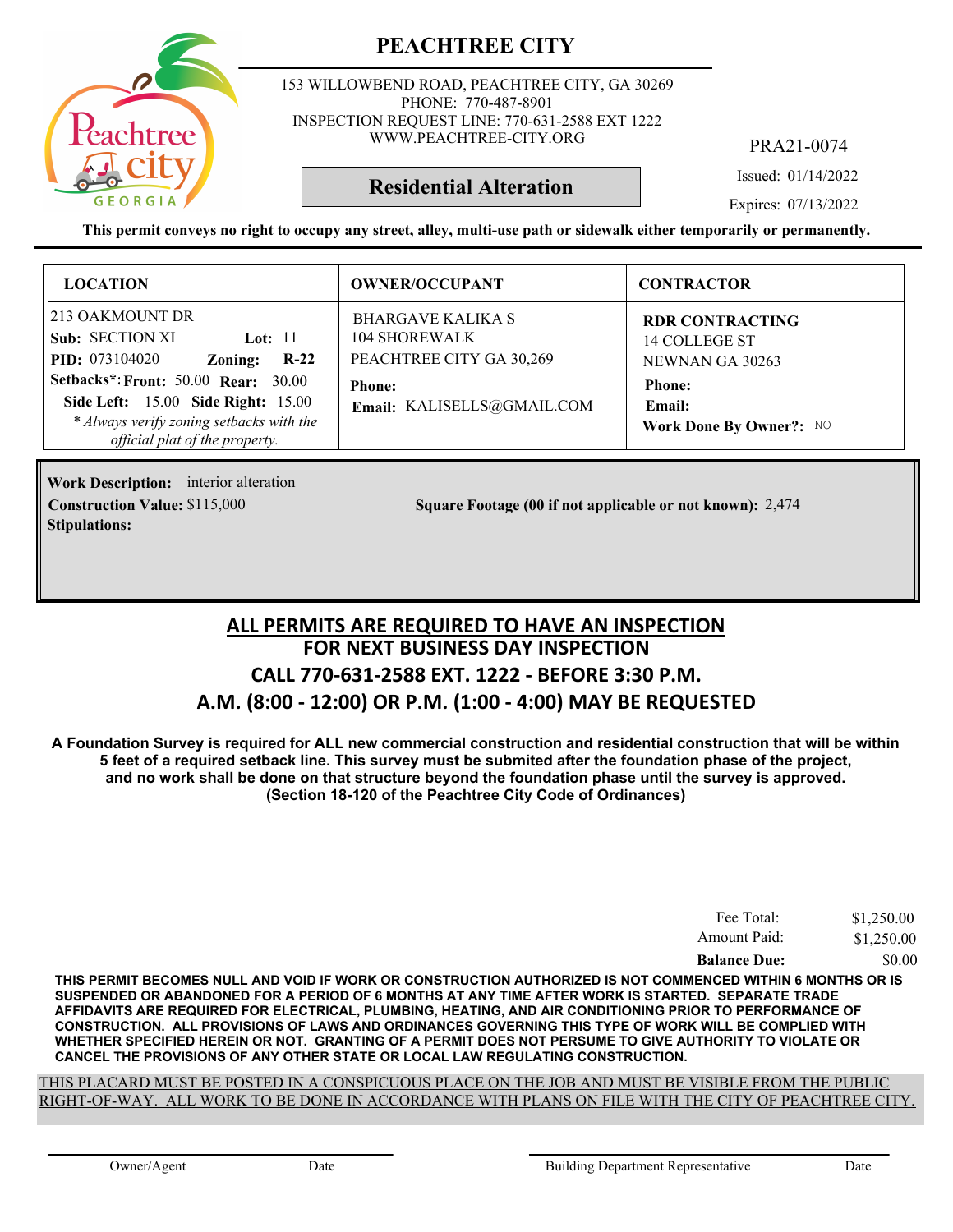

153 WILLOWBEND ROAD, PEACHTREE CITY, GA 30269 PHONE: 770-487-8901 INSPECTION REQUEST LINE: 770-631-2588 EXT 1222 WWW.PEACHTREE-CITY.ORG

PRA21-0074

Issued: 01/14/2022

Expires: 07/13/2022

**This permit conveys no right to occupy any street, alley, multi-use path or sidewalk either temporarily or permanently.**

**Residential Alteration**

| <b>LOCATION</b>                                                                                                                                                                                                                                                 | <b>OWNER/OCCUPANT</b>                                                                                                | <b>CONTRACTOR</b>                                                                                                |
|-----------------------------------------------------------------------------------------------------------------------------------------------------------------------------------------------------------------------------------------------------------------|----------------------------------------------------------------------------------------------------------------------|------------------------------------------------------------------------------------------------------------------|
| 213 OAKMOUNT DR<br>Sub: SECTION XI<br>Lot: $11$<br><b>PID:</b> 073104020<br>$R-22$<br>Zoning:<br><b>Setbacks*: Front: 50.00 Rear: 30.00</b><br>Side Left: 15.00 Side Right: 15.00<br>* Always verify zoning setbacks with the<br>official plat of the property. | <b>BHARGAVE KALIKA S</b><br>104 SHOREWALK<br>PEACHTREE CITY GA 30,269<br><b>Phone:</b><br>Email: KALISELLS@GMAIL.COM | <b>RDR CONTRACTING</b><br>14 COLLEGE ST<br>NEWNAN GA 30263<br><b>Phone:</b><br>Email:<br>Work Done By Owner?: NO |

**Work Description:** interior alteration **Stipulations:**

**Construction Value:** \$115,000 2,474 **Square Footage (00 if not applicable or not known):** 2,474

#### **FOR NEXT BUSINESS DAY INSPECTION CALL 770-631-2588 EXT. 1222 - BEFORE 3:30 P.M. A.M. (8:00 - 12:00) OR P.M. (1:00 - 4:00) MAY BE REQUESTED ALL PERMITS ARE REQUIRED TO HAVE AN INSPECTION**

**A Foundation Survey is required for ALL new commercial construction and residential construction that will be within 5 feet of a required setback line. This survey must be submited after the foundation phase of the project, and no work shall be done on that structure beyond the foundation phase until the survey is approved. (Section 18-120 of the Peachtree City Code of Ordinances)**

| <b>Balance Due:</b> | \$0.00     |
|---------------------|------------|
| Amount Paid:        | \$1,250.00 |
| Fee Total:          | \$1,250.00 |

**THIS PERMIT BECOMES NULL AND VOID IF WORK OR CONSTRUCTION AUTHORIZED IS NOT COMMENCED WITHIN 6 MONTHS OR IS SUSPENDED OR ABANDONED FOR A PERIOD OF 6 MONTHS AT ANY TIME AFTER WORK IS STARTED. SEPARATE TRADE AFFIDAVITS ARE REQUIRED FOR ELECTRICAL, PLUMBING, HEATING, AND AIR CONDITIONING PRIOR TO PERFORMANCE OF CONSTRUCTION. ALL PROVISIONS OF LAWS AND ORDINANCES GOVERNING THIS TYPE OF WORK WILL BE COMPLIED WITH WHETHER SPECIFIED HEREIN OR NOT. GRANTING OF A PERMIT DOES NOT PERSUME TO GIVE AUTHORITY TO VIOLATE OR CANCEL THE PROVISIONS OF ANY OTHER STATE OR LOCAL LAW REGULATING CONSTRUCTION.**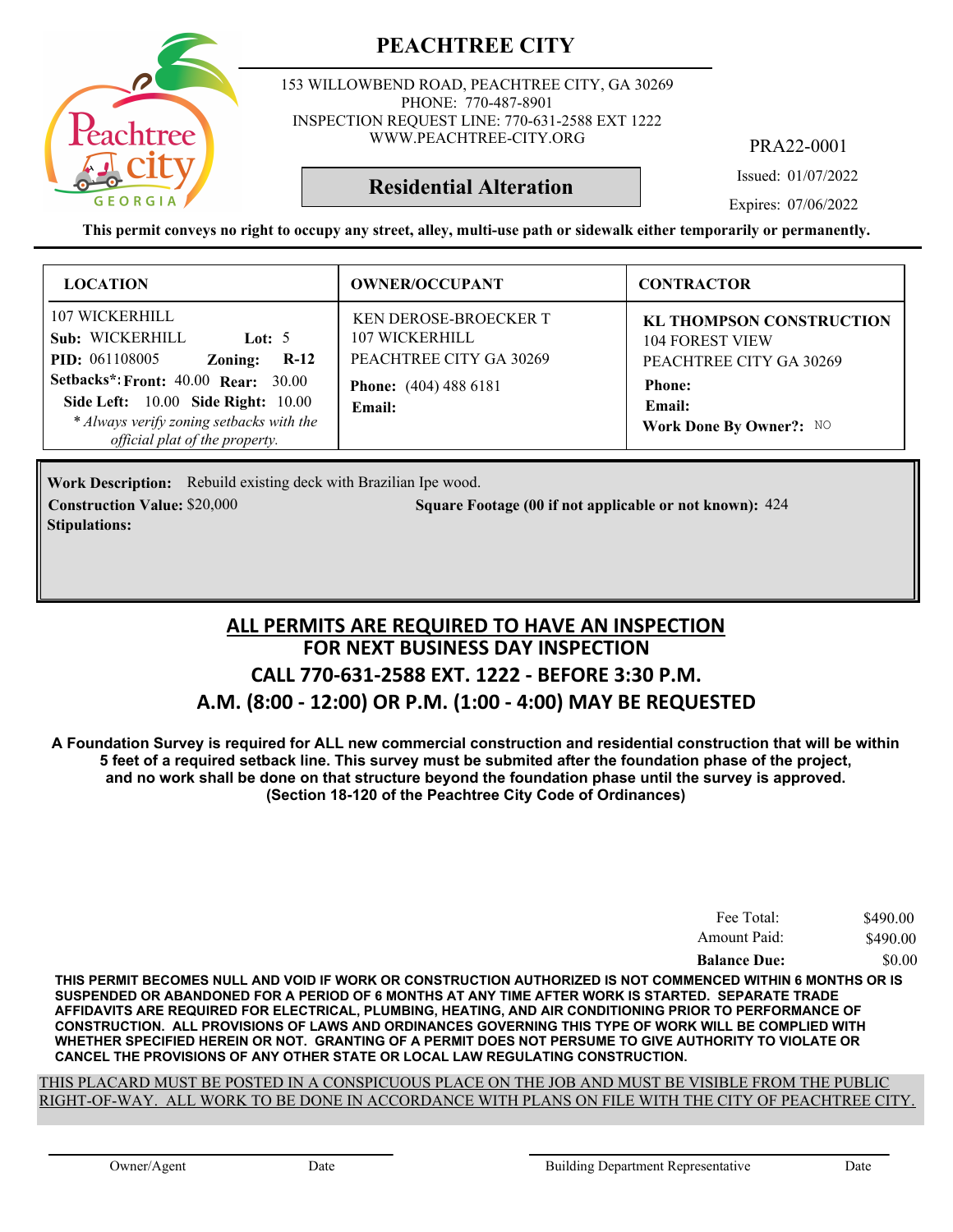

153 WILLOWBEND ROAD, PEACHTREE CITY, GA 30269 PHONE: 770-487-8901 INSPECTION REQUEST LINE: 770-631-2588 EXT 1222 WWW.PEACHTREE-CITY.ORG

PRA22-0001

Issued: 01/07/2022

Expires: 07/06/2022

**This permit conveys no right to occupy any street, alley, multi-use path or sidewalk either temporarily or permanently.**

**Residential Alteration**

| <b>LOCATION</b>                                                                                                                                                | <b>OWNER/OCCUPANT</b>                                                     | <b>CONTRACTOR</b>                                                                    |
|----------------------------------------------------------------------------------------------------------------------------------------------------------------|---------------------------------------------------------------------------|--------------------------------------------------------------------------------------|
| 107 WICKERHILL<br>Sub: WICKERHILL<br>Lot: $5$<br><b>PID:</b> 061108005<br>$R-12$<br>Zoning:                                                                    | <b>KEN DEROSE-BROECKER T</b><br>107 WICKERHILL<br>PEACHTREE CITY GA 30269 | <b>KL THOMPSON CONSTRUCTION</b><br><b>104 FOREST VIEW</b><br>PEACHTREE CITY GA 30269 |
| <b>Setbacks*: Front: 40.00 Rear: 30.00</b><br>Side Left: 10.00 Side Right: 10.00<br>* Always verify zoning setbacks with the<br>official plat of the property. | <b>Phone:</b> (404) 488 6181<br>Email:                                    | <b>Phone:</b><br>Email:<br>Work Done By Owner?: NO                                   |

Work Description: Rebuild existing deck with Brazilian Ipe wood. **Construction Value:** \$20,000 **5000 5000 50000 424 Square Footage (00 if not applicable or not known): 424 Stipulations:**

#### **FOR NEXT BUSINESS DAY INSPECTION CALL 770-631-2588 EXT. 1222 - BEFORE 3:30 P.M. A.M. (8:00 - 12:00) OR P.M. (1:00 - 4:00) MAY BE REQUESTED ALL PERMITS ARE REQUIRED TO HAVE AN INSPECTION**

**A Foundation Survey is required for ALL new commercial construction and residential construction that will be within 5 feet of a required setback line. This survey must be submited after the foundation phase of the project, and no work shall be done on that structure beyond the foundation phase until the survey is approved. (Section 18-120 of the Peachtree City Code of Ordinances)**

| Fee Total:          | \$490.00 |
|---------------------|----------|
| Amount Paid:        | \$490.00 |
| <b>Balance Due:</b> | \$0.00   |

**THIS PERMIT BECOMES NULL AND VOID IF WORK OR CONSTRUCTION AUTHORIZED IS NOT COMMENCED WITHIN 6 MONTHS OR IS SUSPENDED OR ABANDONED FOR A PERIOD OF 6 MONTHS AT ANY TIME AFTER WORK IS STARTED. SEPARATE TRADE AFFIDAVITS ARE REQUIRED FOR ELECTRICAL, PLUMBING, HEATING, AND AIR CONDITIONING PRIOR TO PERFORMANCE OF CONSTRUCTION. ALL PROVISIONS OF LAWS AND ORDINANCES GOVERNING THIS TYPE OF WORK WILL BE COMPLIED WITH WHETHER SPECIFIED HEREIN OR NOT. GRANTING OF A PERMIT DOES NOT PERSUME TO GIVE AUTHORITY TO VIOLATE OR CANCEL THE PROVISIONS OF ANY OTHER STATE OR LOCAL LAW REGULATING CONSTRUCTION.**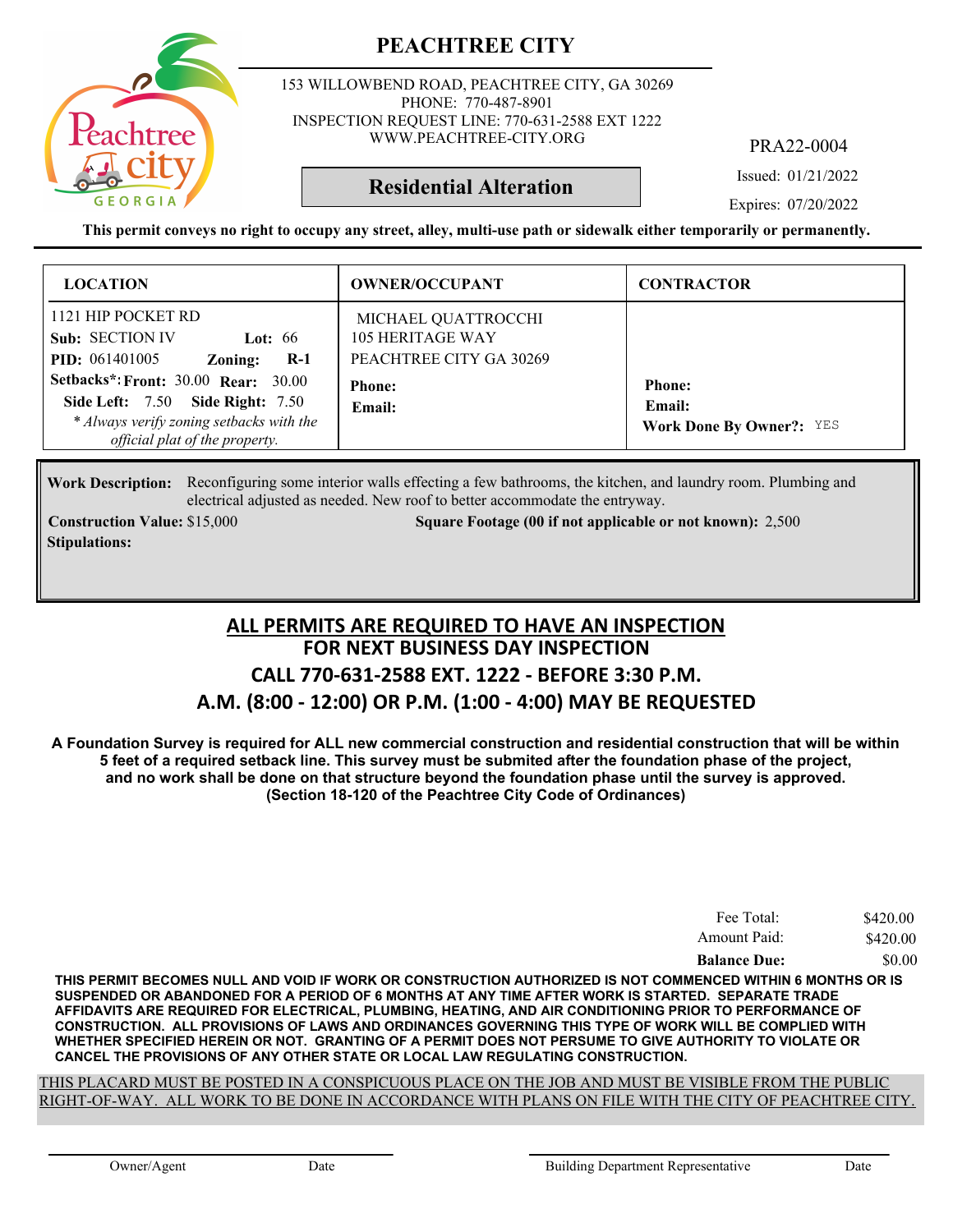

153 WILLOWBEND ROAD, PEACHTREE CITY, GA 30269 PHONE: 770-487-8901 INSPECTION REQUEST LINE: 770-631-2588 EXT 1222 WWW.PEACHTREE-CITY.ORG

PRA22-0004

Issued: 01/21/2022

**Residential Alteration**

Expires: 07/20/2022

**This permit conveys no right to occupy any street, alley, multi-use path or sidewalk either temporarily or permanently.**

| <b>LOCATION</b>                                                                                                                                                                                                                                                        | <b>OWNER/OCCUPANT</b>                                                                         | <b>CONTRACTOR</b>                                          |
|------------------------------------------------------------------------------------------------------------------------------------------------------------------------------------------------------------------------------------------------------------------------|-----------------------------------------------------------------------------------------------|------------------------------------------------------------|
| 1121 HIP POCKET RD<br>Sub: SECTION IV<br>Lot: $66$<br><b>PID:</b> 061401005<br>$R-1$<br>Zoning:<br><b>Setbacks*: Front: 30.00 Rear: 30.00</b><br><b>Side Left: 7.50 Side Right: 7.50</b><br>* Always verify zoning setbacks with the<br>official plat of the property. | MICHAEL QUATTROCCHI<br>105 HERITAGE WAY<br>PEACHTREE CITY GA 30269<br><b>Phone:</b><br>Email: | <b>Phone:</b><br>Email:<br><b>Work Done By Owner?: YES</b> |

Work Description: Reconfiguring some interior walls effecting a few bathrooms, the kitchen, and laundry room. Plumbing and electrical adjusted as needed. New roof to better accommodate the entryway.

**Stipulations:**

**Construction Value:** \$15,000 2,500 Square Footage (00 if not applicable or not known): 2,500

#### **FOR NEXT BUSINESS DAY INSPECTION CALL 770-631-2588 EXT. 1222 - BEFORE 3:30 P.M. A.M. (8:00 - 12:00) OR P.M. (1:00 - 4:00) MAY BE REQUESTED ALL PERMITS ARE REQUIRED TO HAVE AN INSPECTION**

**A Foundation Survey is required for ALL new commercial construction and residential construction that will be within 5 feet of a required setback line. This survey must be submited after the foundation phase of the project, and no work shall be done on that structure beyond the foundation phase until the survey is approved. (Section 18-120 of the Peachtree City Code of Ordinances)**

| Fee Total:          | \$420.00 |
|---------------------|----------|
| Amount Paid:        | \$420.00 |
| <b>Balance Due:</b> | \$0.00   |

**THIS PERMIT BECOMES NULL AND VOID IF WORK OR CONSTRUCTION AUTHORIZED IS NOT COMMENCED WITHIN 6 MONTHS OR IS SUSPENDED OR ABANDONED FOR A PERIOD OF 6 MONTHS AT ANY TIME AFTER WORK IS STARTED. SEPARATE TRADE AFFIDAVITS ARE REQUIRED FOR ELECTRICAL, PLUMBING, HEATING, AND AIR CONDITIONING PRIOR TO PERFORMANCE OF CONSTRUCTION. ALL PROVISIONS OF LAWS AND ORDINANCES GOVERNING THIS TYPE OF WORK WILL BE COMPLIED WITH WHETHER SPECIFIED HEREIN OR NOT. GRANTING OF A PERMIT DOES NOT PERSUME TO GIVE AUTHORITY TO VIOLATE OR CANCEL THE PROVISIONS OF ANY OTHER STATE OR LOCAL LAW REGULATING CONSTRUCTION.**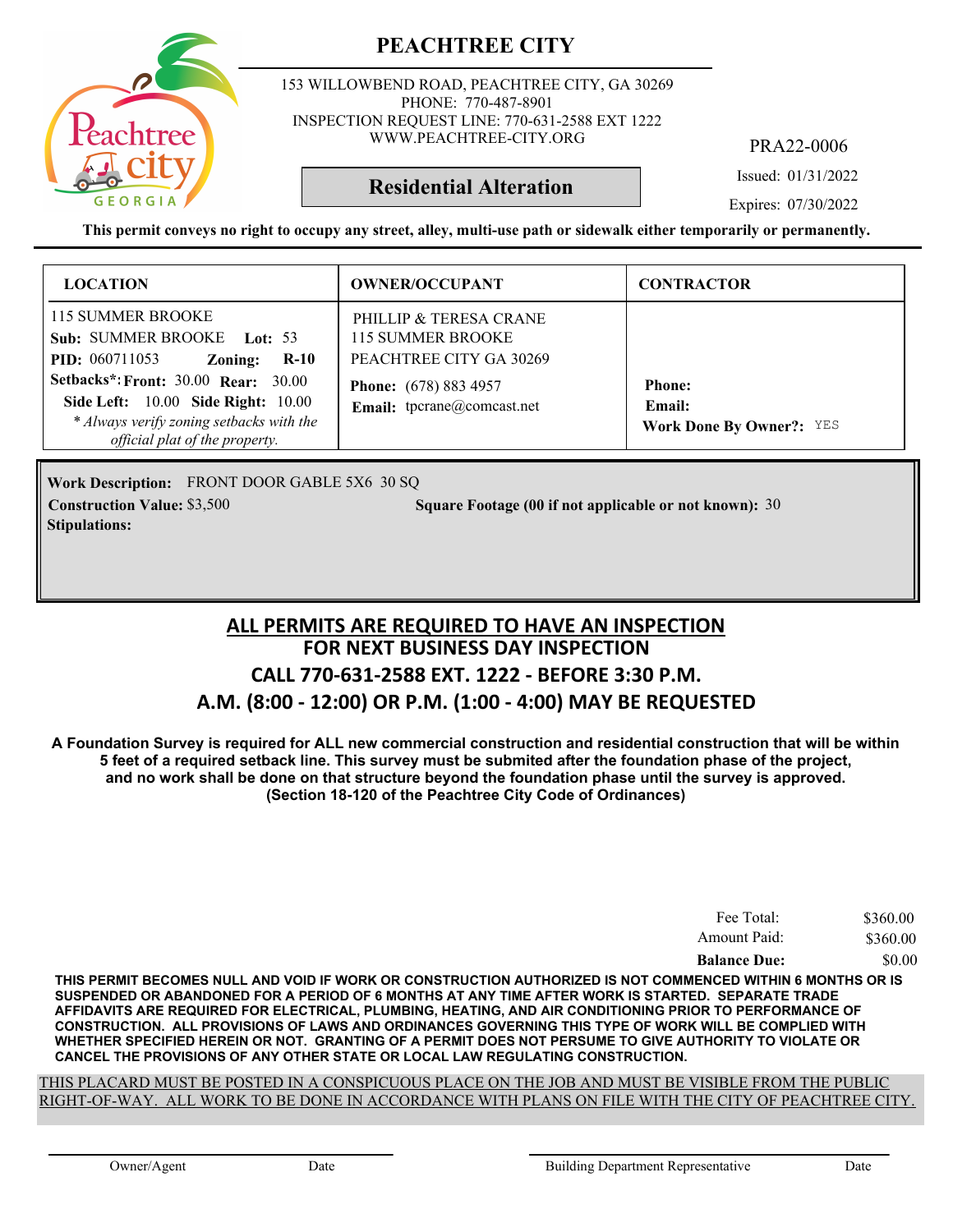

153 WILLOWBEND ROAD, PEACHTREE CITY, GA 30269 PHONE: 770-487-8901 INSPECTION REQUEST LINE: 770-631-2588 EXT 1222 WWW.PEACHTREE-CITY.ORG

PRA22-0006

Issued: 01/31/2022

Expires: 07/30/2022

**This permit conveys no right to occupy any street, alley, multi-use path or sidewalk either temporarily or permanently.**

**Residential Alteration**

| <b>LOCATION</b>                                                                                                                                                                                                                                                               | <b>OWNER/OCCUPANT</b>                                                                                                                       | <b>CONTRACTOR</b>                                          |
|-------------------------------------------------------------------------------------------------------------------------------------------------------------------------------------------------------------------------------------------------------------------------------|---------------------------------------------------------------------------------------------------------------------------------------------|------------------------------------------------------------|
| 115 SUMMER BROOKE<br>Sub: SUMMER BROOKE Lot: 53<br><b>PID:</b> 060711053<br>$R-10$<br>Zoning:<br><b>Setbacks*: Front: 30.00 Rear: 30.00</b><br><b>Side Left:</b> 10.00 <b>Side Right:</b> 10.00<br>* Always verify zoning setbacks with the<br>official plat of the property. | PHILLIP & TERESA CRANE<br><b>115 SUMMER BROOKE</b><br>PEACHTREE CITY GA 30269<br><b>Phone:</b> (678) 883 4957<br>Email: tpcrane@comcast.net | <b>Phone:</b><br>Email:<br><b>Work Done By Owner?: YES</b> |

FRONT DOOR GABLE 5X6 30 SQ **Work Description: Construction Value:** \$3,500 **30 Square Footage (00 if not applicable or not known):** 30 **Stipulations:**

#### **FOR NEXT BUSINESS DAY INSPECTION CALL 770-631-2588 EXT. 1222 - BEFORE 3:30 P.M. A.M. (8:00 - 12:00) OR P.M. (1:00 - 4:00) MAY BE REQUESTED ALL PERMITS ARE REQUIRED TO HAVE AN INSPECTION**

**A Foundation Survey is required for ALL new commercial construction and residential construction that will be within 5 feet of a required setback line. This survey must be submited after the foundation phase of the project, and no work shall be done on that structure beyond the foundation phase until the survey is approved. (Section 18-120 of the Peachtree City Code of Ordinances)**

| Fee Total:          | \$360.00 |
|---------------------|----------|
| Amount Paid:        | \$360.00 |
| <b>Balance Due:</b> | \$0.00   |

**THIS PERMIT BECOMES NULL AND VOID IF WORK OR CONSTRUCTION AUTHORIZED IS NOT COMMENCED WITHIN 6 MONTHS OR IS SUSPENDED OR ABANDONED FOR A PERIOD OF 6 MONTHS AT ANY TIME AFTER WORK IS STARTED. SEPARATE TRADE AFFIDAVITS ARE REQUIRED FOR ELECTRICAL, PLUMBING, HEATING, AND AIR CONDITIONING PRIOR TO PERFORMANCE OF CONSTRUCTION. ALL PROVISIONS OF LAWS AND ORDINANCES GOVERNING THIS TYPE OF WORK WILL BE COMPLIED WITH WHETHER SPECIFIED HEREIN OR NOT. GRANTING OF A PERMIT DOES NOT PERSUME TO GIVE AUTHORITY TO VIOLATE OR CANCEL THE PROVISIONS OF ANY OTHER STATE OR LOCAL LAW REGULATING CONSTRUCTION.**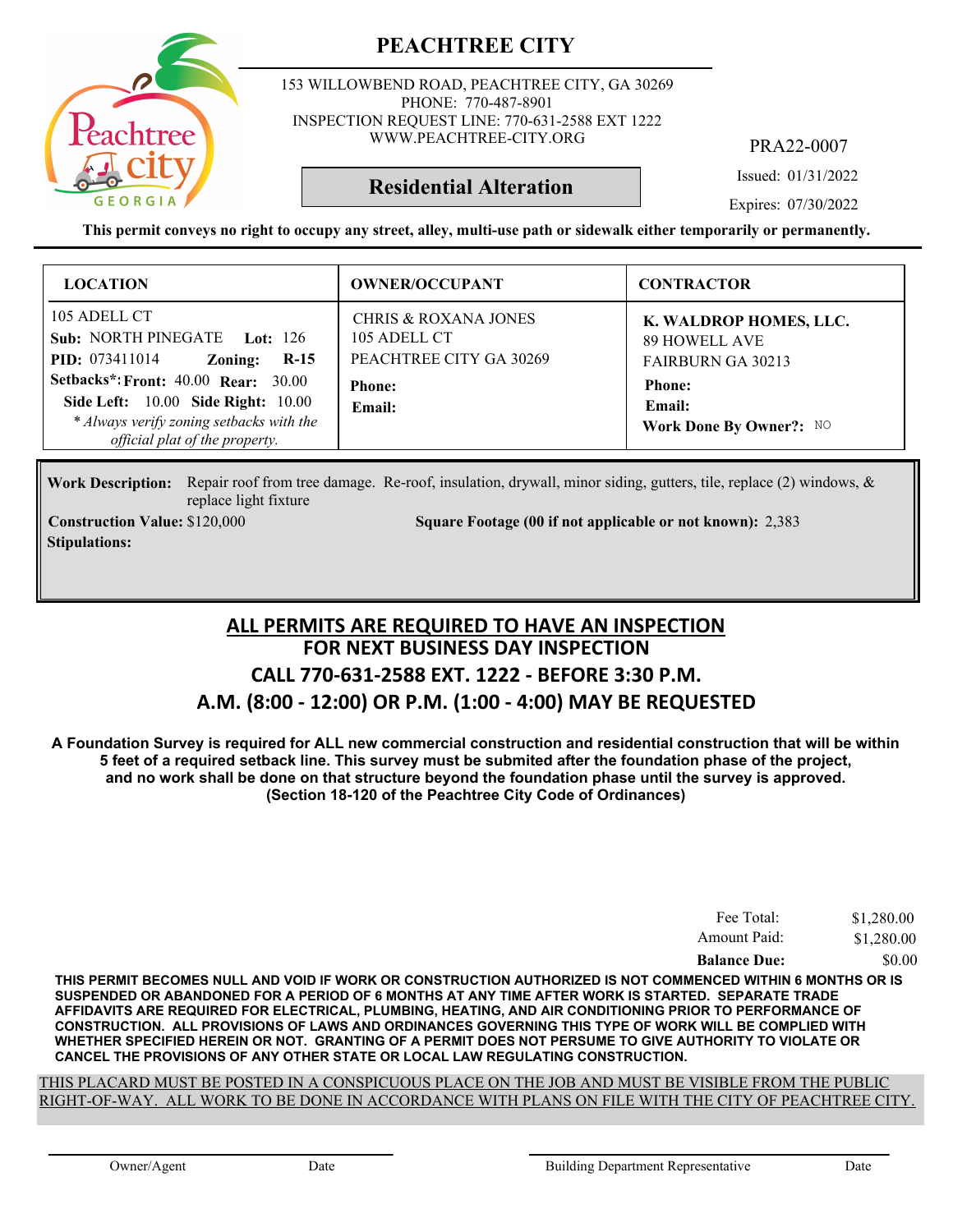

153 WILLOWBEND ROAD, PEACHTREE CITY, GA 30269 PHONE: 770-487-8901 INSPECTION REQUEST LINE: 770-631-2588 EXT 1222 WWW.PEACHTREE-CITY.ORG

PRA22-0007

Issued: 01/31/2022

Expires: 07/30/2022

**This permit conveys no right to occupy any street, alley, multi-use path or sidewalk either temporarily or permanently.**

**Residential Alteration**

| <b>LOCATION</b>                                                                                                                                                                                                                                                     | <b>OWNER/OCCUPANT</b>                                                                                 | <b>CONTRACTOR</b>                                                                                                                |
|---------------------------------------------------------------------------------------------------------------------------------------------------------------------------------------------------------------------------------------------------------------------|-------------------------------------------------------------------------------------------------------|----------------------------------------------------------------------------------------------------------------------------------|
| 105 ADELL CT<br>Sub: NORTH PINEGATE Lot: 126<br><b>PID:</b> 073411014<br>$R-15$<br>Zoning:<br><b>Setbacks*: Front: 40.00 Rear: 30.00</b><br><b>Side Left: 10.00 Side Right: 10.00</b><br>* Always verify zoning setbacks with the<br>official plat of the property. | <b>CHRIS &amp; ROXANA JONES</b><br>105 ADELL CT<br>PEACHTREE CITY GA 30269<br><b>Phone:</b><br>Email: | K. WALDROP HOMES, LLC.<br><b>89 HOWELL AVE</b><br><b>FAIRBURN GA 30213</b><br><b>Phone:</b><br>Email:<br>Work Done By Owner?: NO |

Work Description: Repair roof from tree damage. Re-roof, insulation, drywall, minor siding, gutters, tile, replace (2) windows, & replace light fixture

**Stipulations:**

**Construction Value: Square Footage (00 if not applicable or not known):** \$120,000 2,383

#### **FOR NEXT BUSINESS DAY INSPECTION CALL 770-631-2588 EXT. 1222 - BEFORE 3:30 P.M. A.M. (8:00 - 12:00) OR P.M. (1:00 - 4:00) MAY BE REQUESTED ALL PERMITS ARE REQUIRED TO HAVE AN INSPECTION**

**A Foundation Survey is required for ALL new commercial construction and residential construction that will be within 5 feet of a required setback line. This survey must be submited after the foundation phase of the project, and no work shall be done on that structure beyond the foundation phase until the survey is approved. (Section 18-120 of the Peachtree City Code of Ordinances)**

| Fee Total:          | \$1,280.00 |
|---------------------|------------|
| Amount Paid:        | \$1,280.00 |
| <b>Balance Due:</b> | \$0.00     |

**THIS PERMIT BECOMES NULL AND VOID IF WORK OR CONSTRUCTION AUTHORIZED IS NOT COMMENCED WITHIN 6 MONTHS OR IS SUSPENDED OR ABANDONED FOR A PERIOD OF 6 MONTHS AT ANY TIME AFTER WORK IS STARTED. SEPARATE TRADE AFFIDAVITS ARE REQUIRED FOR ELECTRICAL, PLUMBING, HEATING, AND AIR CONDITIONING PRIOR TO PERFORMANCE OF CONSTRUCTION. ALL PROVISIONS OF LAWS AND ORDINANCES GOVERNING THIS TYPE OF WORK WILL BE COMPLIED WITH WHETHER SPECIFIED HEREIN OR NOT. GRANTING OF A PERMIT DOES NOT PERSUME TO GIVE AUTHORITY TO VIOLATE OR CANCEL THE PROVISIONS OF ANY OTHER STATE OR LOCAL LAW REGULATING CONSTRUCTION.**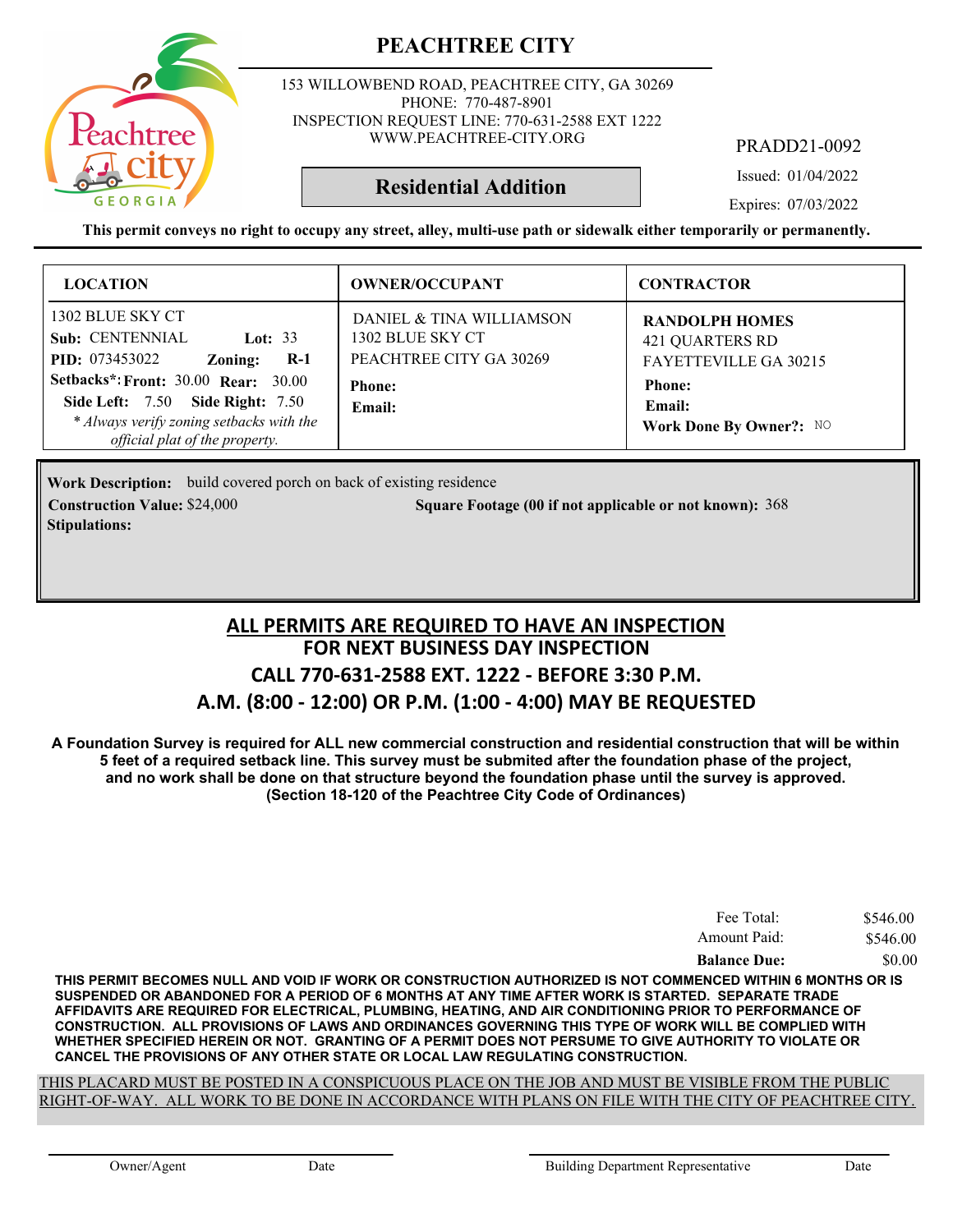

153 WILLOWBEND ROAD, PEACHTREE CITY, GA 30269 PHONE: 770-487-8901 INSPECTION REQUEST LINE: 770-631-2588 EXT 1222 WWW.PEACHTREE-CITY.ORG

PRADD21-0092

Issued: 01/04/2022

Expires: 07/03/2022

**This permit conveys no right to occupy any street, alley, multi-use path or sidewalk either temporarily or permanently.**

**Residential Addition**

| <b>LOCATION</b>                                                                                                                                                                                                                                                      | <b>OWNER/OCCUPANT</b>                                                                              | <b>CONTRACTOR</b>                                                                                                              |
|----------------------------------------------------------------------------------------------------------------------------------------------------------------------------------------------------------------------------------------------------------------------|----------------------------------------------------------------------------------------------------|--------------------------------------------------------------------------------------------------------------------------------|
| 1302 BLUE SKY CT<br>Sub: CENTENNIAL<br>Lot: $33$<br><b>PID:</b> 073453022<br>$R-1$<br>Zoning:<br><b>Setbacks*: Front: 30.00 Rear: 30.00</b><br><b>Side Left: 7.50 Side Right: 7.50</b><br>* Always verify zoning setbacks with the<br>official plat of the property. | DANIEL & TINA WILLIAMSON<br>1302 BLUE SKY CT<br>PEACHTREE CITY GA 30269<br><b>Phone:</b><br>Email: | <b>RANDOLPH HOMES</b><br><b>421 QUARTERS RD</b><br>FAYETTEVILLE GA 30215<br><b>Phone:</b><br>Email:<br>Work Done By Owner?: NO |

Work Description: build covered porch on back of existing residence **Construction Value:** \$24,000 368 **Square Footage (00 if not applicable or not known): 368 Stipulations:**

#### **FOR NEXT BUSINESS DAY INSPECTION CALL 770-631-2588 EXT. 1222 - BEFORE 3:30 P.M. A.M. (8:00 - 12:00) OR P.M. (1:00 - 4:00) MAY BE REQUESTED ALL PERMITS ARE REQUIRED TO HAVE AN INSPECTION**

**A Foundation Survey is required for ALL new commercial construction and residential construction that will be within 5 feet of a required setback line. This survey must be submited after the foundation phase of the project, and no work shall be done on that structure beyond the foundation phase until the survey is approved. (Section 18-120 of the Peachtree City Code of Ordinances)**

| Fee Total:          | \$546.00 |
|---------------------|----------|
| Amount Paid:        | \$546.00 |
| <b>Balance Due:</b> | \$0.00   |

**THIS PERMIT BECOMES NULL AND VOID IF WORK OR CONSTRUCTION AUTHORIZED IS NOT COMMENCED WITHIN 6 MONTHS OR IS SUSPENDED OR ABANDONED FOR A PERIOD OF 6 MONTHS AT ANY TIME AFTER WORK IS STARTED. SEPARATE TRADE AFFIDAVITS ARE REQUIRED FOR ELECTRICAL, PLUMBING, HEATING, AND AIR CONDITIONING PRIOR TO PERFORMANCE OF CONSTRUCTION. ALL PROVISIONS OF LAWS AND ORDINANCES GOVERNING THIS TYPE OF WORK WILL BE COMPLIED WITH WHETHER SPECIFIED HEREIN OR NOT. GRANTING OF A PERMIT DOES NOT PERSUME TO GIVE AUTHORITY TO VIOLATE OR CANCEL THE PROVISIONS OF ANY OTHER STATE OR LOCAL LAW REGULATING CONSTRUCTION.**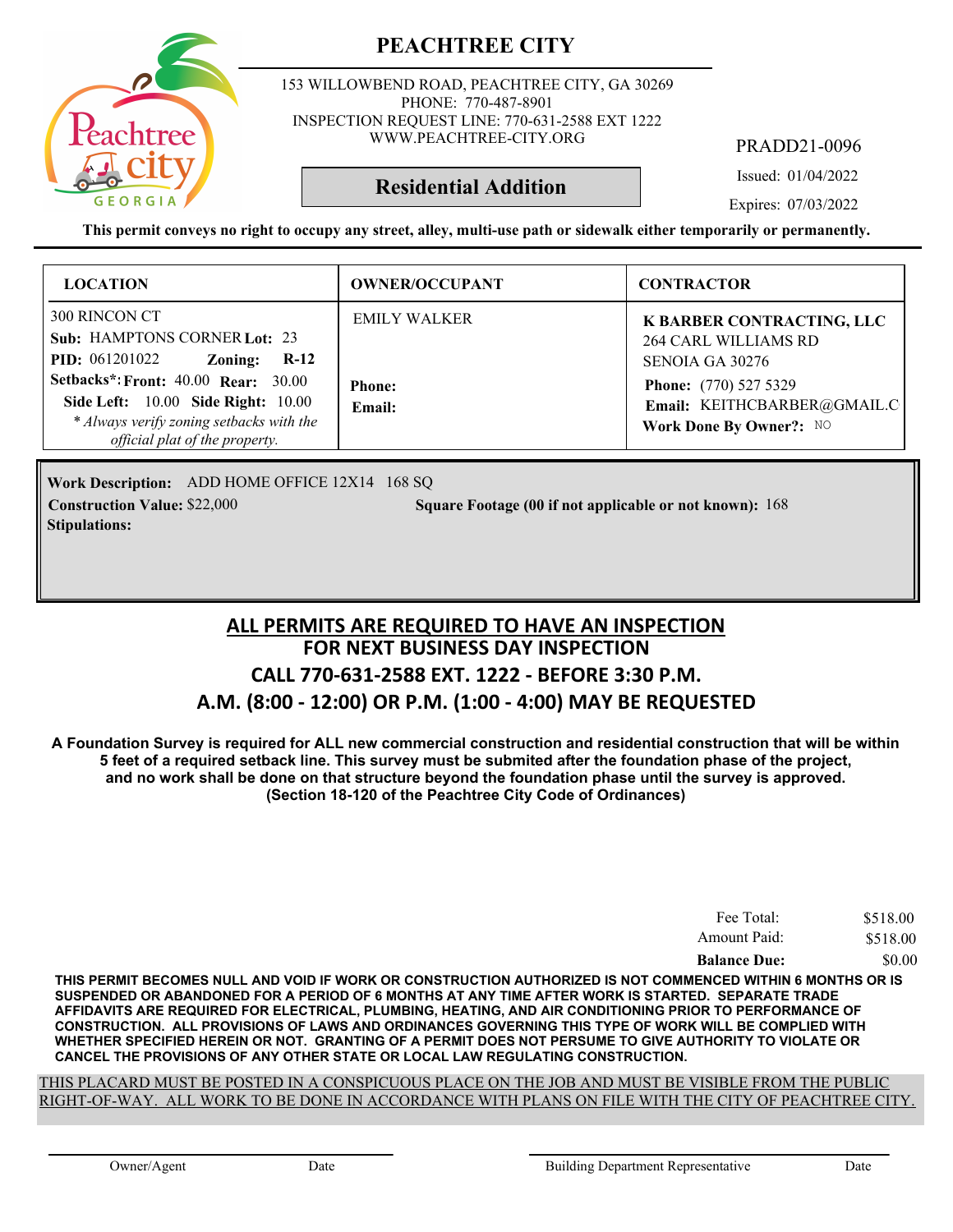

153 WILLOWBEND ROAD, PEACHTREE CITY, GA 30269 PHONE: 770-487-8901 INSPECTION REQUEST LINE: 770-631-2588 EXT 1222 WWW.PEACHTREE-CITY.ORG

PRADD21-0096

Issued: 01/04/2022

Expires: 07/03/2022

**This permit conveys no right to occupy any street, alley, multi-use path or sidewalk either temporarily or permanently.**

**Residential Addition**

| <b>LOCATION</b>                                                                                                                                                              | <b>OWNER/OCCUPANT</b>   | <b>CONTRACTOR</b>                                                                      |
|------------------------------------------------------------------------------------------------------------------------------------------------------------------------------|-------------------------|----------------------------------------------------------------------------------------|
| 300 RINCON CT<br>Sub: HAMPTONS CORNER Lot: 23<br><b>PID:</b> 061201022<br>Zoning:<br>$R-12$                                                                                  | <b>EMILY WALKER</b>     | K BARBER CONTRACTING, LLC<br><b>264 CARL WILLIAMS RD</b><br>SENOIA GA 30276            |
| <b>Setbacks*: Front: 40.00 Rear: 30.00</b><br><b>Side Left:</b> 10.00 <b>Side Right:</b> 10.00<br>* Always verify zoning setbacks with the<br>official plat of the property. | <b>Phone:</b><br>Email: | <b>Phone:</b> (770) 527 5329<br>Email: KEITHCBARBER@GMAIL.C<br>Work Done By Owner?: NO |

Work Description: ADD HOME OFFICE 12X14 168 SQ **Construction Value: Square Footage (00 if not applicable or not known):** \$22,000 168 **Stipulations:**

#### **FOR NEXT BUSINESS DAY INSPECTION CALL 770-631-2588 EXT. 1222 - BEFORE 3:30 P.M. A.M. (8:00 - 12:00) OR P.M. (1:00 - 4:00) MAY BE REQUESTED ALL PERMITS ARE REQUIRED TO HAVE AN INSPECTION**

**A Foundation Survey is required for ALL new commercial construction and residential construction that will be within 5 feet of a required setback line. This survey must be submited after the foundation phase of the project, and no work shall be done on that structure beyond the foundation phase until the survey is approved. (Section 18-120 of the Peachtree City Code of Ordinances)**

| Fee Total:          | \$518.00 |
|---------------------|----------|
| Amount Paid:        | \$518.00 |
| <b>Balance Due:</b> | \$0.00   |

**THIS PERMIT BECOMES NULL AND VOID IF WORK OR CONSTRUCTION AUTHORIZED IS NOT COMMENCED WITHIN 6 MONTHS OR IS SUSPENDED OR ABANDONED FOR A PERIOD OF 6 MONTHS AT ANY TIME AFTER WORK IS STARTED. SEPARATE TRADE AFFIDAVITS ARE REQUIRED FOR ELECTRICAL, PLUMBING, HEATING, AND AIR CONDITIONING PRIOR TO PERFORMANCE OF CONSTRUCTION. ALL PROVISIONS OF LAWS AND ORDINANCES GOVERNING THIS TYPE OF WORK WILL BE COMPLIED WITH WHETHER SPECIFIED HEREIN OR NOT. GRANTING OF A PERMIT DOES NOT PERSUME TO GIVE AUTHORITY TO VIOLATE OR CANCEL THE PROVISIONS OF ANY OTHER STATE OR LOCAL LAW REGULATING CONSTRUCTION.**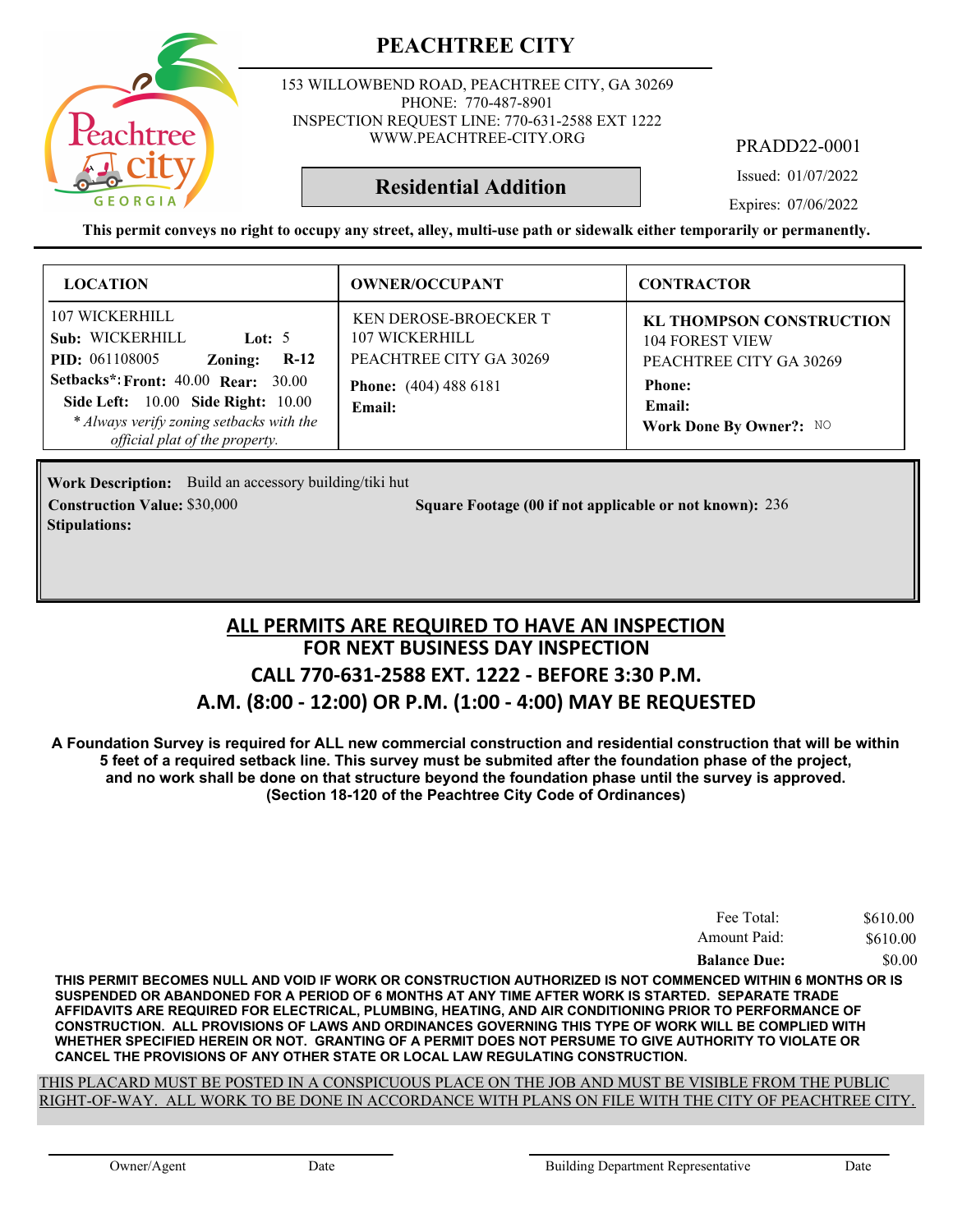153 WILLOWBEND ROAD, PEACHTREE CITY, GA 30269 PHONE: 770-487-8901 INSPECTION REQUEST LINE: 770-631-2588 EXT 1222 WWW.PEACHTREE-CITY.ORG

PRADD22-0001

Issued: 01/07/2022

**Residential Addition**

Expires: 07/06/2022

**This permit conveys no right to occupy any street, alley, multi-use path or sidewalk either temporarily or permanently.**

| <b>LOCATION</b>                                                                                                                                                                                                             | <b>OWNER/OCCUPANT</b>                                                                                               | <b>CONTRACTOR</b>                                                                                                                          |
|-----------------------------------------------------------------------------------------------------------------------------------------------------------------------------------------------------------------------------|---------------------------------------------------------------------------------------------------------------------|--------------------------------------------------------------------------------------------------------------------------------------------|
| 107 WICKERHILL<br>Sub: WICKERHILL<br>Lot: $5$<br><b>PID:</b> 061108005<br>$R-12$<br>Zoning:<br><b>Setbacks*: Front: 40.00 Rear: 30.00</b><br>Side Left: 10.00 Side Right: 10.00<br>* Always verify zoning setbacks with the | <b>KEN DEROSE-BROECKER T</b><br>107 WICKERHILL<br>PEACHTREE CITY GA 30269<br><b>Phone:</b> (404) 488 6181<br>Email: | <b>KL THOMPSON CONSTRUCTION</b><br><b>104 FOREST VIEW</b><br>PEACHTREE CITY GA 30269<br><b>Phone:</b><br>Email:<br>Work Done By Owner?: NO |
| official plat of the property.                                                                                                                                                                                              |                                                                                                                     |                                                                                                                                            |

Work Description: Build an accessory building/tiki hut **Stipulations:**

**Construction Value: Square Footage (00 if not applicable or not known):** \$30,000 236

#### **FOR NEXT BUSINESS DAY INSPECTION CALL 770-631-2588 EXT. 1222 - BEFORE 3:30 P.M. A.M. (8:00 - 12:00) OR P.M. (1:00 - 4:00) MAY BE REQUESTED ALL PERMITS ARE REQUIRED TO HAVE AN INSPECTION**

**A Foundation Survey is required for ALL new commercial construction and residential construction that will be within 5 feet of a required setback line. This survey must be submited after the foundation phase of the project, and no work shall be done on that structure beyond the foundation phase until the survey is approved. (Section 18-120 of the Peachtree City Code of Ordinances)**

| Fee Total:          | \$610.00 |
|---------------------|----------|
| Amount Paid:        | \$610.00 |
| <b>Balance Due:</b> | \$0.00   |

**THIS PERMIT BECOMES NULL AND VOID IF WORK OR CONSTRUCTION AUTHORIZED IS NOT COMMENCED WITHIN 6 MONTHS OR IS SUSPENDED OR ABANDONED FOR A PERIOD OF 6 MONTHS AT ANY TIME AFTER WORK IS STARTED. SEPARATE TRADE AFFIDAVITS ARE REQUIRED FOR ELECTRICAL, PLUMBING, HEATING, AND AIR CONDITIONING PRIOR TO PERFORMANCE OF CONSTRUCTION. ALL PROVISIONS OF LAWS AND ORDINANCES GOVERNING THIS TYPE OF WORK WILL BE COMPLIED WITH WHETHER SPECIFIED HEREIN OR NOT. GRANTING OF A PERMIT DOES NOT PERSUME TO GIVE AUTHORITY TO VIOLATE OR CANCEL THE PROVISIONS OF ANY OTHER STATE OR LOCAL LAW REGULATING CONSTRUCTION.**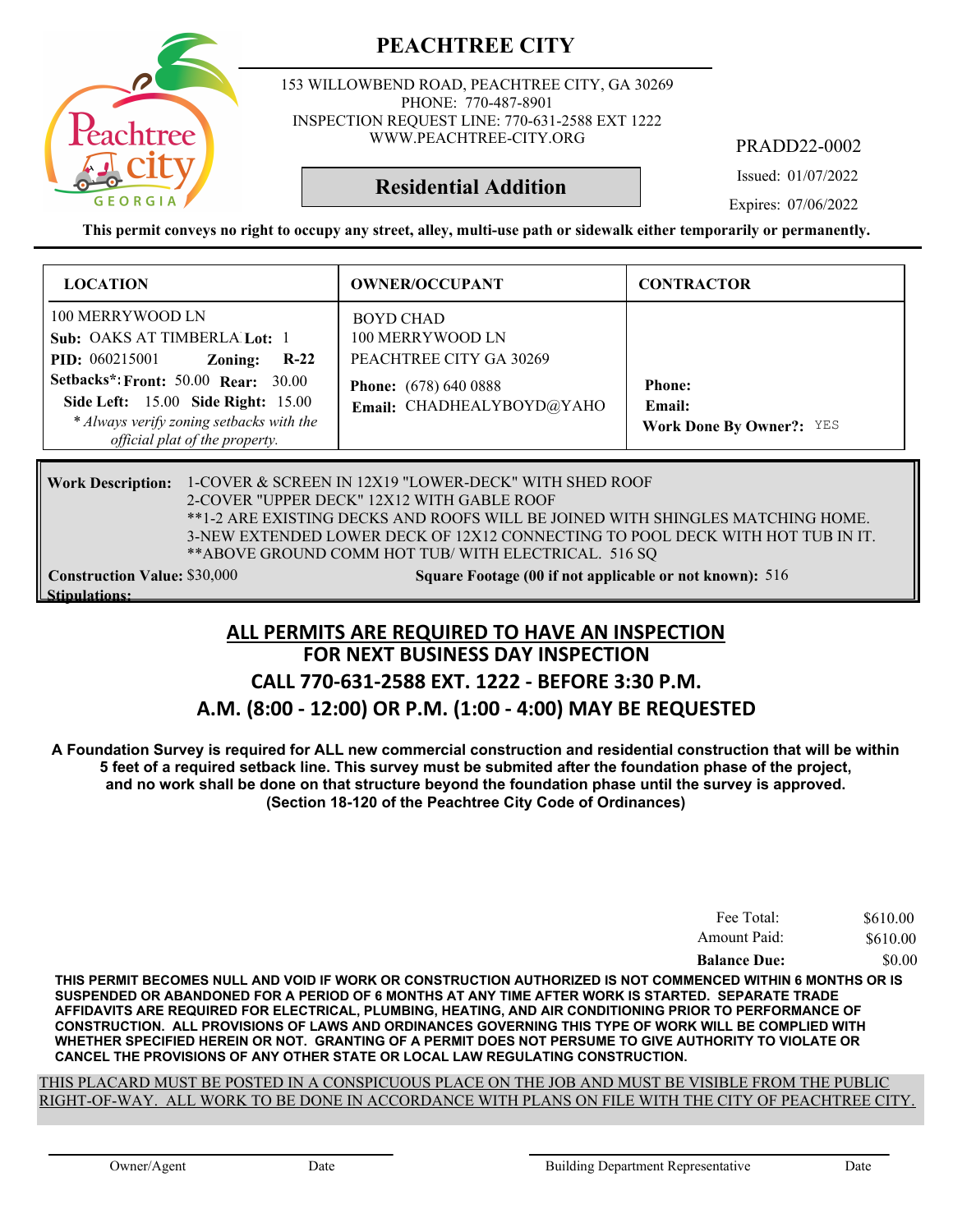

153 WILLOWBEND ROAD, PEACHTREE CITY, GA 30269 PHONE: 770-487-8901 INSPECTION REQUEST LINE: 770-631-2588 EXT 1222 WWW.PEACHTREE-CITY.ORG

PRADD22-0002

Issued: 01/07/2022

Expires: 07/06/2022

**This permit conveys no right to occupy any street, alley, multi-use path or sidewalk either temporarily or permanently.**

**Residential Addition**

| <b>LOCATION</b>                                                                                                                                                                    | <b>OWNER/OCCUPANT</b>                                                                                                 | <b>CONTRACTOR</b>               |
|------------------------------------------------------------------------------------------------------------------------------------------------------------------------------------|-----------------------------------------------------------------------------------------------------------------------|---------------------------------|
| 100 MERRYWOOD LN<br>Sub: OAKS AT TIMBERLA Lot: 1<br>$R-22$<br><b>PID:</b> 060215001<br>Zoning:<br><b>Setbacks*: Front: 50.00 Rear: 30.00</b><br>Side Left: 15.00 Side Right: 15.00 | BOYD CHAD<br>100 MERRYWOOD LN<br>PEACHTREE CITY GA 30269<br><b>Phone:</b> (678) 640 0888<br>Email: CHADHEALYBOYD@YAHO | <b>Phone:</b><br>Email:         |
| * Always verify zoning setbacks with the<br>official plat of the property.                                                                                                         |                                                                                                                       | <b>Work Done By Owner?: YES</b> |

Work Description: 1-COVER & SCREEN IN 12X19 "LOWER-DECK" WITH SHED ROOF 2-COVER "UPPER DECK" 12X12 WITH GABLE ROOF \*\*1-2 ARE EXISTING DECKS AND ROOFS WILL BE JOINED WITH SHINGLES MATCHING HOME. 3-NEW EXTENDED LOWER DECK OF 12X12 CONNECTING TO POOL DECK WITH HOT TUB IN IT. \*\*ABOVE GROUND COMM HOT TUB/ WITH ELECTRICAL. 516 SQ **Construction Value:** \$30,000 516 **Square Footage (00 if not applicable or not known):** 516

**Stipulations:**

#### **FOR NEXT BUSINESS DAY INSPECTION ALL PERMITS ARE REQUIRED TO HAVE AN INSPECTION**

#### **CALL 770-631-2588 EXT. 1222 - BEFORE 3:30 P.M.**

#### **A.M. (8:00 - 12:00) OR P.M. (1:00 - 4:00) MAY BE REQUESTED**

**A Foundation Survey is required for ALL new commercial construction and residential construction that will be within 5 feet of a required setback line. This survey must be submited after the foundation phase of the project, and no work shall be done on that structure beyond the foundation phase until the survey is approved. (Section 18-120 of the Peachtree City Code of Ordinances)**

| Fee Total:          | \$610.00 |
|---------------------|----------|
| Amount Paid:        | \$610.00 |
| <b>Balance Due:</b> | \$0.00   |

**THIS PERMIT BECOMES NULL AND VOID IF WORK OR CONSTRUCTION AUTHORIZED IS NOT COMMENCED WITHIN 6 MONTHS OR IS SUSPENDED OR ABANDONED FOR A PERIOD OF 6 MONTHS AT ANY TIME AFTER WORK IS STARTED. SEPARATE TRADE AFFIDAVITS ARE REQUIRED FOR ELECTRICAL, PLUMBING, HEATING, AND AIR CONDITIONING PRIOR TO PERFORMANCE OF CONSTRUCTION. ALL PROVISIONS OF LAWS AND ORDINANCES GOVERNING THIS TYPE OF WORK WILL BE COMPLIED WITH WHETHER SPECIFIED HEREIN OR NOT. GRANTING OF A PERMIT DOES NOT PERSUME TO GIVE AUTHORITY TO VIOLATE OR CANCEL THE PROVISIONS OF ANY OTHER STATE OR LOCAL LAW REGULATING CONSTRUCTION.**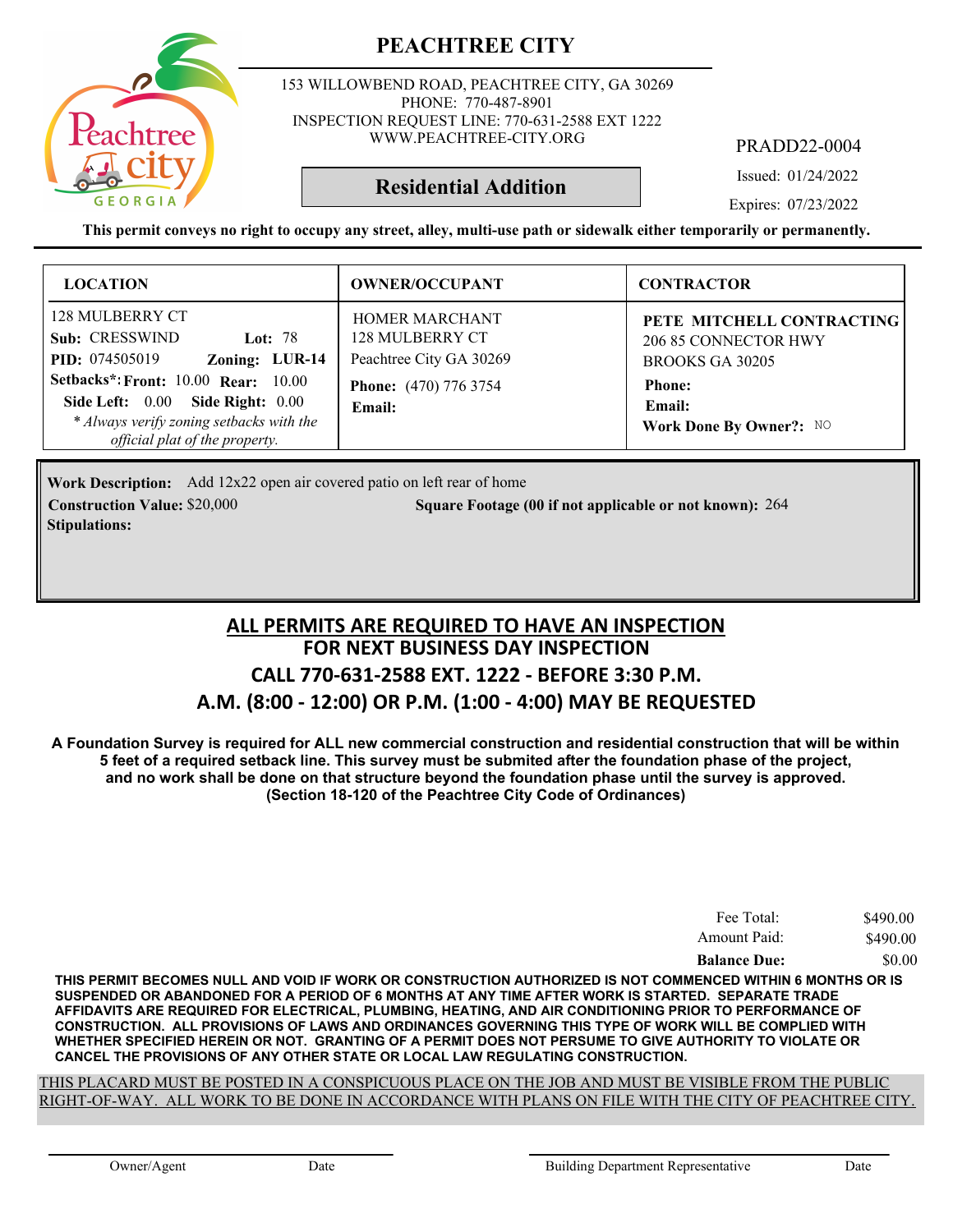

153 WILLOWBEND ROAD, PEACHTREE CITY, GA 30269 PHONE: 770-487-8901 INSPECTION REQUEST LINE: 770-631-2588 EXT 1222 WWW.PEACHTREE-CITY.ORG

PRADD22-0004

Issued: 01/24/2022

**Residential Addition**

Expires: 07/23/2022

**This permit conveys no right to occupy any street, alley, multi-use path or sidewalk either temporarily or permanently.**

| <b>LOCATION</b>                                                                                                                                       | <b>OWNER/OCCUPANT</b>                                               | <b>CONTRACTOR</b>                                                    |
|-------------------------------------------------------------------------------------------------------------------------------------------------------|---------------------------------------------------------------------|----------------------------------------------------------------------|
| 128 MULBERRY CT<br>Sub: CRESSWIND<br><b>Lot: 78</b><br>Zoning: LUR-14<br><b>PID:</b> 074505019                                                        | <b>HOMER MARCHANT</b><br>128 MULBERRY CT<br>Peachtree City GA 30269 | PETE MITCHELL CONTRACTING<br>206 85 CONNECTOR HWY<br>BROOKS GA 30205 |
| Setbacks*: Front: 10.00 Rear: 10.00<br>Side Left: 0.00 Side Right: 0.00<br>* Always verify zoning setbacks with the<br>official plat of the property. | <b>Phone:</b> (470) 776 3754<br>Email:                              | <b>Phone:</b><br><b>Email:</b><br>Work Done By Owner?: NO            |

Work Description: Add 12x22 open air covered patio on left rear of home **Construction Value:** \$20,000 264 **2000 264 Square Footage (00 if not applicable or not known): 264 Stipulations:**

#### **FOR NEXT BUSINESS DAY INSPECTION CALL 770-631-2588 EXT. 1222 - BEFORE 3:30 P.M. A.M. (8:00 - 12:00) OR P.M. (1:00 - 4:00) MAY BE REQUESTED ALL PERMITS ARE REQUIRED TO HAVE AN INSPECTION**

**A Foundation Survey is required for ALL new commercial construction and residential construction that will be within 5 feet of a required setback line. This survey must be submited after the foundation phase of the project, and no work shall be done on that structure beyond the foundation phase until the survey is approved. (Section 18-120 of the Peachtree City Code of Ordinances)**

| Fee Total:          | \$490.00 |
|---------------------|----------|
| Amount Paid:        | \$490.00 |
| <b>Balance Due:</b> | \$0.00   |

**THIS PERMIT BECOMES NULL AND VOID IF WORK OR CONSTRUCTION AUTHORIZED IS NOT COMMENCED WITHIN 6 MONTHS OR IS SUSPENDED OR ABANDONED FOR A PERIOD OF 6 MONTHS AT ANY TIME AFTER WORK IS STARTED. SEPARATE TRADE AFFIDAVITS ARE REQUIRED FOR ELECTRICAL, PLUMBING, HEATING, AND AIR CONDITIONING PRIOR TO PERFORMANCE OF CONSTRUCTION. ALL PROVISIONS OF LAWS AND ORDINANCES GOVERNING THIS TYPE OF WORK WILL BE COMPLIED WITH WHETHER SPECIFIED HEREIN OR NOT. GRANTING OF A PERMIT DOES NOT PERSUME TO GIVE AUTHORITY TO VIOLATE OR CANCEL THE PROVISIONS OF ANY OTHER STATE OR LOCAL LAW REGULATING CONSTRUCTION.**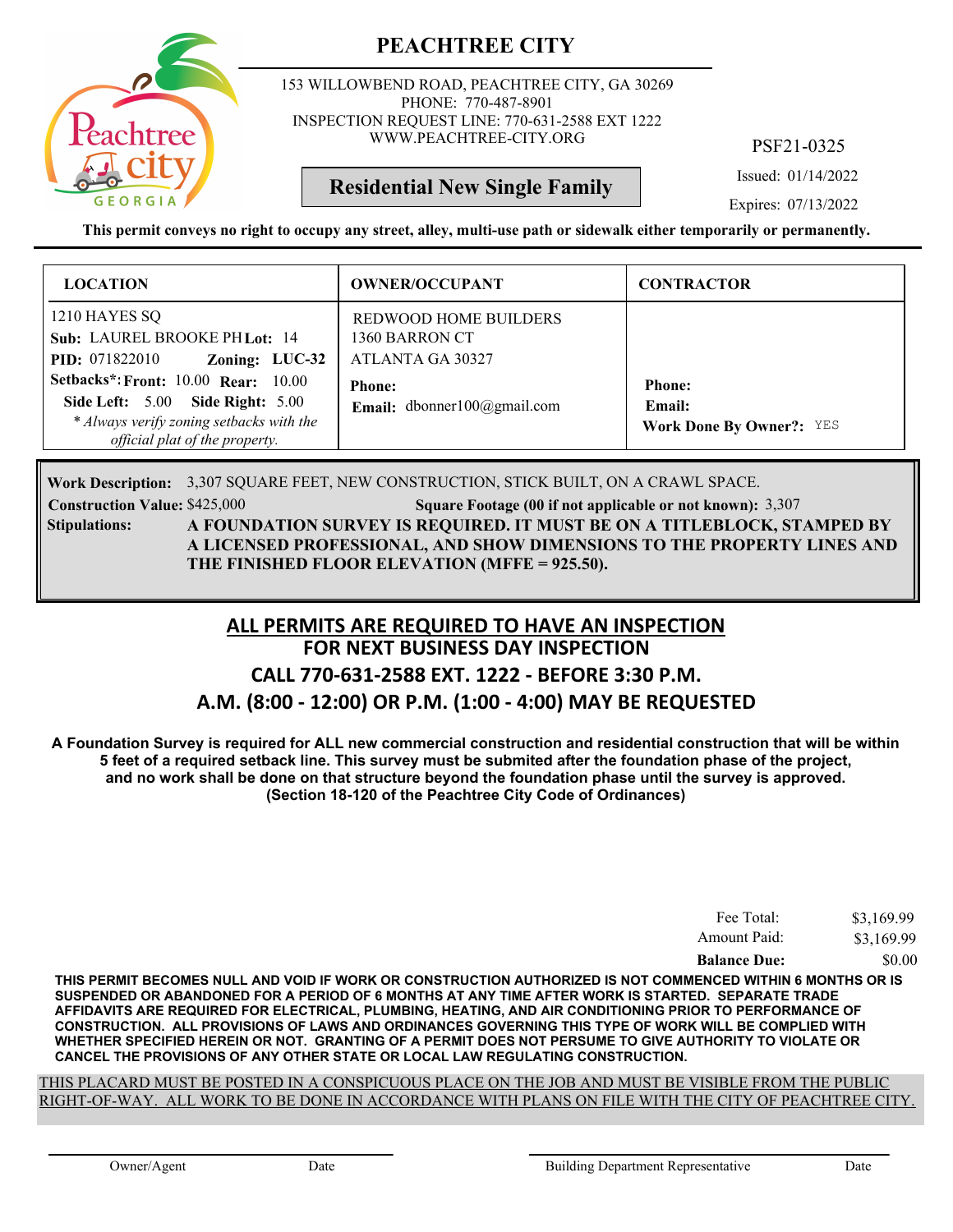

153 WILLOWBEND ROAD, PEACHTREE CITY, GA 30269 PHONE: 770-487-8901 INSPECTION REQUEST LINE: 770-631-2588 EXT 1222 WWW.PEACHTREE-CITY.ORG

PSF21-0325

Issued: 01/14/2022

Expires: 07/13/2022

**This permit conveys no right to occupy any street, alley, multi-use path or sidewalk either temporarily or permanently.**

**Residential New Single Family**

| <b>LOCATION</b>                                                                                                                                                     | <b>OWNER/OCCUPANT</b>                                              | <b>CONTRACTOR</b>                                          |
|---------------------------------------------------------------------------------------------------------------------------------------------------------------------|--------------------------------------------------------------------|------------------------------------------------------------|
| 1210 HAYES SQ<br>Sub: LAUREL BROOKE PH Lot: 14<br>Zoning: LUC-32<br><b>PID:</b> 071822010                                                                           | <b>REDWOOD HOME BUILDERS</b><br>1360 BARRON CT<br>ATLANTA GA 30327 |                                                            |
| <b>Setbacks*: Front: 10.00 Rear: 10.00</b><br><b>Side Left: 5.00 Side Right: 5.00</b><br>* Always verify zoning setbacks with the<br>official plat of the property. | <b>Phone:</b><br><b>Email:</b> dbonner100@gmail.com                | <b>Phone:</b><br>Email:<br><b>Work Done By Owner?: YES</b> |

3,307 SQUARE FEET, NEW CONSTRUCTION, STICK BUILT, ON A CRAWL SPACE. **Work Description:**

**Construction Value:** \$425,000 3,307 **Square Footage (00 if not applicable or not known):** 3,307 **A FOUNDATION SURVEY IS REQUIRED. IT MUST BE ON A TITLEBLOCK, STAMPED BY A LICENSED PROFESSIONAL, AND SHOW DIMENSIONS TO THE PROPERTY LINES AND THE FINISHED FLOOR ELEVATION (MFFE = 925.50). Stipulations:**

#### **FOR NEXT BUSINESS DAY INSPECTION CALL 770-631-2588 EXT. 1222 - BEFORE 3:30 P.M. ALL PERMITS ARE REQUIRED TO HAVE AN INSPECTION**

# **A.M. (8:00 - 12:00) OR P.M. (1:00 - 4:00) MAY BE REQUESTED**

**A Foundation Survey is required for ALL new commercial construction and residential construction that will be within 5 feet of a required setback line. This survey must be submited after the foundation phase of the project, and no work shall be done on that structure beyond the foundation phase until the survey is approved. (Section 18-120 of the Peachtree City Code of Ordinances)**

| Fee Total:          | \$3,169.99 |
|---------------------|------------|
| Amount Paid:        | \$3,169.99 |
| <b>Balance Due:</b> | \$0.00     |

**THIS PERMIT BECOMES NULL AND VOID IF WORK OR CONSTRUCTION AUTHORIZED IS NOT COMMENCED WITHIN 6 MONTHS OR IS SUSPENDED OR ABANDONED FOR A PERIOD OF 6 MONTHS AT ANY TIME AFTER WORK IS STARTED. SEPARATE TRADE AFFIDAVITS ARE REQUIRED FOR ELECTRICAL, PLUMBING, HEATING, AND AIR CONDITIONING PRIOR TO PERFORMANCE OF CONSTRUCTION. ALL PROVISIONS OF LAWS AND ORDINANCES GOVERNING THIS TYPE OF WORK WILL BE COMPLIED WITH WHETHER SPECIFIED HEREIN OR NOT. GRANTING OF A PERMIT DOES NOT PERSUME TO GIVE AUTHORITY TO VIOLATE OR CANCEL THE PROVISIONS OF ANY OTHER STATE OR LOCAL LAW REGULATING CONSTRUCTION.**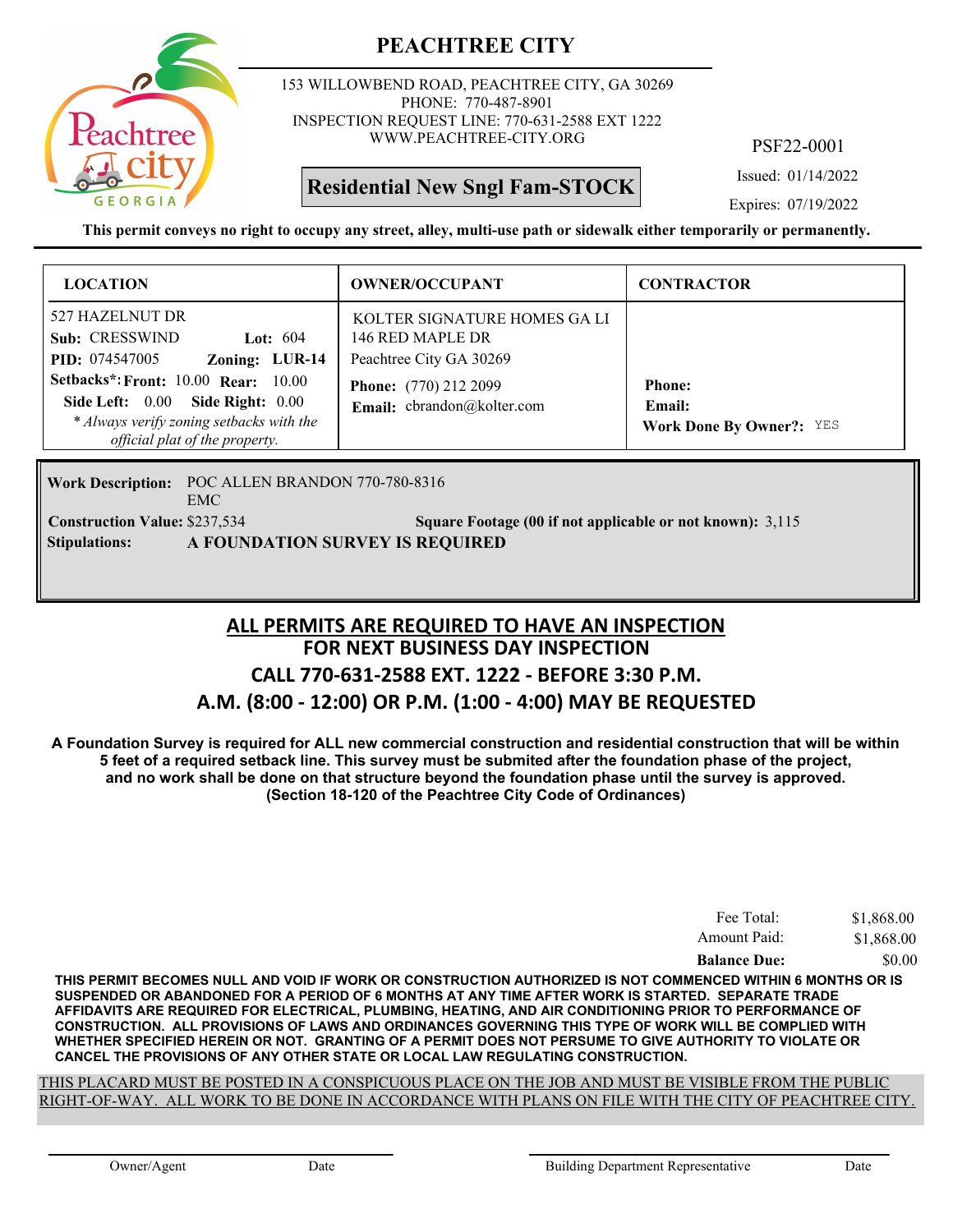

153 WILLOWBEND ROAD, PEACHTREE CITY, GA 30269 PHONE: 770-487-8901 INSPECTION REQUEST LINE: 770-631-2588 EXT 1222 WWW.PEACHTREE-CITY.ORG

**Residential New Sngl Fam-STOCK**

PSF22-0001

Issued: 01/14/2022

Expires: 07/19/2022

**This permit conveys no right to occupy any street, alley, multi-use path or sidewalk either temporarily or permanently.**

| <b>LOCATION</b>                                                                                                                                                                                                                                                   | <b>OWNER/OCCUPANT</b>                                                                                                                     | <b>CONTRACTOR</b>                                          |
|-------------------------------------------------------------------------------------------------------------------------------------------------------------------------------------------------------------------------------------------------------------------|-------------------------------------------------------------------------------------------------------------------------------------------|------------------------------------------------------------|
| 527 HAZELNUT DR<br>Sub: CRESSWIND<br>Lot: $604$<br>Zoning: LUR-14<br><b>PID:</b> 074547005<br><b>Setbacks*: Front: 10.00 Rear: 10.00</b><br>Side Left: $0.00$<br>Side Right: $0.00$<br>* Always verify zoning setbacks with the<br>official plat of the property. | KOLTER SIGNATURE HOMES GA LI<br>146 RED MAPLE DR<br>Peachtree City GA 30269<br><b>Phone:</b> (770) 212 2099<br>Email: cbrandon@kolter.com | <b>Phone:</b><br>Email:<br><b>Work Done By Owner?: YES</b> |

Work Description: POC ALLEN BRANDON 770-780-8316 EMC **Construction Value:** \$237,534 **3,115 Square Footage (00 if not applicable or not known):** 3,115 **Stipulations: A FOUNDATION SURVEY IS REQUIRED**

#### **FOR NEXT BUSINESS DAY INSPECTION CALL 770-631-2588 EXT. 1222 - BEFORE 3:30 P.M. A.M. (8:00 - 12:00) OR P.M. (1:00 - 4:00) MAY BE REQUESTED ALL PERMITS ARE REQUIRED TO HAVE AN INSPECTION**

**A Foundation Survey is required for ALL new commercial construction and residential construction that will be within 5 feet of a required setback line. This survey must be submited after the foundation phase of the project, and no work shall be done on that structure beyond the foundation phase until the survey is approved. (Section 18-120 of the Peachtree City Code of Ordinances)**

| Fee Total:          | \$1,868.00 |
|---------------------|------------|
| Amount Paid:        | \$1,868.00 |
| <b>Balance Due:</b> | \$0.00     |

**THIS PERMIT BECOMES NULL AND VOID IF WORK OR CONSTRUCTION AUTHORIZED IS NOT COMMENCED WITHIN 6 MONTHS OR IS SUSPENDED OR ABANDONED FOR A PERIOD OF 6 MONTHS AT ANY TIME AFTER WORK IS STARTED. SEPARATE TRADE AFFIDAVITS ARE REQUIRED FOR ELECTRICAL, PLUMBING, HEATING, AND AIR CONDITIONING PRIOR TO PERFORMANCE OF CONSTRUCTION. ALL PROVISIONS OF LAWS AND ORDINANCES GOVERNING THIS TYPE OF WORK WILL BE COMPLIED WITH WHETHER SPECIFIED HEREIN OR NOT. GRANTING OF A PERMIT DOES NOT PERSUME TO GIVE AUTHORITY TO VIOLATE OR CANCEL THE PROVISIONS OF ANY OTHER STATE OR LOCAL LAW REGULATING CONSTRUCTION.**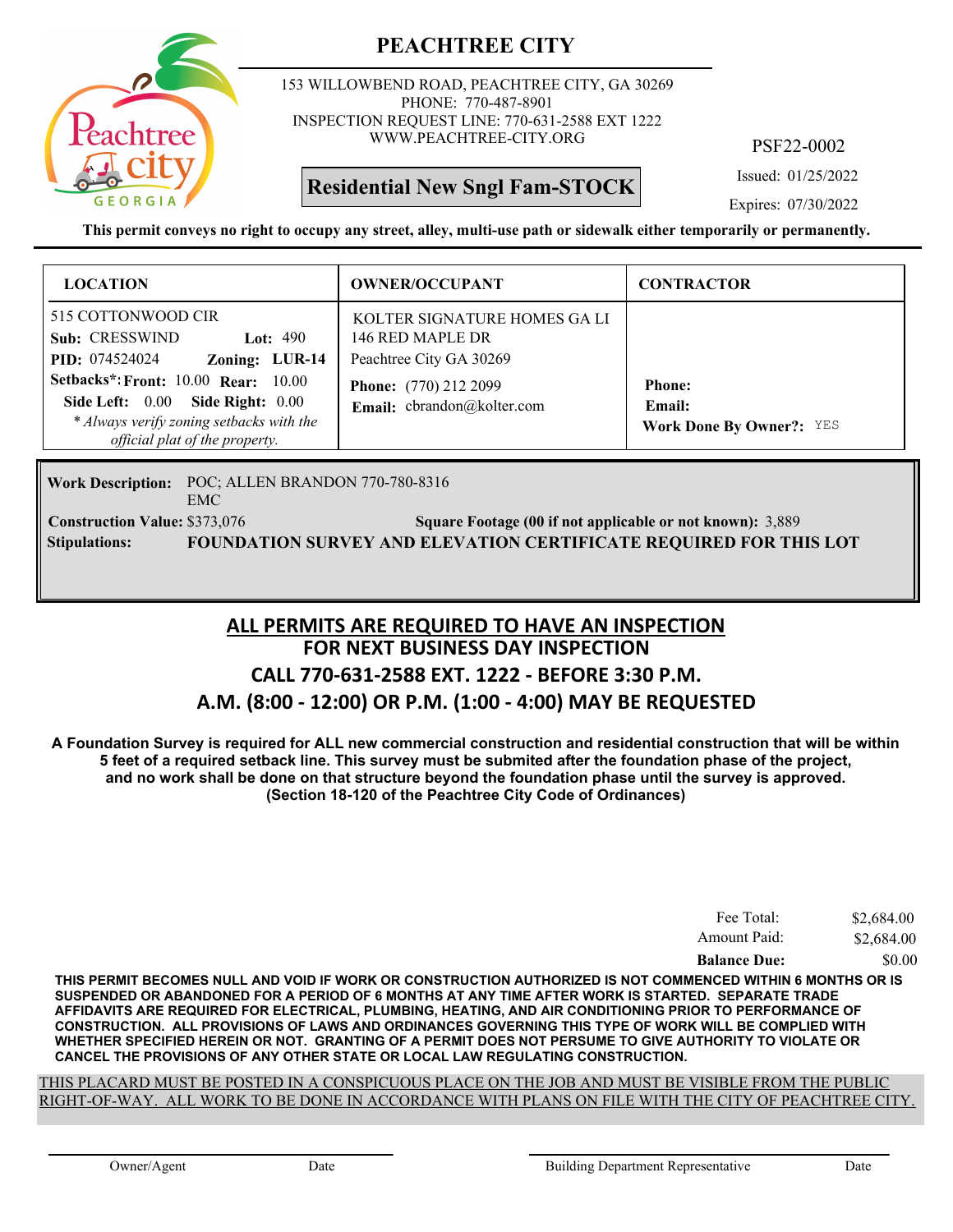

153 WILLOWBEND ROAD, PEACHTREE CITY, GA 30269 PHONE: 770-487-8901 INSPECTION REQUEST LINE: 770-631-2588 EXT 1222 WWW.PEACHTREE-CITY.ORG

**Residential New Sngl Fam-STOCK**

PSF22-0002

Issued: 01/25/2022

Expires: 07/30/2022

**This permit conveys no right to occupy any street, alley, multi-use path or sidewalk either temporarily or permanently.**

| <b>LOCATION</b>                                                                                                                             | <b>OWNER/OCCUPANT</b>                                                       | <b>CONTRACTOR</b>                                          |
|---------------------------------------------------------------------------------------------------------------------------------------------|-----------------------------------------------------------------------------|------------------------------------------------------------|
| 515 COTTONWOOD CIR<br>Sub: CRESSWIND<br>Lot: $490$<br><b>PID:</b> 074524024<br>Zoning: LUR-14<br><b>Setbacks*: Front: 10.00 Rear: 10.00</b> | KOLTER SIGNATURE HOMES GA LI<br>146 RED MAPLE DR<br>Peachtree City GA 30269 |                                                            |
| Side Left: 0.00 Side Right: 0.00<br>* Always verify zoning setbacks with the<br>official plat of the property.                              | <b>Phone:</b> (770) 212 2099<br>Email: cbrandon@kolter.com                  | <b>Phone:</b><br>Email:<br><b>Work Done By Owner?: YES</b> |

Work Description: POC; ALLEN BRANDON 770-780-8316 EMC **Construction Value:** \$373,076 **3,889 Square Footage (00 if not applicable or not known):** 3,889 **Stipulations: FOUNDATION SURVEY AND ELEVATION CERTIFICATE REQUIRED FOR THIS LOT**

#### **FOR NEXT BUSINESS DAY INSPECTION CALL 770-631-2588 EXT. 1222 - BEFORE 3:30 P.M. A.M. (8:00 - 12:00) OR P.M. (1:00 - 4:00) MAY BE REQUESTED ALL PERMITS ARE REQUIRED TO HAVE AN INSPECTION**

**A Foundation Survey is required for ALL new commercial construction and residential construction that will be within 5 feet of a required setback line. This survey must be submited after the foundation phase of the project, and no work shall be done on that structure beyond the foundation phase until the survey is approved. (Section 18-120 of the Peachtree City Code of Ordinances)**

| \$0.00     |
|------------|
| \$2,684.00 |
| \$2,684.00 |
|            |

**THIS PERMIT BECOMES NULL AND VOID IF WORK OR CONSTRUCTION AUTHORIZED IS NOT COMMENCED WITHIN 6 MONTHS OR IS SUSPENDED OR ABANDONED FOR A PERIOD OF 6 MONTHS AT ANY TIME AFTER WORK IS STARTED. SEPARATE TRADE AFFIDAVITS ARE REQUIRED FOR ELECTRICAL, PLUMBING, HEATING, AND AIR CONDITIONING PRIOR TO PERFORMANCE OF CONSTRUCTION. ALL PROVISIONS OF LAWS AND ORDINANCES GOVERNING THIS TYPE OF WORK WILL BE COMPLIED WITH WHETHER SPECIFIED HEREIN OR NOT. GRANTING OF A PERMIT DOES NOT PERSUME TO GIVE AUTHORITY TO VIOLATE OR CANCEL THE PROVISIONS OF ANY OTHER STATE OR LOCAL LAW REGULATING CONSTRUCTION.**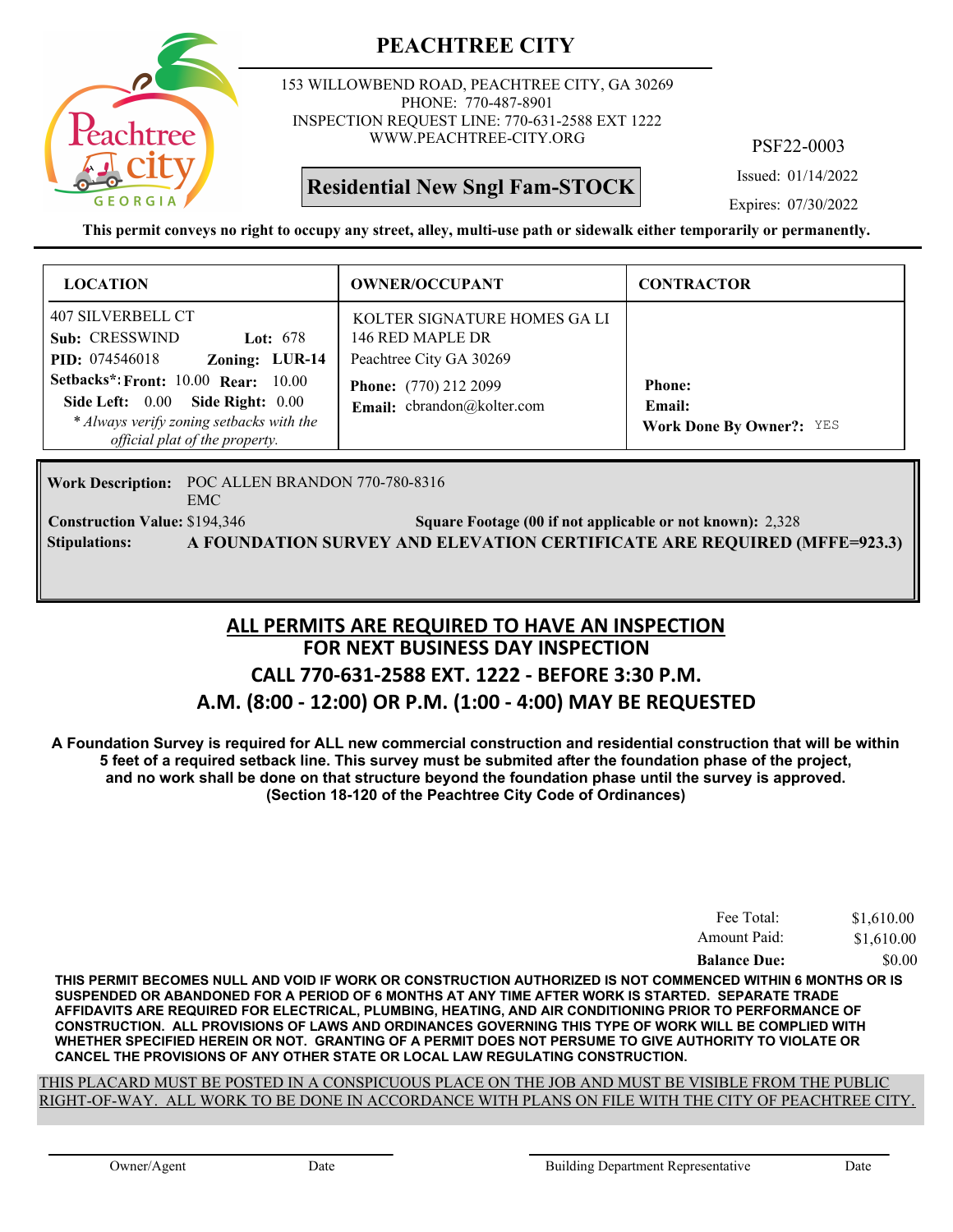

153 WILLOWBEND ROAD, PEACHTREE CITY, GA 30269 PHONE: 770-487-8901 INSPECTION REQUEST LINE: 770-631-2588 EXT 1222 WWW.PEACHTREE-CITY.ORG

**Residential New Sngl Fam-STOCK**

PSF22-0003

Issued: 01/14/2022

Expires: 07/30/2022

**This permit conveys no right to occupy any street, alley, multi-use path or sidewalk either temporarily or permanently.**

| <b>LOCATION</b>                                                                                                                                           | <b>OWNER/OCCUPANT</b>                                                       | <b>CONTRACTOR</b>                                          |
|-----------------------------------------------------------------------------------------------------------------------------------------------------------|-----------------------------------------------------------------------------|------------------------------------------------------------|
| 407 SILVERBELL CT<br>Sub: CRESSWIND<br>Lot: $678$<br>Zoning: LUR-14<br><b>PID:</b> 074546018                                                              | KOLTER SIGNATURE HOMES GA LI<br>146 RED MAPLE DR<br>Peachtree City GA 30269 |                                                            |
| Setbacks*: Front: $10.00$ Rear: $10.00$<br>Side Left: 0.00 Side Right: 0.00<br>* Always verify zoning setbacks with the<br>official plat of the property. | <b>Phone:</b> (770) 212 2099<br>Email: cbrandon@kolter.com                  | <b>Phone:</b><br>Email:<br><b>Work Done By Owner?: YES</b> |

Work Description: POC ALLEN BRANDON 770-780-8316 EMC **Construction Value:** \$194,346 2,328 **2,328** 2,328 **2,328** 2,328 **Stipulations: A FOUNDATION SURVEY AND ELEVATION CERTIFICATE ARE REQUIRED (MFFE=923.3)**

#### **FOR NEXT BUSINESS DAY INSPECTION CALL 770-631-2588 EXT. 1222 - BEFORE 3:30 P.M. A.M. (8:00 - 12:00) OR P.M. (1:00 - 4:00) MAY BE REQUESTED ALL PERMITS ARE REQUIRED TO HAVE AN INSPECTION**

**A Foundation Survey is required for ALL new commercial construction and residential construction that will be within 5 feet of a required setback line. This survey must be submited after the foundation phase of the project, and no work shall be done on that structure beyond the foundation phase until the survey is approved. (Section 18-120 of the Peachtree City Code of Ordinances)**

| Fee Total:          | \$1,610.00 |
|---------------------|------------|
| Amount Paid:        | \$1,610.00 |
| <b>Balance Due:</b> | \$0.00     |

**THIS PERMIT BECOMES NULL AND VOID IF WORK OR CONSTRUCTION AUTHORIZED IS NOT COMMENCED WITHIN 6 MONTHS OR IS SUSPENDED OR ABANDONED FOR A PERIOD OF 6 MONTHS AT ANY TIME AFTER WORK IS STARTED. SEPARATE TRADE AFFIDAVITS ARE REQUIRED FOR ELECTRICAL, PLUMBING, HEATING, AND AIR CONDITIONING PRIOR TO PERFORMANCE OF CONSTRUCTION. ALL PROVISIONS OF LAWS AND ORDINANCES GOVERNING THIS TYPE OF WORK WILL BE COMPLIED WITH WHETHER SPECIFIED HEREIN OR NOT. GRANTING OF A PERMIT DOES NOT PERSUME TO GIVE AUTHORITY TO VIOLATE OR CANCEL THE PROVISIONS OF ANY OTHER STATE OR LOCAL LAW REGULATING CONSTRUCTION.**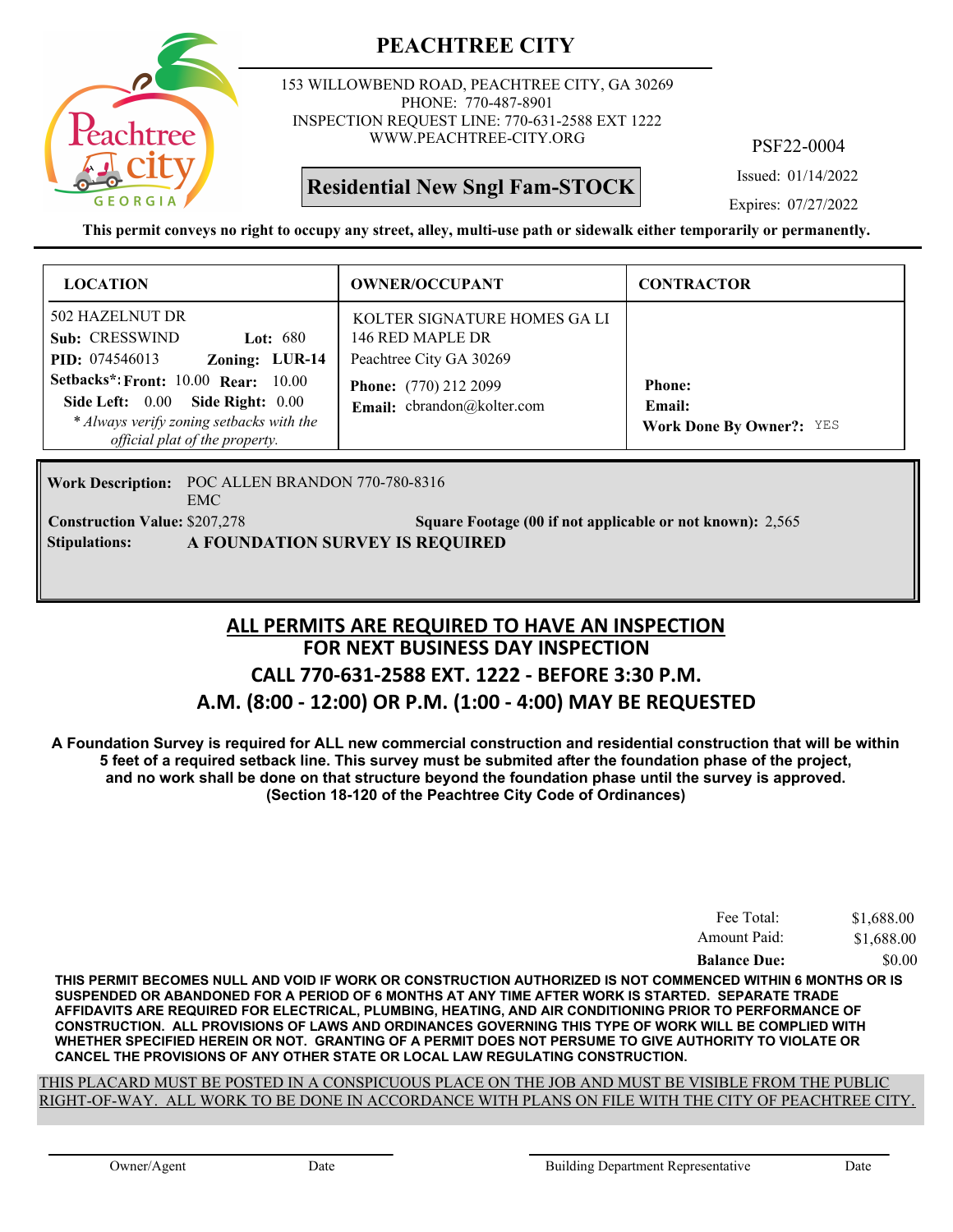

153 WILLOWBEND ROAD, PEACHTREE CITY, GA 30269 PHONE: 770-487-8901 INSPECTION REQUEST LINE: 770-631-2588 EXT 1222 WWW.PEACHTREE-CITY.ORG

**Residential New Sngl Fam-STOCK**

PSF22-0004

Issued: 01/14/2022

Expires: 07/27/2022

**This permit conveys no right to occupy any street, alley, multi-use path or sidewalk either temporarily or permanently.**

| <b>LOCATION</b>                                                                                                                          | <b>OWNER/OCCUPANT</b>                                                                                      | <b>CONTRACTOR</b>                         |
|------------------------------------------------------------------------------------------------------------------------------------------|------------------------------------------------------------------------------------------------------------|-------------------------------------------|
| 502 HAZELNUT DR<br>Sub: CRESSWIND<br>Lot: $680$<br>Zoning: LUR-14<br><b>PID:</b> 074546013<br><b>Setbacks*: Front: 10.00 Rear: 10.00</b> | KOLTER SIGNATURE HOMES GALI<br>146 RED MAPLE DR<br>Peachtree City GA 30269<br><b>Phone:</b> (770) 212 2099 | <b>Phone:</b>                             |
| Side Left: 0.00<br>Side Right: $0.00$<br>* Always verify zoning setbacks with the<br>official plat of the property.                      | Email: cbrandon@kolter.com                                                                                 | Email:<br><b>Work Done By Owner?: YES</b> |

Work Description: POC ALLEN BRANDON 770-780-8316 EMC **Construction Value:** \$207,278 2,565 2007 2,565 2,565 2,565 2,565 2,565 2,565 2,565 2,565 2,565 2,565 2,565 2,565 **Stipulations: A FOUNDATION SURVEY IS REQUIRED**

#### **FOR NEXT BUSINESS DAY INSPECTION CALL 770-631-2588 EXT. 1222 - BEFORE 3:30 P.M. A.M. (8:00 - 12:00) OR P.M. (1:00 - 4:00) MAY BE REQUESTED ALL PERMITS ARE REQUIRED TO HAVE AN INSPECTION**

**A Foundation Survey is required for ALL new commercial construction and residential construction that will be within 5 feet of a required setback line. This survey must be submited after the foundation phase of the project, and no work shall be done on that structure beyond the foundation phase until the survey is approved. (Section 18-120 of the Peachtree City Code of Ordinances)**

| <b>Balance Due:</b> | \$1,688.00<br>\$0.00 |
|---------------------|----------------------|
| Amount Paid:        |                      |
| Fee Total:          | \$1,688.00           |

**THIS PERMIT BECOMES NULL AND VOID IF WORK OR CONSTRUCTION AUTHORIZED IS NOT COMMENCED WITHIN 6 MONTHS OR IS SUSPENDED OR ABANDONED FOR A PERIOD OF 6 MONTHS AT ANY TIME AFTER WORK IS STARTED. SEPARATE TRADE AFFIDAVITS ARE REQUIRED FOR ELECTRICAL, PLUMBING, HEATING, AND AIR CONDITIONING PRIOR TO PERFORMANCE OF CONSTRUCTION. ALL PROVISIONS OF LAWS AND ORDINANCES GOVERNING THIS TYPE OF WORK WILL BE COMPLIED WITH WHETHER SPECIFIED HEREIN OR NOT. GRANTING OF A PERMIT DOES NOT PERSUME TO GIVE AUTHORITY TO VIOLATE OR CANCEL THE PROVISIONS OF ANY OTHER STATE OR LOCAL LAW REGULATING CONSTRUCTION.**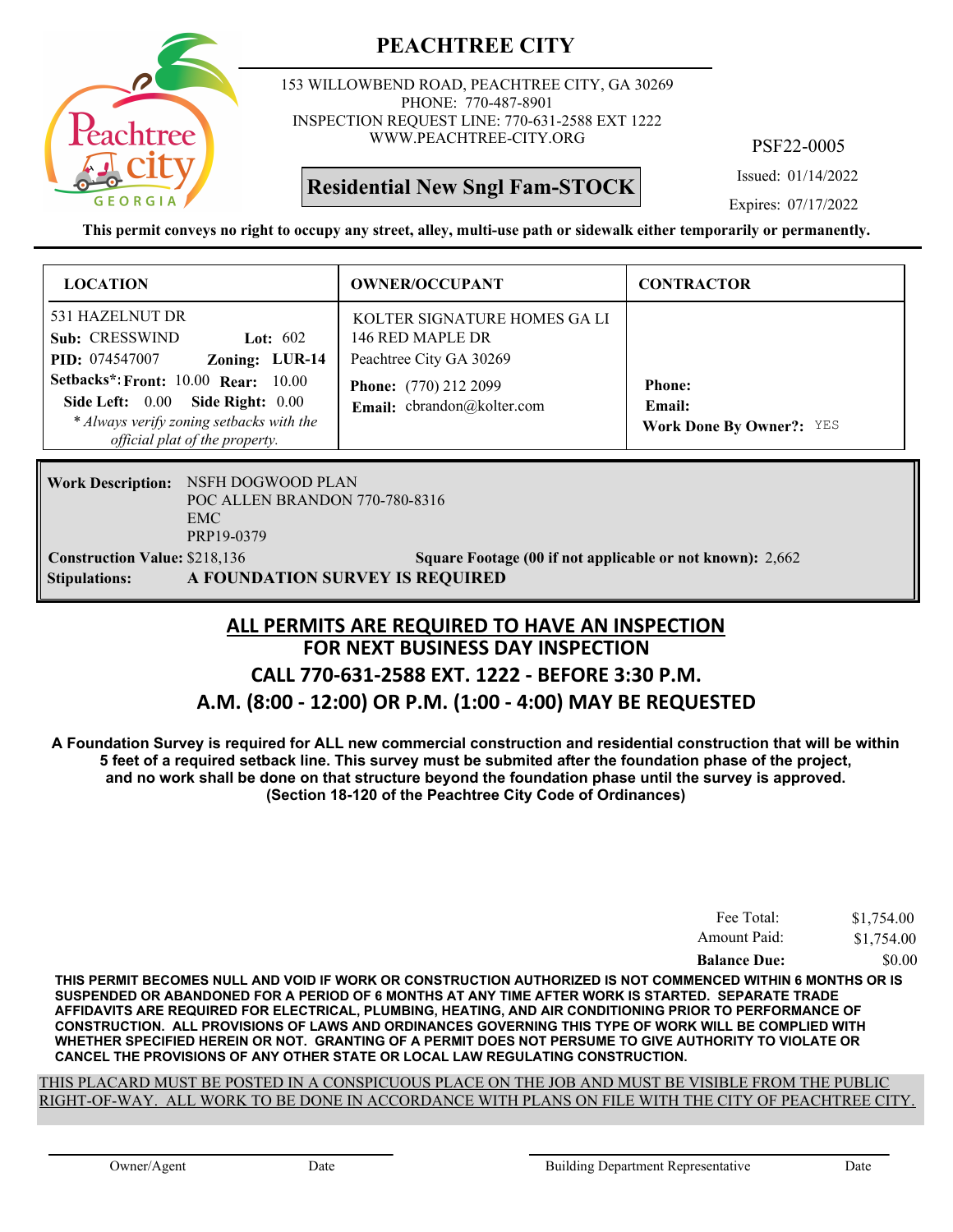

153 WILLOWBEND ROAD, PEACHTREE CITY, GA 30269 PHONE: 770-487-8901 INSPECTION REQUEST LINE: 770-631-2588 EXT 1222 WWW.PEACHTREE-CITY.ORG

# **Residential New Sngl Fam-STOCK**

PSF22-0005

Issued: 01/14/2022

Expires: 07/17/2022

**This permit conveys no right to occupy any street, alley, multi-use path or sidewalk either temporarily or permanently.**

| <b>LOCATION</b>                                                                                                                                                                                                                                                 | <b>OWNER/OCCUPANT</b>                                                                                                                     | <b>CONTRACTOR</b>                                          |
|-----------------------------------------------------------------------------------------------------------------------------------------------------------------------------------------------------------------------------------------------------------------|-------------------------------------------------------------------------------------------------------------------------------------------|------------------------------------------------------------|
| 531 HAZELNUT DR<br>Sub: CRESSWIND<br>Lot: $602$<br>Zoning: LUR-14<br><b>PID:</b> 074547007<br>Setbacks*: Front: 10.00 Rear: 10.00<br><b>Side Right: 0.00</b><br>Side Left: $0.00$<br>* Always verify zoning setbacks with the<br>official plat of the property. | KOLTER SIGNATURE HOMES GA LI<br>146 RED MAPLE DR<br>Peachtree City GA 30269<br><b>Phone:</b> (770) 212 2099<br>Email: cbrandon@kolter.com | <b>Phone:</b><br>Email:<br><b>Work Done By Owner?: YES</b> |

**Work Description: NSFH DOGWOOD PLAN** POC ALLEN BRANDON 770-780-8316 EMC PRP19-0379 **Construction Value:** \$218,136 2,662 **Square Footage (00 if not applicable or not known): 2,662 Stipulations: A FOUNDATION SURVEY IS REQUIRED**

# **FOR NEXT BUSINESS DAY INSPECTION CALL 770-631-2588 EXT. 1222 - BEFORE 3:30 P.M. ALL PERMITS ARE REQUIRED TO HAVE AN INSPECTION**

#### **A.M. (8:00 - 12:00) OR P.M. (1:00 - 4:00) MAY BE REQUESTED**

**A Foundation Survey is required for ALL new commercial construction and residential construction that will be within 5 feet of a required setback line. This survey must be submited after the foundation phase of the project, and no work shall be done on that structure beyond the foundation phase until the survey is approved. (Section 18-120 of the Peachtree City Code of Ordinances)**

| Fee Total:          | \$1,754.00 |  |
|---------------------|------------|--|
| Amount Paid:        | \$1,754.00 |  |
| <b>Balance Due:</b> | \$0.00     |  |

**THIS PERMIT BECOMES NULL AND VOID IF WORK OR CONSTRUCTION AUTHORIZED IS NOT COMMENCED WITHIN 6 MONTHS OR IS SUSPENDED OR ABANDONED FOR A PERIOD OF 6 MONTHS AT ANY TIME AFTER WORK IS STARTED. SEPARATE TRADE AFFIDAVITS ARE REQUIRED FOR ELECTRICAL, PLUMBING, HEATING, AND AIR CONDITIONING PRIOR TO PERFORMANCE OF CONSTRUCTION. ALL PROVISIONS OF LAWS AND ORDINANCES GOVERNING THIS TYPE OF WORK WILL BE COMPLIED WITH WHETHER SPECIFIED HEREIN OR NOT. GRANTING OF A PERMIT DOES NOT PERSUME TO GIVE AUTHORITY TO VIOLATE OR CANCEL THE PROVISIONS OF ANY OTHER STATE OR LOCAL LAW REGULATING CONSTRUCTION.**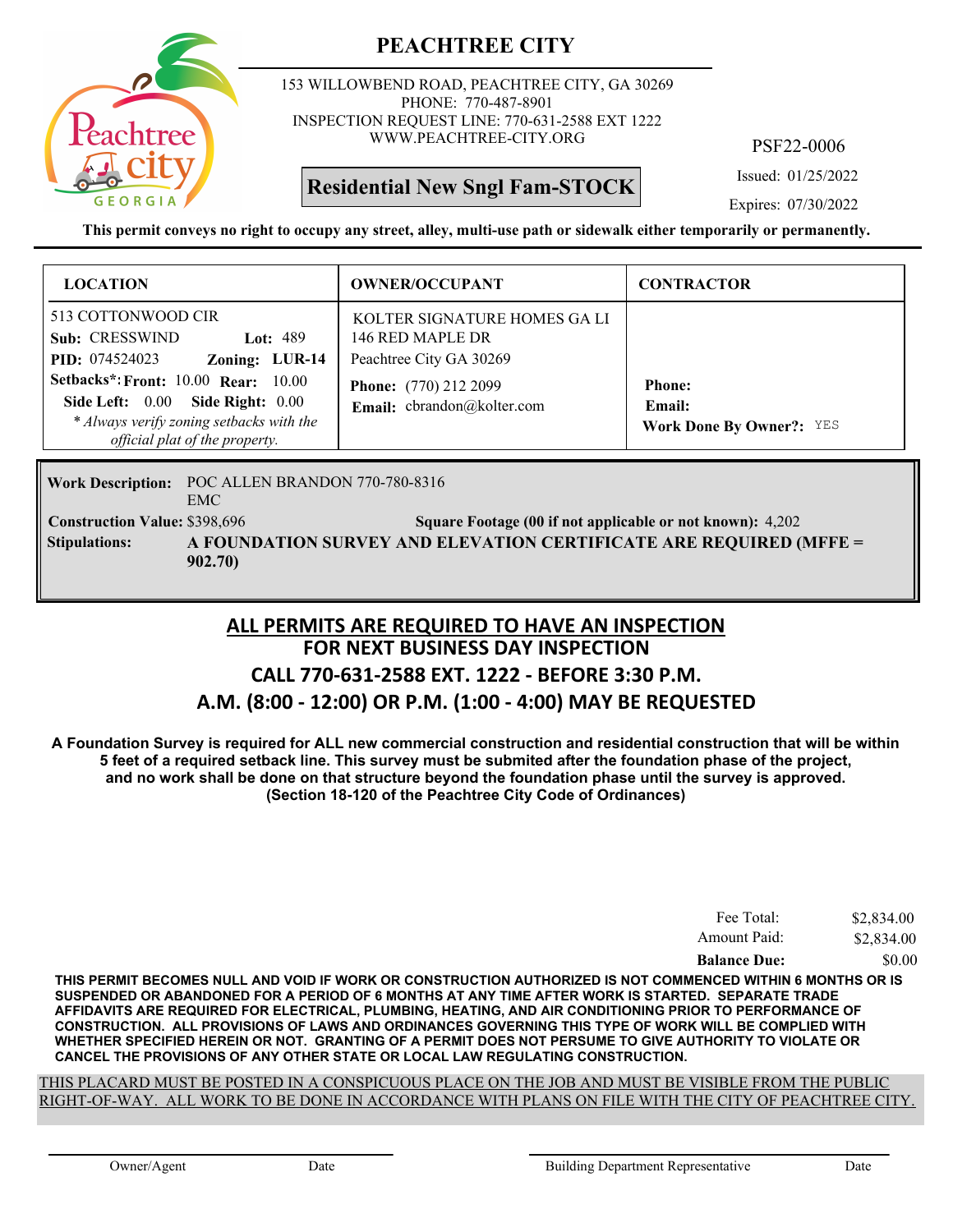

153 WILLOWBEND ROAD, PEACHTREE CITY, GA 30269 PHONE: 770-487-8901 INSPECTION REQUEST LINE: 770-631-2588 EXT 1222 WWW.PEACHTREE-CITY.ORG

**Residential New Sngl Fam-STOCK**

PSF22-0006

Issued: 01/25/2022

Expires: 07/30/2022

**This permit conveys no right to occupy any street, alley, multi-use path or sidewalk either temporarily or permanently.**

| <b>LOCATION</b>                                                                                                                                              | <b>OWNER/OCCUPANT</b>                                                       | <b>CONTRACTOR</b>                                          |
|--------------------------------------------------------------------------------------------------------------------------------------------------------------|-----------------------------------------------------------------------------|------------------------------------------------------------|
| 513 COTTONWOOD CIR<br>Sub: CRESSWIND<br>Lot: $489$<br><b>PID:</b> 074524023<br>Zoning: LUR-14                                                                | KOLTER SIGNATURE HOMES GA LI<br>146 RED MAPLE DR<br>Peachtree City GA 30269 |                                                            |
| <b>Setbacks*: Front: 10.00 Rear: 10.00</b><br>Side Left: 0.00 Side Right: 0.00<br>* Always verify zoning setbacks with the<br>official plat of the property. | <b>Phone:</b> (770) 212 2099<br>Email: cbrandon@kolter.com                  | <b>Phone:</b><br>Email:<br><b>Work Done By Owner?: YES</b> |

Work Description: POC ALLEN BRANDON 770-780-8316 EMC **Construction Value:** \$398,696 54,202 54,202 54,202 54,202 64,202 64,202 64,202 64,202 64,202 64,202 64,202 64,202 **A FOUNDATION SURVEY AND ELEVATION CERTIFICATE ARE REQUIRED (MFFE = 902.70) Stipulations:**

#### **FOR NEXT BUSINESS DAY INSPECTION CALL 770-631-2588 EXT. 1222 - BEFORE 3:30 P.M. A.M. (8:00 - 12:00) OR P.M. (1:00 - 4:00) MAY BE REQUESTED ALL PERMITS ARE REQUIRED TO HAVE AN INSPECTION**

**A Foundation Survey is required for ALL new commercial construction and residential construction that will be within 5 feet of a required setback line. This survey must be submited after the foundation phase of the project, and no work shall be done on that structure beyond the foundation phase until the survey is approved. (Section 18-120 of the Peachtree City Code of Ordinances)**

| Fee Total:          | \$2,834.00 |
|---------------------|------------|
| Amount Paid:        | \$2,834.00 |
| <b>Balance Due:</b> | \$0.00     |

**THIS PERMIT BECOMES NULL AND VOID IF WORK OR CONSTRUCTION AUTHORIZED IS NOT COMMENCED WITHIN 6 MONTHS OR IS SUSPENDED OR ABANDONED FOR A PERIOD OF 6 MONTHS AT ANY TIME AFTER WORK IS STARTED. SEPARATE TRADE AFFIDAVITS ARE REQUIRED FOR ELECTRICAL, PLUMBING, HEATING, AND AIR CONDITIONING PRIOR TO PERFORMANCE OF CONSTRUCTION. ALL PROVISIONS OF LAWS AND ORDINANCES GOVERNING THIS TYPE OF WORK WILL BE COMPLIED WITH WHETHER SPECIFIED HEREIN OR NOT. GRANTING OF A PERMIT DOES NOT PERSUME TO GIVE AUTHORITY TO VIOLATE OR CANCEL THE PROVISIONS OF ANY OTHER STATE OR LOCAL LAW REGULATING CONSTRUCTION.**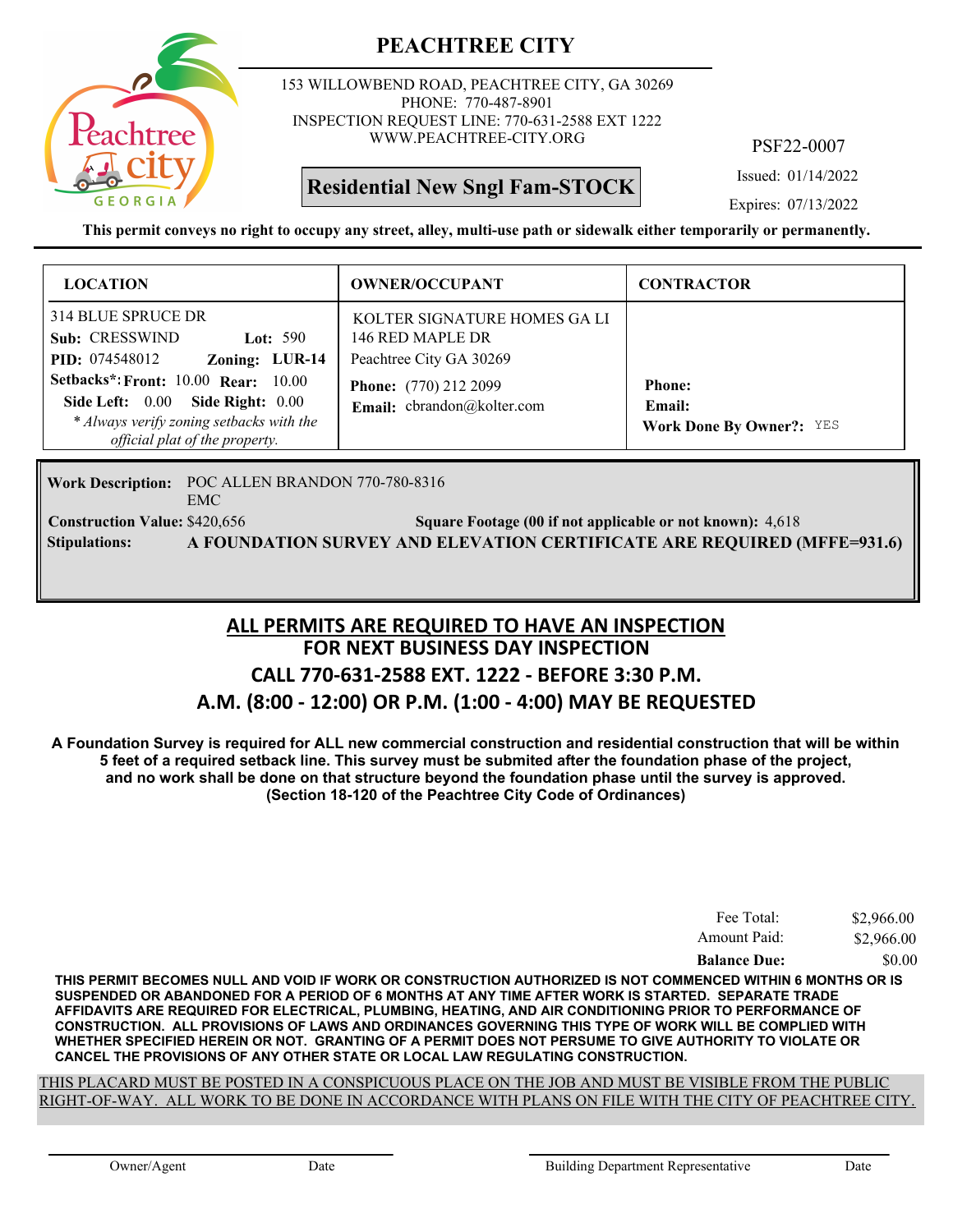

153 WILLOWBEND ROAD, PEACHTREE CITY, GA 30269 PHONE: 770-487-8901 INSPECTION REQUEST LINE: 770-631-2588 EXT 1222 WWW.PEACHTREE-CITY.ORG

**Residential New Sngl Fam-STOCK**

PSF22-0007

Issued: 01/14/2022

Expires: 07/13/2022

**This permit conveys no right to occupy any street, alley, multi-use path or sidewalk either temporarily or permanently.**

| <b>LOCATION</b>                                                                                                                                           | <b>OWNER/OCCUPANT</b>                                                       | <b>CONTRACTOR</b>                                          |
|-----------------------------------------------------------------------------------------------------------------------------------------------------------|-----------------------------------------------------------------------------|------------------------------------------------------------|
| 314 BLUE SPRUCE DR<br>Sub: CRESSWIND<br>Lot: $590$<br>Zoning: LUR-14<br><b>PID:</b> 074548012                                                             | KOLTER SIGNATURE HOMES GA LI<br>146 RED MAPLE DR<br>Peachtree City GA 30269 |                                                            |
| Setbacks*: Front: $10.00$ Rear: $10.00$<br>Side Left: 0.00 Side Right: 0.00<br>* Always verify zoning setbacks with the<br>official plat of the property. | <b>Phone:</b> (770) 212 2099<br>Email: cbrandon@kolter.com                  | <b>Phone:</b><br>Email:<br><b>Work Done By Owner?: YES</b> |

Work Description: POC ALLEN BRANDON 770-780-8316 EMC **Construction Value: Square Footage (00 if not applicable or not known):** \$420,656 4,618 **Stipulations: A FOUNDATION SURVEY AND ELEVATION CERTIFICATE ARE REQUIRED (MFFE=931.6)**

#### **FOR NEXT BUSINESS DAY INSPECTION CALL 770-631-2588 EXT. 1222 - BEFORE 3:30 P.M. A.M. (8:00 - 12:00) OR P.M. (1:00 - 4:00) MAY BE REQUESTED ALL PERMITS ARE REQUIRED TO HAVE AN INSPECTION**

**A Foundation Survey is required for ALL new commercial construction and residential construction that will be within 5 feet of a required setback line. This survey must be submited after the foundation phase of the project, and no work shall be done on that structure beyond the foundation phase until the survey is approved. (Section 18-120 of the Peachtree City Code of Ordinances)**

| Fee Total:          | \$2,966.00 |
|---------------------|------------|
| Amount Paid:        | \$2,966.00 |
| <b>Balance Due:</b> | \$0.00     |

**THIS PERMIT BECOMES NULL AND VOID IF WORK OR CONSTRUCTION AUTHORIZED IS NOT COMMENCED WITHIN 6 MONTHS OR IS SUSPENDED OR ABANDONED FOR A PERIOD OF 6 MONTHS AT ANY TIME AFTER WORK IS STARTED. SEPARATE TRADE AFFIDAVITS ARE REQUIRED FOR ELECTRICAL, PLUMBING, HEATING, AND AIR CONDITIONING PRIOR TO PERFORMANCE OF CONSTRUCTION. ALL PROVISIONS OF LAWS AND ORDINANCES GOVERNING THIS TYPE OF WORK WILL BE COMPLIED WITH WHETHER SPECIFIED HEREIN OR NOT. GRANTING OF A PERMIT DOES NOT PERSUME TO GIVE AUTHORITY TO VIOLATE OR CANCEL THE PROVISIONS OF ANY OTHER STATE OR LOCAL LAW REGULATING CONSTRUCTION.**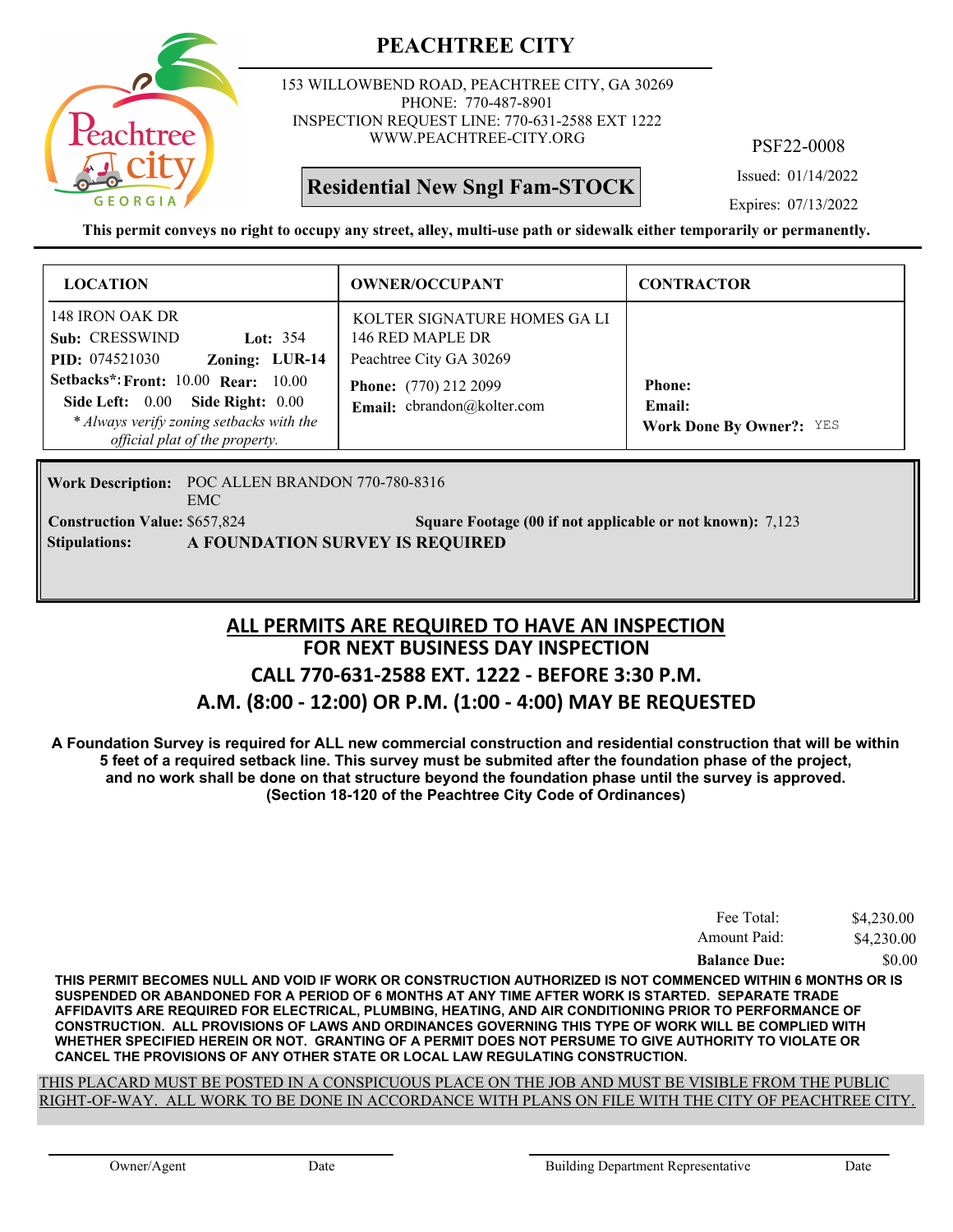

153 WILLOWBEND ROAD, PEACHTREE CITY, GA 30269 PHONE: 770-487-8901 INSPECTION REQUEST LINE: 770-631-2588 EXT 1222 WWW.PEACHTREE-CITY.ORG

**Residential New Sngl Fam-STOCK**

PSF22-0008

Issued: 01/14/2022

Expires: 07/13/2022

**This permit conveys no right to occupy any street, alley, multi-use path or sidewalk either temporarily or permanently.**

| <b>LOCATION</b>                                                                                                                                                                                                                                               | <b>OWNER/OCCUPANT</b>                                                                                                                     | <b>CONTRACTOR</b>                                          |
|---------------------------------------------------------------------------------------------------------------------------------------------------------------------------------------------------------------------------------------------------------------|-------------------------------------------------------------------------------------------------------------------------------------------|------------------------------------------------------------|
| 148 IRON OAK DR<br>Sub: CRESSWIND<br>Lot: $354$<br>Zoning: LUR-14<br><b>PID:</b> 074521030<br><b>Setbacks*: Front: 10.00 Rear: 10.00</b><br>Side Right: 0.00<br>Side Left: 0.00<br>* Always verify zoning setbacks with the<br>official plat of the property. | KOLTER SIGNATURE HOMES GA LI<br>146 RED MAPLE DR<br>Peachtree City GA 30269<br><b>Phone:</b> (770) 212 2099<br>Email: cbrandon@kolter.com | <b>Phone:</b><br>Email:<br><b>Work Done By Owner?:</b> YES |

Work Description: POC ALLEN BRANDON 770-780-8316 EMC **Construction Value:** \$657,824 **861 Square Footage (00 if not applicable or not known):** 7,123 **Stipulations: A FOUNDATION SURVEY IS REQUIRED**

#### **FOR NEXT BUSINESS DAY INSPECTION CALL 770-631-2588 EXT. 1222 - BEFORE 3:30 P.M. A.M. (8:00 - 12:00) OR P.M. (1:00 - 4:00) MAY BE REQUESTED ALL PERMITS ARE REQUIRED TO HAVE AN INSPECTION**

**A Foundation Survey is required for ALL new commercial construction and residential construction that will be within 5 feet of a required setback line. This survey must be submited after the foundation phase of the project, and no work shall be done on that structure beyond the foundation phase until the survey is approved. (Section 18-120 of the Peachtree City Code of Ordinances)**

| <b>Balance Due:</b> | \$0.00     |
|---------------------|------------|
| Amount Paid:        | \$4,230.00 |
| Fee Total:          | \$4,230.00 |

**THIS PERMIT BECOMES NULL AND VOID IF WORK OR CONSTRUCTION AUTHORIZED IS NOT COMMENCED WITHIN 6 MONTHS OR IS SUSPENDED OR ABANDONED FOR A PERIOD OF 6 MONTHS AT ANY TIME AFTER WORK IS STARTED. SEPARATE TRADE AFFIDAVITS ARE REQUIRED FOR ELECTRICAL, PLUMBING, HEATING, AND AIR CONDITIONING PRIOR TO PERFORMANCE OF CONSTRUCTION. ALL PROVISIONS OF LAWS AND ORDINANCES GOVERNING THIS TYPE OF WORK WILL BE COMPLIED WITH WHETHER SPECIFIED HEREIN OR NOT. GRANTING OF A PERMIT DOES NOT PERSUME TO GIVE AUTHORITY TO VIOLATE OR CANCEL THE PROVISIONS OF ANY OTHER STATE OR LOCAL LAW REGULATING CONSTRUCTION.**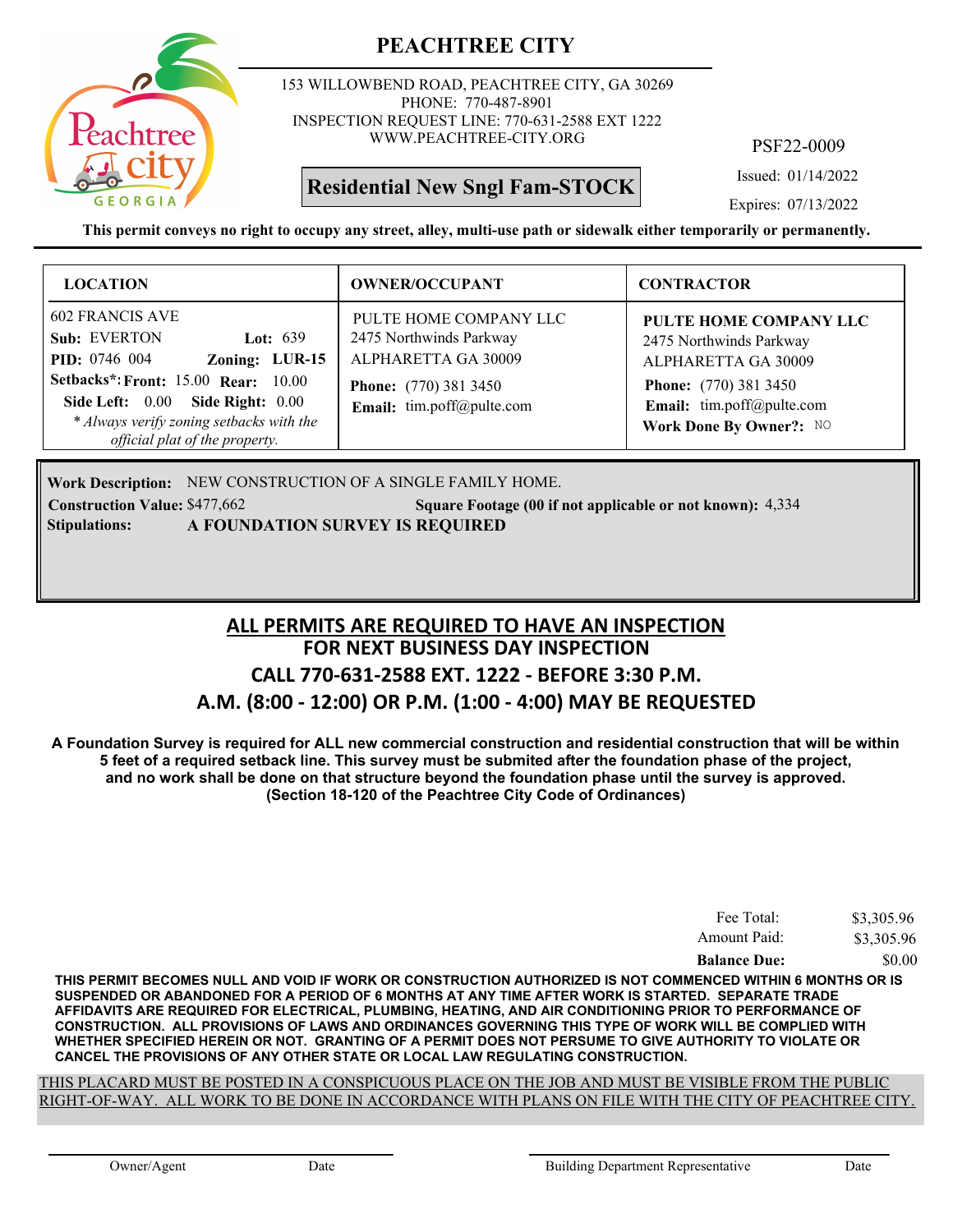

153 WILLOWBEND ROAD, PEACHTREE CITY, GA 30269 PHONE: 770-487-8901 INSPECTION REQUEST LINE: 770-631-2588 EXT 1222 WWW.PEACHTREE-CITY.ORG

# **Residential New Sngl Fam-STOCK**

PSF22-0009

Issued: 01/14/2022

Expires: 07/13/2022

**This permit conveys no right to occupy any street, alley, multi-use path or sidewalk either temporarily or permanently.**

| <b>LOCATION</b>                                                                                                                                                                                                                                                | <b>OWNER/OCCUPANT</b>                                                                                                                 | <b>CONTRACTOR</b>                                                                                                                                                |
|----------------------------------------------------------------------------------------------------------------------------------------------------------------------------------------------------------------------------------------------------------------|---------------------------------------------------------------------------------------------------------------------------------------|------------------------------------------------------------------------------------------------------------------------------------------------------------------|
| <b>602 FRANCIS AVE</b><br>Sub: EVERTON<br>Lot: $639$<br><b>PID:</b> 0746 004<br>Zoning: LUR-15<br><b>Setbacks*: Front: 15.00 Rear: 10.00</b><br>Side Left: 0.00 Side Right: 0.00<br>* Always verify zoning setbacks with the<br>official plat of the property. | PULTE HOME COMPANY LLC<br>2475 Northwinds Parkway<br>ALPHARETTA GA 30009<br><b>Phone:</b> (770) 381 3450<br>Email: tim.poff@pulte.com | PULTE HOME COMPANY LLC<br>2475 Northwinds Parkway<br>ALPHARETTA GA 30009<br><b>Phone:</b> (770) 381 3450<br>Email: tim.poff@pulte.com<br>Work Done By Owner?: NO |

Work Description: NEW CONSTRUCTION OF A SINGLE FAMILY HOME. **Construction Value: \$477,662** 5 Square Footage (00 if not applicable or not known): 4,334 **Stipulations: A FOUNDATION SURVEY IS REQUIRED**

#### **FOR NEXT BUSINESS DAY INSPECTION CALL 770-631-2588 EXT. 1222 - BEFORE 3:30 P.M. A.M. (8:00 - 12:00) OR P.M. (1:00 - 4:00) MAY BE REQUESTED ALL PERMITS ARE REQUIRED TO HAVE AN INSPECTION**

**A Foundation Survey is required for ALL new commercial construction and residential construction that will be within 5 feet of a required setback line. This survey must be submited after the foundation phase of the project, and no work shall be done on that structure beyond the foundation phase until the survey is approved. (Section 18-120 of the Peachtree City Code of Ordinances)**

| Fee Total:          | \$3,305.96 |
|---------------------|------------|
| Amount Paid:        | \$3,305.96 |
| <b>Balance Due:</b> | \$0.00     |

**THIS PERMIT BECOMES NULL AND VOID IF WORK OR CONSTRUCTION AUTHORIZED IS NOT COMMENCED WITHIN 6 MONTHS OR IS SUSPENDED OR ABANDONED FOR A PERIOD OF 6 MONTHS AT ANY TIME AFTER WORK IS STARTED. SEPARATE TRADE AFFIDAVITS ARE REQUIRED FOR ELECTRICAL, PLUMBING, HEATING, AND AIR CONDITIONING PRIOR TO PERFORMANCE OF CONSTRUCTION. ALL PROVISIONS OF LAWS AND ORDINANCES GOVERNING THIS TYPE OF WORK WILL BE COMPLIED WITH WHETHER SPECIFIED HEREIN OR NOT. GRANTING OF A PERMIT DOES NOT PERSUME TO GIVE AUTHORITY TO VIOLATE OR CANCEL THE PROVISIONS OF ANY OTHER STATE OR LOCAL LAW REGULATING CONSTRUCTION.**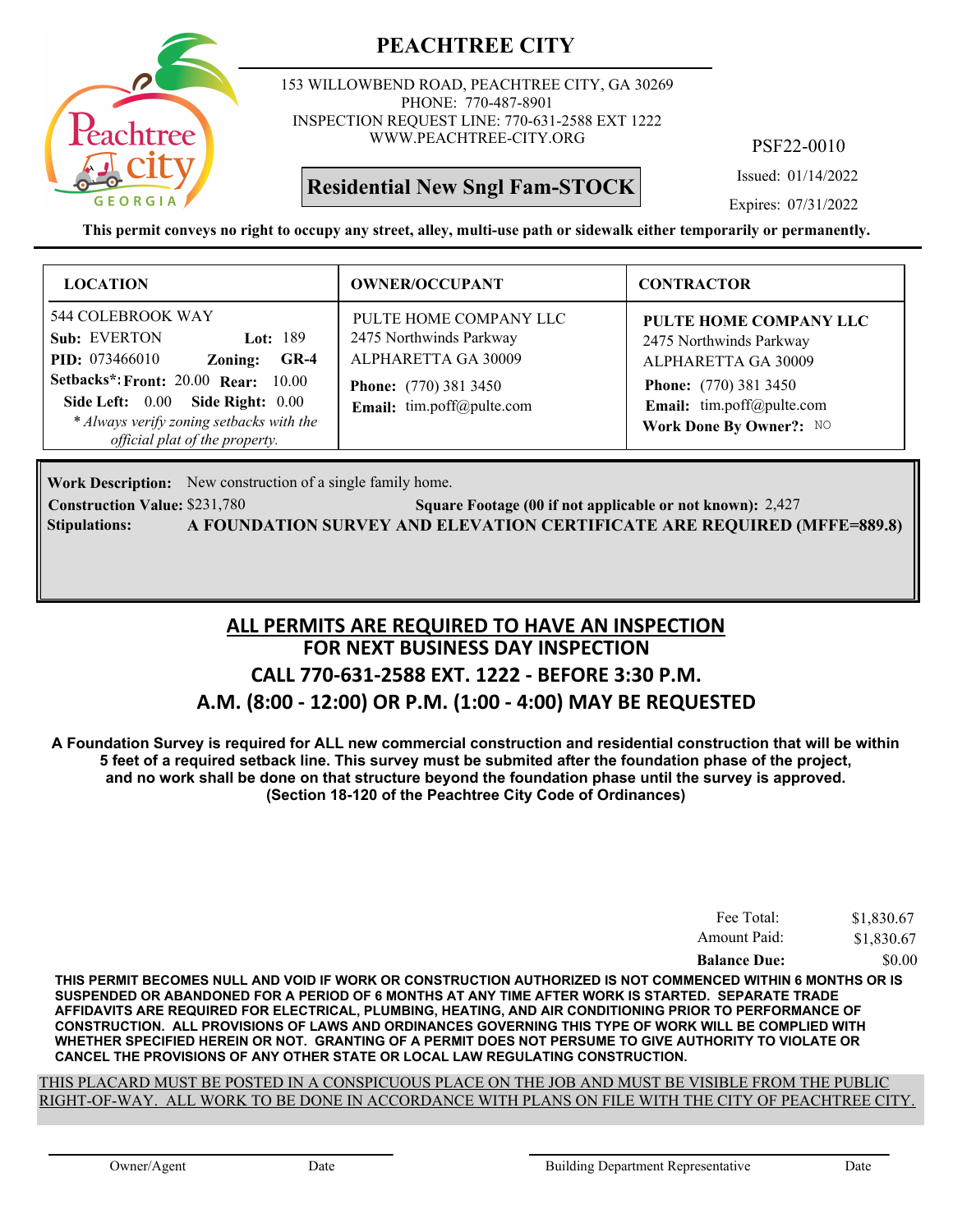

153 WILLOWBEND ROAD, PEACHTREE CITY, GA 30269 PHONE: 770-487-8901 INSPECTION REQUEST LINE: 770-631-2588 EXT 1222 WWW.PEACHTREE-CITY.ORG

# **Residential New Sngl Fam-STOCK**

PSF22-0010

Issued: 01/14/2022

Expires: 07/31/2022

**This permit conveys no right to occupy any street, alley, multi-use path or sidewalk either temporarily or permanently.**

| <b>LOCATION</b>                                                                                                                                                                                                                                                | <b>OWNER/OCCUPANT</b>                                                                                                                 | <b>CONTRACTOR</b>                                                                                                                                                |
|----------------------------------------------------------------------------------------------------------------------------------------------------------------------------------------------------------------------------------------------------------------|---------------------------------------------------------------------------------------------------------------------------------------|------------------------------------------------------------------------------------------------------------------------------------------------------------------|
| 544 COLEBROOK WAY<br>Sub: EVERTON<br>Lot: 189<br><b>PID:</b> 073466010<br>$GR-4$<br>Zoning:<br><b>Setbacks*: Front: 20.00 Rear: 10.00</b><br>Side Left: 0.00<br>Side Right: 0.00<br>* Always verify zoning setbacks with the<br>official plat of the property. | PULTE HOME COMPANY LLC<br>2475 Northwinds Parkway<br>ALPHARETTA GA 30009<br><b>Phone:</b> (770) 381 3450<br>Email: tim.poff@pulte.com | PULTE HOME COMPANY LLC<br>2475 Northwinds Parkway<br>ALPHARETTA GA 30009<br><b>Phone:</b> (770) 381 3450<br>Email: tim.poff@pulte.com<br>Work Done By Owner?: NO |

Work Description: New construction of a single family home.

**Construction Value:** \$231,780 2,427 **2,427** Square Footage (00 if not applicable or not known): 2,427 **Stipulations: A FOUNDATION SURVEY AND ELEVATION CERTIFICATE ARE REQUIRED (MFFE=889.8)**

# **FOR NEXT BUSINESS DAY INSPECTION CALL 770-631-2588 EXT. 1222 - BEFORE 3:30 P.M. A.M. (8:00 - 12:00) OR P.M. (1:00 - 4:00) MAY BE REQUESTED ALL PERMITS ARE REQUIRED TO HAVE AN INSPECTION**

**A Foundation Survey is required for ALL new commercial construction and residential construction that will be within 5 feet of a required setback line. This survey must be submited after the foundation phase of the project, and no work shall be done on that structure beyond the foundation phase until the survey is approved. (Section 18-120 of the Peachtree City Code of Ordinances)**

| Fee Total:          | \$1,830.67 |
|---------------------|------------|
| Amount Paid:        | \$1,830.67 |
| <b>Balance Due:</b> | \$0.00     |

**THIS PERMIT BECOMES NULL AND VOID IF WORK OR CONSTRUCTION AUTHORIZED IS NOT COMMENCED WITHIN 6 MONTHS OR IS SUSPENDED OR ABANDONED FOR A PERIOD OF 6 MONTHS AT ANY TIME AFTER WORK IS STARTED. SEPARATE TRADE AFFIDAVITS ARE REQUIRED FOR ELECTRICAL, PLUMBING, HEATING, AND AIR CONDITIONING PRIOR TO PERFORMANCE OF CONSTRUCTION. ALL PROVISIONS OF LAWS AND ORDINANCES GOVERNING THIS TYPE OF WORK WILL BE COMPLIED WITH WHETHER SPECIFIED HEREIN OR NOT. GRANTING OF A PERMIT DOES NOT PERSUME TO GIVE AUTHORITY TO VIOLATE OR CANCEL THE PROVISIONS OF ANY OTHER STATE OR LOCAL LAW REGULATING CONSTRUCTION.**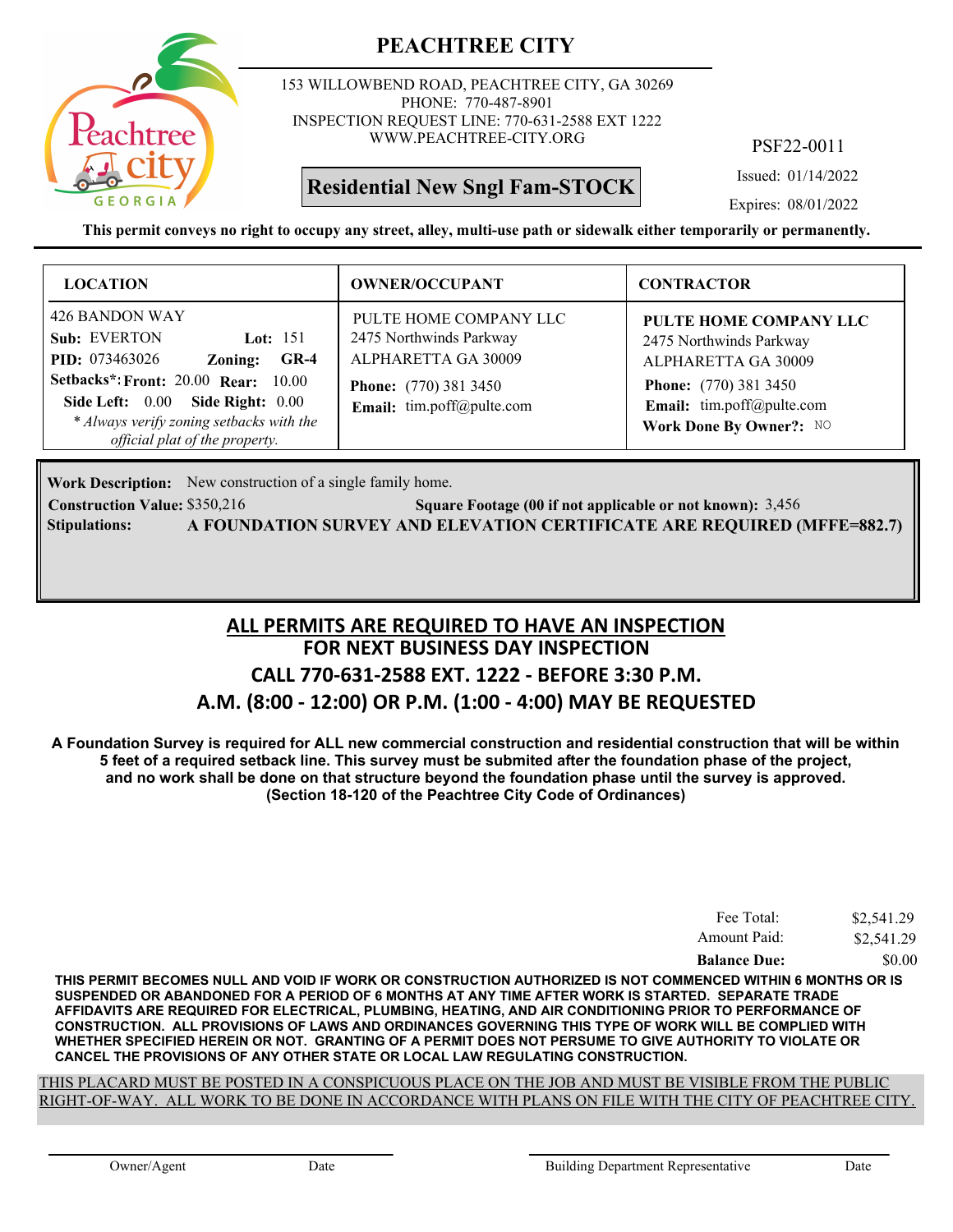

153 WILLOWBEND ROAD, PEACHTREE CITY, GA 30269 PHONE: 770-487-8901 INSPECTION REQUEST LINE: 770-631-2588 EXT 1222 WWW.PEACHTREE-CITY.ORG

# **Residential New Sngl Fam-STOCK**

PSF22-0011

Issued: 01/14/2022

Expires: 08/01/2022

**This permit conveys no right to occupy any street, alley, multi-use path or sidewalk either temporarily or permanently.**

| <b>LOCATION</b>                                                                                                                                                                                                                                               | <b>OWNER/OCCUPANT</b>                                                                                                                   | <b>CONTRACTOR</b>                                                                                                                                                |
|---------------------------------------------------------------------------------------------------------------------------------------------------------------------------------------------------------------------------------------------------------------|-----------------------------------------------------------------------------------------------------------------------------------------|------------------------------------------------------------------------------------------------------------------------------------------------------------------|
| 426 BANDON WAY<br>Sub: EVERTON<br>Lot: $151$<br><b>PID:</b> 073463026<br>$GR-4$<br>Zoning:<br><b>Setbacks*: Front: 20.00 Rear: 10.00</b><br>Side Right: 0.00<br>Side Left: 0.00<br>* Always verify zoning setbacks with the<br>official plat of the property. | PULTE HOME COMPANY LLC<br>2475 Northwinds Parkway<br>ALPHARETTA GA 30009<br><b>Phone:</b> (770) 381 3450<br>Email: $tim.poff@pulte.com$ | PULTE HOME COMPANY LLC<br>2475 Northwinds Parkway<br>ALPHARETTA GA 30009<br><b>Phone:</b> (770) 381 3450<br>Email: tim.poff@pulte.com<br>Work Done By Owner?: NO |

Work Description: New construction of a single family home.

**Construction Value:** \$350,216 **Square Footage (00 if not applicable or not known):** 3,456 **Stipulations: A FOUNDATION SURVEY AND ELEVATION CERTIFICATE ARE REQUIRED (MFFE=882.7)**

# **FOR NEXT BUSINESS DAY INSPECTION CALL 770-631-2588 EXT. 1222 - BEFORE 3:30 P.M. A.M. (8:00 - 12:00) OR P.M. (1:00 - 4:00) MAY BE REQUESTED ALL PERMITS ARE REQUIRED TO HAVE AN INSPECTION**

**A Foundation Survey is required for ALL new commercial construction and residential construction that will be within 5 feet of a required setback line. This survey must be submited after the foundation phase of the project, and no work shall be done on that structure beyond the foundation phase until the survey is approved. (Section 18-120 of the Peachtree City Code of Ordinances)**

| Fee Total:          | \$2,541.29 |
|---------------------|------------|
| Amount Paid:        | \$2,541.29 |
| <b>Balance Due:</b> | \$0.00     |

**THIS PERMIT BECOMES NULL AND VOID IF WORK OR CONSTRUCTION AUTHORIZED IS NOT COMMENCED WITHIN 6 MONTHS OR IS SUSPENDED OR ABANDONED FOR A PERIOD OF 6 MONTHS AT ANY TIME AFTER WORK IS STARTED. SEPARATE TRADE AFFIDAVITS ARE REQUIRED FOR ELECTRICAL, PLUMBING, HEATING, AND AIR CONDITIONING PRIOR TO PERFORMANCE OF CONSTRUCTION. ALL PROVISIONS OF LAWS AND ORDINANCES GOVERNING THIS TYPE OF WORK WILL BE COMPLIED WITH WHETHER SPECIFIED HEREIN OR NOT. GRANTING OF A PERMIT DOES NOT PERSUME TO GIVE AUTHORITY TO VIOLATE OR CANCEL THE PROVISIONS OF ANY OTHER STATE OR LOCAL LAW REGULATING CONSTRUCTION.**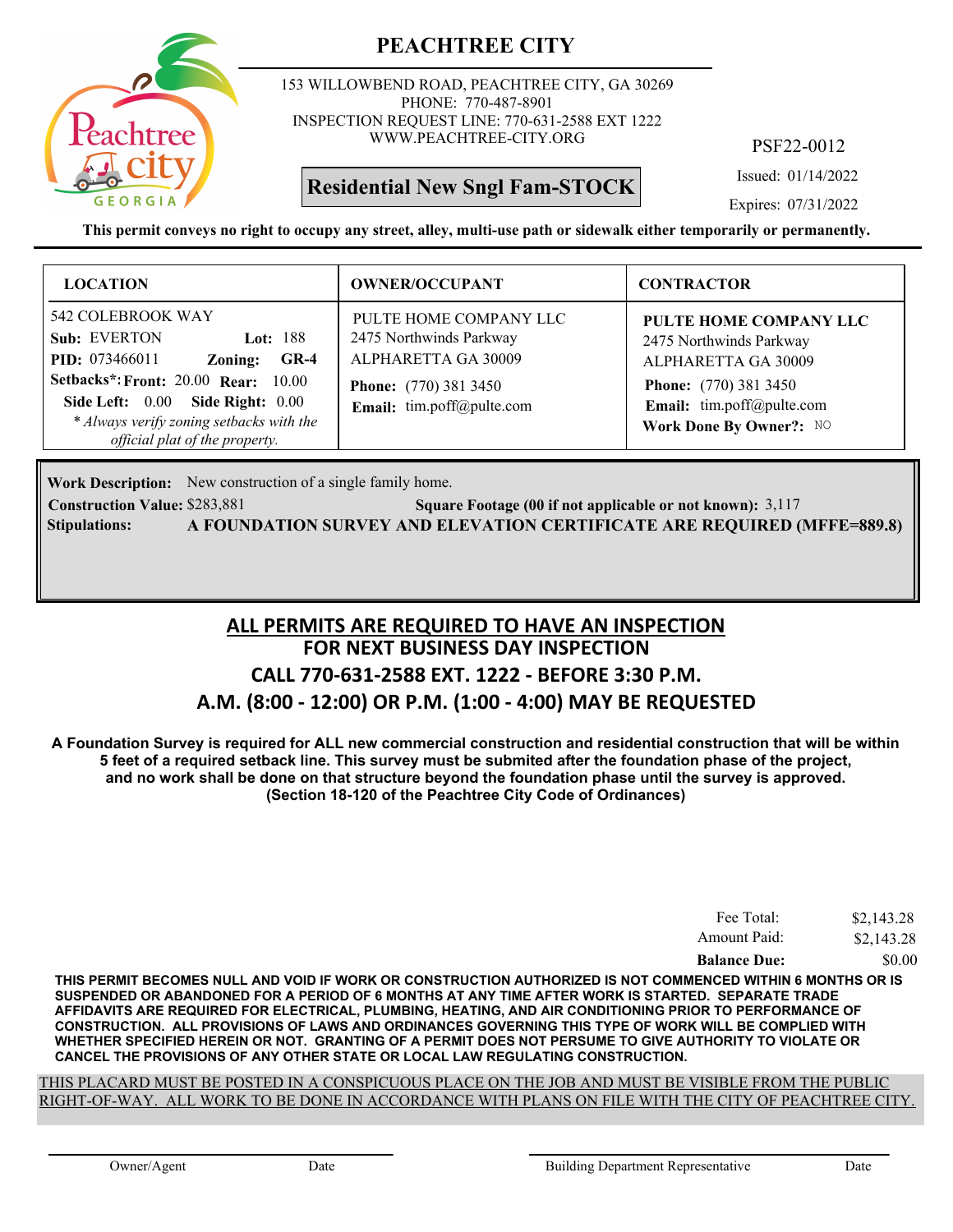

153 WILLOWBEND ROAD, PEACHTREE CITY, GA 30269 PHONE: 770-487-8901 INSPECTION REQUEST LINE: 770-631-2588 EXT 1222 WWW.PEACHTREE-CITY.ORG

# **Residential New Sngl Fam-STOCK**

PSF22-0012

Issued: 01/14/2022

Expires: 07/31/2022

**This permit conveys no right to occupy any street, alley, multi-use path or sidewalk either temporarily or permanently.**

| <b>LOCATION</b>                                                                                                                                                                                                                                                    | <b>OWNER/OCCUPANT</b>                                                                                                                 | <b>CONTRACTOR</b>                                                                                                                                                |
|--------------------------------------------------------------------------------------------------------------------------------------------------------------------------------------------------------------------------------------------------------------------|---------------------------------------------------------------------------------------------------------------------------------------|------------------------------------------------------------------------------------------------------------------------------------------------------------------|
| 542 COLEBROOK WAY<br>Sub: EVERTON<br><b>Lot:</b> 188<br><b>PID:</b> 073466011<br>$GR-4$<br>Zoning:<br><b>Setbacks*: Front: 20.00 Rear: 10.00</b><br>Side Left: 0.00 Side Right: 0.00<br>* Always verify zoning setbacks with the<br>official plat of the property. | PULTE HOME COMPANY LLC<br>2475 Northwinds Parkway<br>ALPHARETTA GA 30009<br><b>Phone:</b> (770) 381 3450<br>Email: tim.poff@pulte.com | PULTE HOME COMPANY LLC<br>2475 Northwinds Parkway<br>ALPHARETTA GA 30009<br><b>Phone:</b> (770) 381 3450<br>Email: tim.poff@pulte.com<br>Work Done By Owner?: NO |

Work Description: New construction of a single family home.

**Construction Value:** \$283,881 **3,117 Square Footage (00 if not applicable or not known):** 3,117 **Stipulations: A FOUNDATION SURVEY AND ELEVATION CERTIFICATE ARE REQUIRED (MFFE=889.8)**

# **FOR NEXT BUSINESS DAY INSPECTION CALL 770-631-2588 EXT. 1222 - BEFORE 3:30 P.M. A.M. (8:00 - 12:00) OR P.M. (1:00 - 4:00) MAY BE REQUESTED ALL PERMITS ARE REQUIRED TO HAVE AN INSPECTION**

**A Foundation Survey is required for ALL new commercial construction and residential construction that will be within 5 feet of a required setback line. This survey must be submited after the foundation phase of the project, and no work shall be done on that structure beyond the foundation phase until the survey is approved. (Section 18-120 of the Peachtree City Code of Ordinances)**

| Fee Total:          | \$2,143.28 |
|---------------------|------------|
| Amount Paid:        | \$2,143.28 |
| <b>Balance Due:</b> | \$0.00     |

**THIS PERMIT BECOMES NULL AND VOID IF WORK OR CONSTRUCTION AUTHORIZED IS NOT COMMENCED WITHIN 6 MONTHS OR IS SUSPENDED OR ABANDONED FOR A PERIOD OF 6 MONTHS AT ANY TIME AFTER WORK IS STARTED. SEPARATE TRADE AFFIDAVITS ARE REQUIRED FOR ELECTRICAL, PLUMBING, HEATING, AND AIR CONDITIONING PRIOR TO PERFORMANCE OF CONSTRUCTION. ALL PROVISIONS OF LAWS AND ORDINANCES GOVERNING THIS TYPE OF WORK WILL BE COMPLIED WITH WHETHER SPECIFIED HEREIN OR NOT. GRANTING OF A PERMIT DOES NOT PERSUME TO GIVE AUTHORITY TO VIOLATE OR CANCEL THE PROVISIONS OF ANY OTHER STATE OR LOCAL LAW REGULATING CONSTRUCTION.**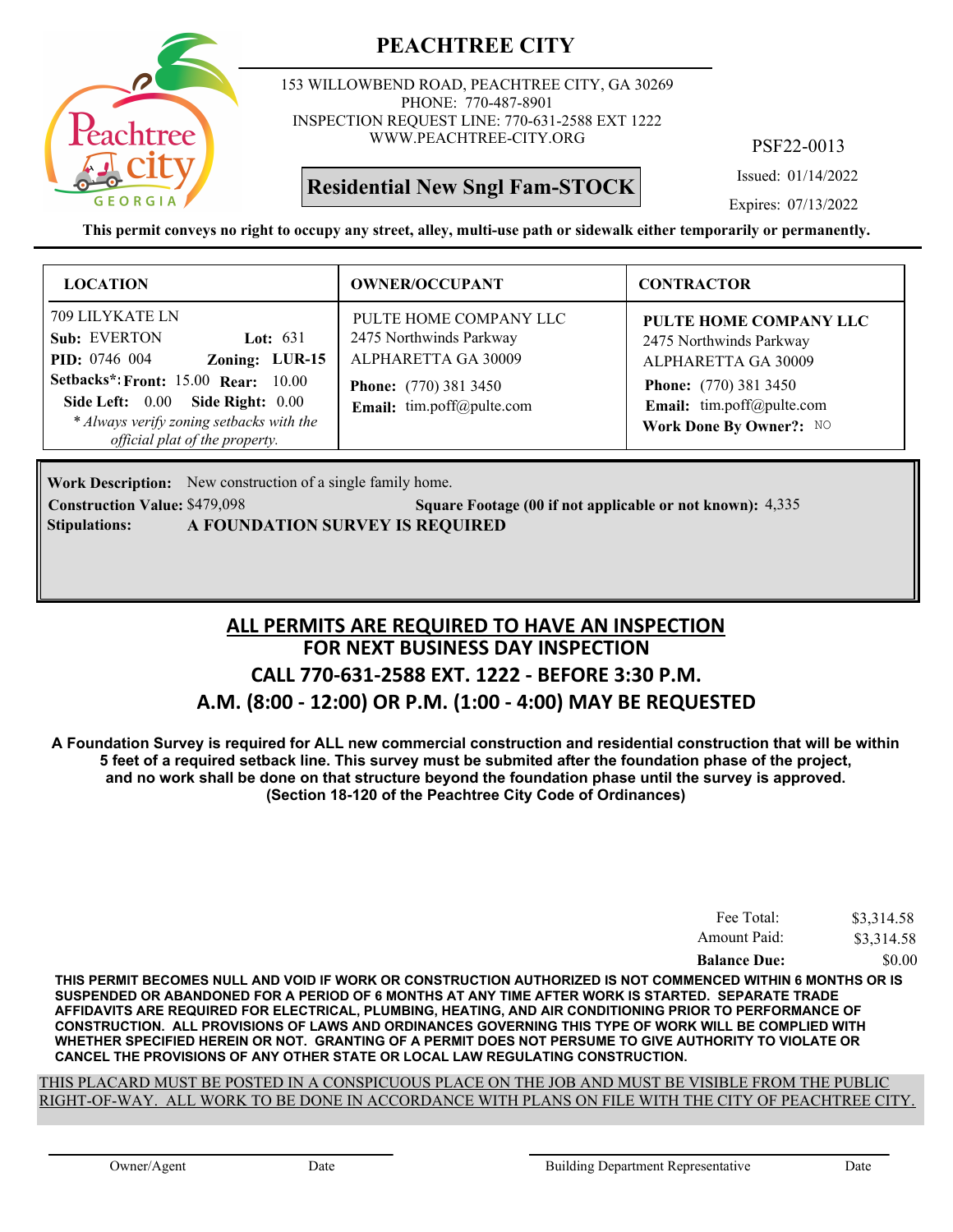

153 WILLOWBEND ROAD, PEACHTREE CITY, GA 30269 PHONE: 770-487-8901 INSPECTION REQUEST LINE: 770-631-2588 EXT 1222 WWW.PEACHTREE-CITY.ORG

# **Residential New Sngl Fam-STOCK**

PSF22-0013

Issued: 01/14/2022

Expires: 07/13/2022

**This permit conveys no right to occupy any street, alley, multi-use path or sidewalk either temporarily or permanently.**

| <b>LOCATION</b>                                                                                                                                                                                                                                         | <b>OWNER/OCCUPANT</b>                                                                                                                 | <b>CONTRACTOR</b>                                                                                                                                                |
|---------------------------------------------------------------------------------------------------------------------------------------------------------------------------------------------------------------------------------------------------------|---------------------------------------------------------------------------------------------------------------------------------------|------------------------------------------------------------------------------------------------------------------------------------------------------------------|
| 709 LILYKATE LN<br>Sub: EVERTON<br>Lot: $631$<br><b>PID:</b> 0746 004<br>Zoning: LUR-15<br><b>Setbacks*: Front: 15.00 Rear: 10.00</b><br>Side Left: 0.00 Side Right: 0.00<br>* Always verify zoning setbacks with the<br>official plat of the property. | PULTE HOME COMPANY LLC<br>2475 Northwinds Parkway<br>ALPHARETTA GA 30009<br><b>Phone:</b> (770) 381 3450<br>Email: tim.poff@pulte.com | PULTE HOME COMPANY LLC<br>2475 Northwinds Parkway<br>ALPHARETTA GA 30009<br><b>Phone:</b> (770) 381 3450<br>Email: tim.poff@pulte.com<br>Work Done By Owner?: NO |

Work Description: New construction of a single family home.

**Construction Value:** \$479,098 5quare Footage (00 if not applicable or not known): 4,335 **Stipulations: A FOUNDATION SURVEY IS REQUIRED**

# **FOR NEXT BUSINESS DAY INSPECTION CALL 770-631-2588 EXT. 1222 - BEFORE 3:30 P.M. A.M. (8:00 - 12:00) OR P.M. (1:00 - 4:00) MAY BE REQUESTED ALL PERMITS ARE REQUIRED TO HAVE AN INSPECTION**

**A Foundation Survey is required for ALL new commercial construction and residential construction that will be within 5 feet of a required setback line. This survey must be submited after the foundation phase of the project, and no work shall be done on that structure beyond the foundation phase until the survey is approved. (Section 18-120 of the Peachtree City Code of Ordinances)**

| Fee Total:          | \$3,314.58 |
|---------------------|------------|
| Amount Paid:        | \$3,314.58 |
| <b>Balance Due:</b> | \$0.00     |

**THIS PERMIT BECOMES NULL AND VOID IF WORK OR CONSTRUCTION AUTHORIZED IS NOT COMMENCED WITHIN 6 MONTHS OR IS SUSPENDED OR ABANDONED FOR A PERIOD OF 6 MONTHS AT ANY TIME AFTER WORK IS STARTED. SEPARATE TRADE AFFIDAVITS ARE REQUIRED FOR ELECTRICAL, PLUMBING, HEATING, AND AIR CONDITIONING PRIOR TO PERFORMANCE OF CONSTRUCTION. ALL PROVISIONS OF LAWS AND ORDINANCES GOVERNING THIS TYPE OF WORK WILL BE COMPLIED WITH WHETHER SPECIFIED HEREIN OR NOT. GRANTING OF A PERMIT DOES NOT PERSUME TO GIVE AUTHORITY TO VIOLATE OR CANCEL THE PROVISIONS OF ANY OTHER STATE OR LOCAL LAW REGULATING CONSTRUCTION.**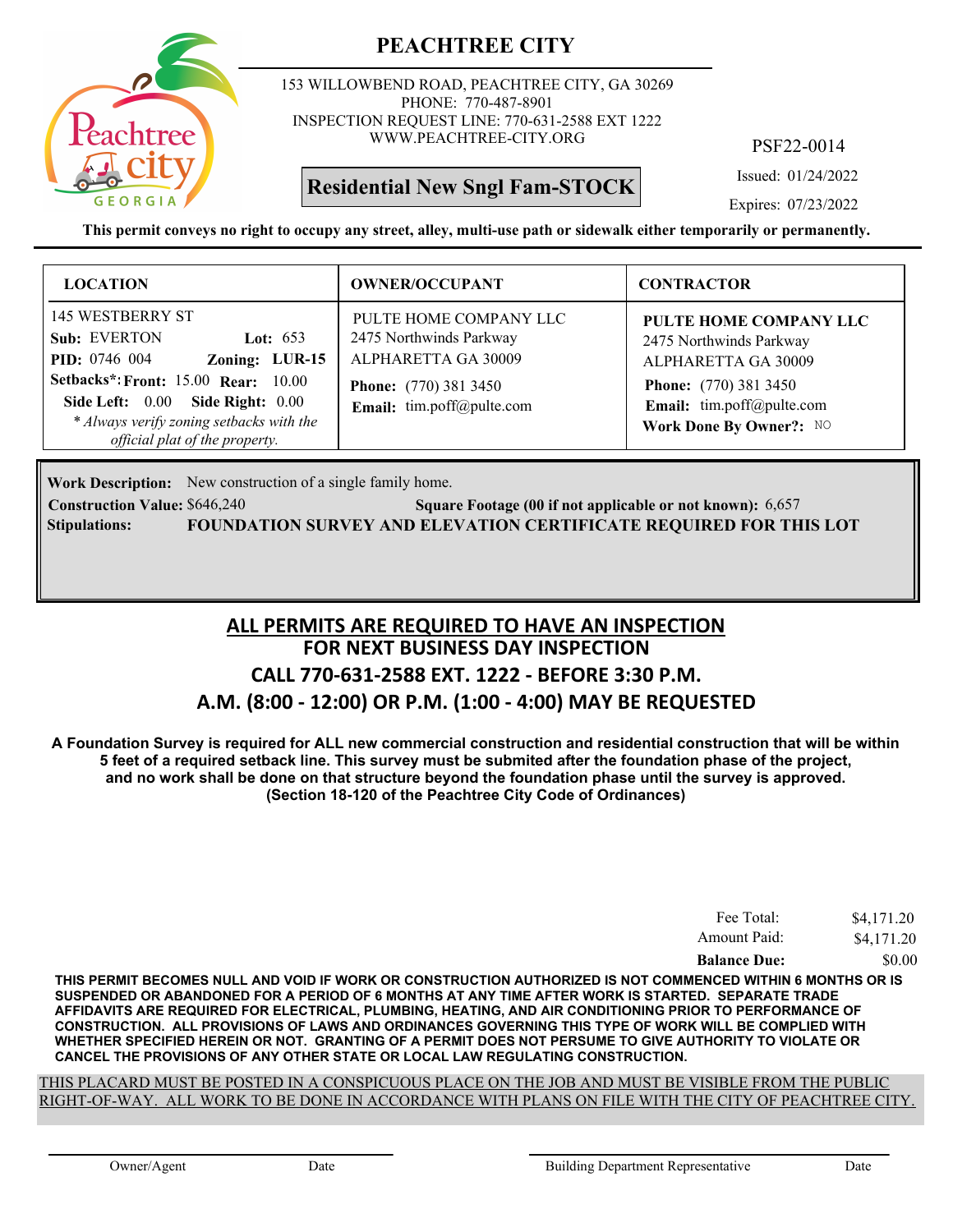

153 WILLOWBEND ROAD, PEACHTREE CITY, GA 30269 PHONE: 770-487-8901 INSPECTION REQUEST LINE: 770-631-2588 EXT 1222 WWW.PEACHTREE-CITY.ORG

# **Residential New Sngl Fam-STOCK**

PSF22-0014

Issued: 01/24/2022

Expires: 07/23/2022

**This permit conveys no right to occupy any street, alley, multi-use path or sidewalk either temporarily or permanently.**

| <b>LOCATION</b>                                                                                                                                                                                                                                                 | <b>OWNER/OCCUPANT</b>                                                                                                                 | <b>CONTRACTOR</b>                                                                                                                                                |
|-----------------------------------------------------------------------------------------------------------------------------------------------------------------------------------------------------------------------------------------------------------------|---------------------------------------------------------------------------------------------------------------------------------------|------------------------------------------------------------------------------------------------------------------------------------------------------------------|
| <b>145 WESTBERRY ST</b><br>Sub: EVERTON<br>Lot: $653$<br><b>PID:</b> 0746 004<br>Zoning: LUR-15<br><b>Setbacks*: Front: 15.00 Rear: 10.00</b><br>Side Left: 0.00 Side Right: 0.00<br>* Always verify zoning setbacks with the<br>official plat of the property. | PULTE HOME COMPANY LLC<br>2475 Northwinds Parkway<br>ALPHARETTA GA 30009<br><b>Phone:</b> (770) 381 3450<br>Email: tim.poff@pulte.com | PULTE HOME COMPANY LLC<br>2475 Northwinds Parkway<br>ALPHARETTA GA 30009<br><b>Phone:</b> (770) 381 3450<br>Email: tim.poff@pulte.com<br>Work Done By Owner?: NO |

Work Description: New construction of a single family home.

**Construction Value:** \$646,240 **Square Footage (00 if not applicable or not known):** 6,657 **Stipulations: FOUNDATION SURVEY AND ELEVATION CERTIFICATE REQUIRED FOR THIS LOT**

# **FOR NEXT BUSINESS DAY INSPECTION CALL 770-631-2588 EXT. 1222 - BEFORE 3:30 P.M. A.M. (8:00 - 12:00) OR P.M. (1:00 - 4:00) MAY BE REQUESTED ALL PERMITS ARE REQUIRED TO HAVE AN INSPECTION**

**A Foundation Survey is required for ALL new commercial construction and residential construction that will be within 5 feet of a required setback line. This survey must be submited after the foundation phase of the project, and no work shall be done on that structure beyond the foundation phase until the survey is approved. (Section 18-120 of the Peachtree City Code of Ordinances)**

| Fee Total:          | \$4,171.20 |
|---------------------|------------|
| Amount Paid:        | \$4,171.20 |
| <b>Balance Due:</b> | \$0.00     |

**THIS PERMIT BECOMES NULL AND VOID IF WORK OR CONSTRUCTION AUTHORIZED IS NOT COMMENCED WITHIN 6 MONTHS OR IS SUSPENDED OR ABANDONED FOR A PERIOD OF 6 MONTHS AT ANY TIME AFTER WORK IS STARTED. SEPARATE TRADE AFFIDAVITS ARE REQUIRED FOR ELECTRICAL, PLUMBING, HEATING, AND AIR CONDITIONING PRIOR TO PERFORMANCE OF CONSTRUCTION. ALL PROVISIONS OF LAWS AND ORDINANCES GOVERNING THIS TYPE OF WORK WILL BE COMPLIED WITH WHETHER SPECIFIED HEREIN OR NOT. GRANTING OF A PERMIT DOES NOT PERSUME TO GIVE AUTHORITY TO VIOLATE OR CANCEL THE PROVISIONS OF ANY OTHER STATE OR LOCAL LAW REGULATING CONSTRUCTION.**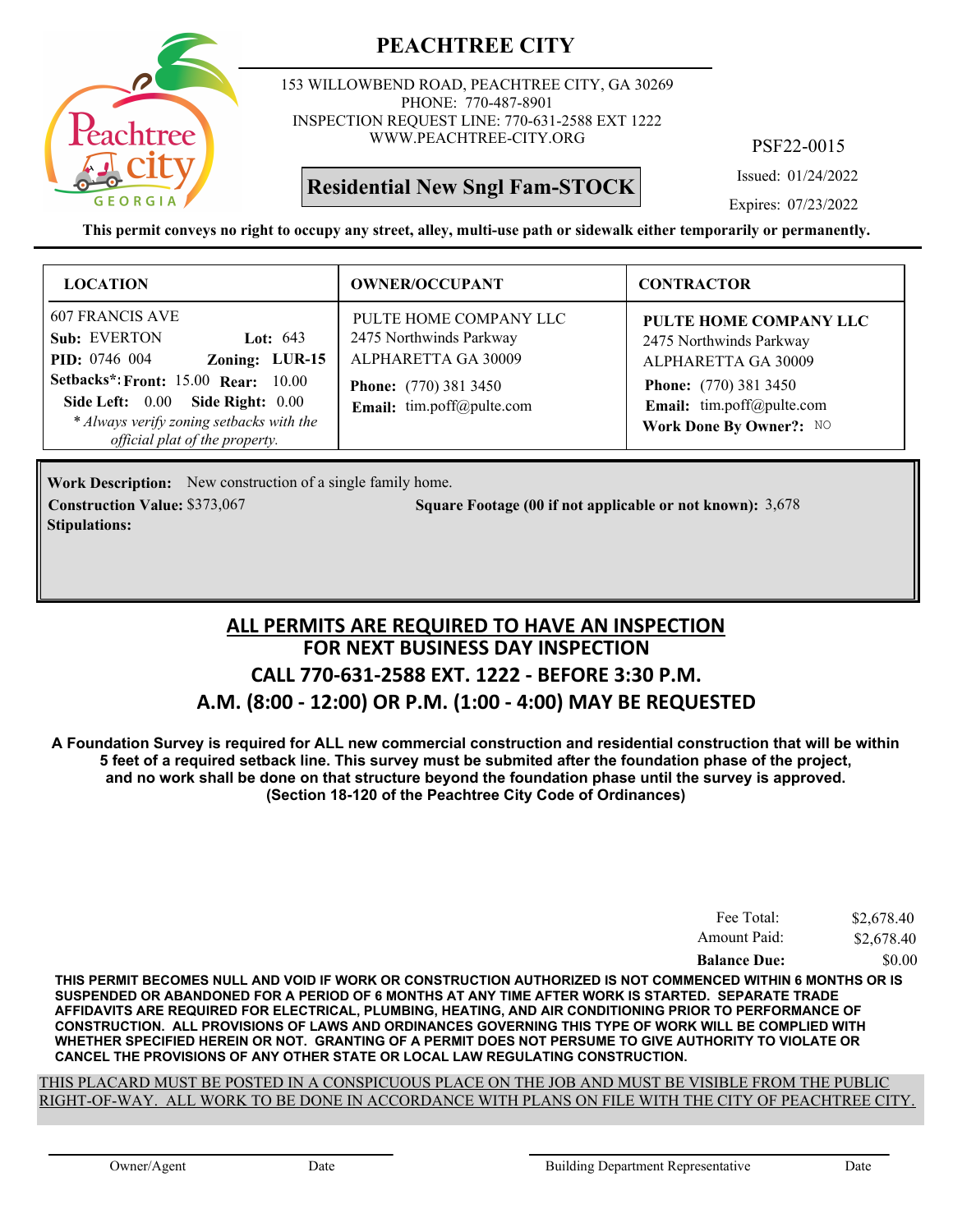

153 WILLOWBEND ROAD, PEACHTREE CITY, GA 30269 PHONE: 770-487-8901 INSPECTION REQUEST LINE: 770-631-2588 EXT 1222 WWW.PEACHTREE-CITY.ORG

# **Residential New Sngl Fam-STOCK**

PSF22-0015

Issued: 01/24/2022

Expires: 07/23/2022

**This permit conveys no right to occupy any street, alley, multi-use path or sidewalk either temporarily or permanently.**

| <b>LOCATION</b>                                                                                                                                                                                                                                         | <b>OWNER/OCCUPANT</b>                                                                                                                 | <b>CONTRACTOR</b>                                                                                                                                                |
|---------------------------------------------------------------------------------------------------------------------------------------------------------------------------------------------------------------------------------------------------------|---------------------------------------------------------------------------------------------------------------------------------------|------------------------------------------------------------------------------------------------------------------------------------------------------------------|
| 607 FRANCIS AVE<br>Sub: EVERTON<br>Lot: $643$<br><b>PID:</b> 0746 004<br>Zoning: LUR-15<br><b>Setbacks*: Front: 15.00 Rear: 10.00</b><br>Side Left: 0.00 Side Right: 0.00<br>* Always verify zoning setbacks with the<br>official plat of the property. | PULTE HOME COMPANY LLC<br>2475 Northwinds Parkway<br>ALPHARETTA GA 30009<br><b>Phone:</b> (770) 381 3450<br>Email: tim.poff@pulte.com | PULTE HOME COMPANY LLC<br>2475 Northwinds Parkway<br>ALPHARETTA GA 30009<br><b>Phone:</b> (770) 381 3450<br>Email: tim.poff@pulte.com<br>Work Done By Owner?: NO |

Work Description: New construction of a single family home. **Construction Value:** \$373,067 5,678 **Square Footage (00 if not applicable or not known):** 3,678 **Stipulations:**

# **FOR NEXT BUSINESS DAY INSPECTION CALL 770-631-2588 EXT. 1222 - BEFORE 3:30 P.M. ALL PERMITS ARE REQUIRED TO HAVE AN INSPECTION**

#### **A.M. (8:00 - 12:00) OR P.M. (1:00 - 4:00) MAY BE REQUESTED**

**A Foundation Survey is required for ALL new commercial construction and residential construction that will be within 5 feet of a required setback line. This survey must be submited after the foundation phase of the project, and no work shall be done on that structure beyond the foundation phase until the survey is approved. (Section 18-120 of the Peachtree City Code of Ordinances)**

| <b>Balance Due:</b> | \$0.00     |
|---------------------|------------|
| Amount Paid:        | \$2,678.40 |
| Fee Total:          | \$2,678.40 |

**THIS PERMIT BECOMES NULL AND VOID IF WORK OR CONSTRUCTION AUTHORIZED IS NOT COMMENCED WITHIN 6 MONTHS OR IS SUSPENDED OR ABANDONED FOR A PERIOD OF 6 MONTHS AT ANY TIME AFTER WORK IS STARTED. SEPARATE TRADE AFFIDAVITS ARE REQUIRED FOR ELECTRICAL, PLUMBING, HEATING, AND AIR CONDITIONING PRIOR TO PERFORMANCE OF CONSTRUCTION. ALL PROVISIONS OF LAWS AND ORDINANCES GOVERNING THIS TYPE OF WORK WILL BE COMPLIED WITH WHETHER SPECIFIED HEREIN OR NOT. GRANTING OF A PERMIT DOES NOT PERSUME TO GIVE AUTHORITY TO VIOLATE OR CANCEL THE PROVISIONS OF ANY OTHER STATE OR LOCAL LAW REGULATING CONSTRUCTION.**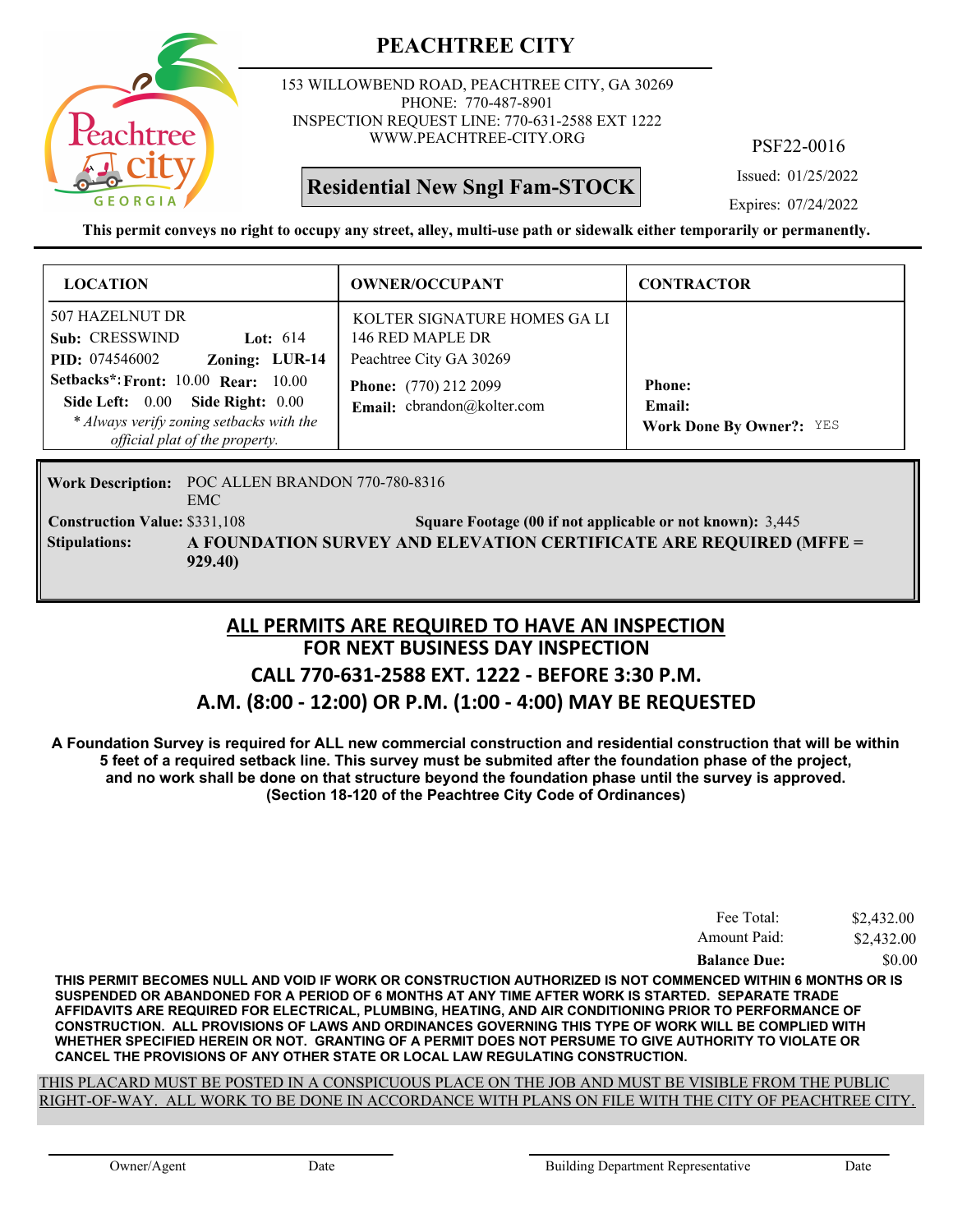

153 WILLOWBEND ROAD, PEACHTREE CITY, GA 30269 PHONE: 770-487-8901 INSPECTION REQUEST LINE: 770-631-2588 EXT 1222 WWW.PEACHTREE-CITY.ORG

**Residential New Sngl Fam-STOCK**

PSF22-0016

Issued: 01/25/2022

Expires: 07/24/2022

**This permit conveys no right to occupy any street, alley, multi-use path or sidewalk either temporarily or permanently.**

| <b>LOCATION</b>                                                                                                                                           | <b>OWNER/OCCUPANT</b>                                                       | <b>CONTRACTOR</b>                                          |
|-----------------------------------------------------------------------------------------------------------------------------------------------------------|-----------------------------------------------------------------------------|------------------------------------------------------------|
| 507 HAZELNUT DR<br>Sub: CRESSWIND<br>Lot: $614$<br>Zoning: LUR-14<br><b>PID:</b> 074546002                                                                | KOLTER SIGNATURE HOMES GA LI<br>146 RED MAPLE DR<br>Peachtree City GA 30269 |                                                            |
| Setbacks*: Front: $10.00$ Rear: $10.00$<br>Side Left: 0.00 Side Right: 0.00<br>* Always verify zoning setbacks with the<br>official plat of the property. | Phone: (770) 212 2099<br>Email: cbrandon@kolter.com                         | <b>Phone:</b><br>Email:<br><b>Work Done By Owner?: YES</b> |

Work Description: POC ALLEN BRANDON 770-780-8316 EMC **Construction Value:** \$331,108 **Square Footage (00 if not applicable or not known):** 3,445 **A FOUNDATION SURVEY AND ELEVATION CERTIFICATE ARE REQUIRED (MFFE = 929.40) Stipulations:**

#### **FOR NEXT BUSINESS DAY INSPECTION CALL 770-631-2588 EXT. 1222 - BEFORE 3:30 P.M. A.M. (8:00 - 12:00) OR P.M. (1:00 - 4:00) MAY BE REQUESTED ALL PERMITS ARE REQUIRED TO HAVE AN INSPECTION**

**A Foundation Survey is required for ALL new commercial construction and residential construction that will be within 5 feet of a required setback line. This survey must be submited after the foundation phase of the project, and no work shall be done on that structure beyond the foundation phase until the survey is approved. (Section 18-120 of the Peachtree City Code of Ordinances)**

| Fee Total:          | \$2,432.00 |
|---------------------|------------|
| Amount Paid:        | \$2,432.00 |
| <b>Balance Due:</b> | \$0.00     |

**THIS PERMIT BECOMES NULL AND VOID IF WORK OR CONSTRUCTION AUTHORIZED IS NOT COMMENCED WITHIN 6 MONTHS OR IS SUSPENDED OR ABANDONED FOR A PERIOD OF 6 MONTHS AT ANY TIME AFTER WORK IS STARTED. SEPARATE TRADE AFFIDAVITS ARE REQUIRED FOR ELECTRICAL, PLUMBING, HEATING, AND AIR CONDITIONING PRIOR TO PERFORMANCE OF CONSTRUCTION. ALL PROVISIONS OF LAWS AND ORDINANCES GOVERNING THIS TYPE OF WORK WILL BE COMPLIED WITH WHETHER SPECIFIED HEREIN OR NOT. GRANTING OF A PERMIT DOES NOT PERSUME TO GIVE AUTHORITY TO VIOLATE OR CANCEL THE PROVISIONS OF ANY OTHER STATE OR LOCAL LAW REGULATING CONSTRUCTION.**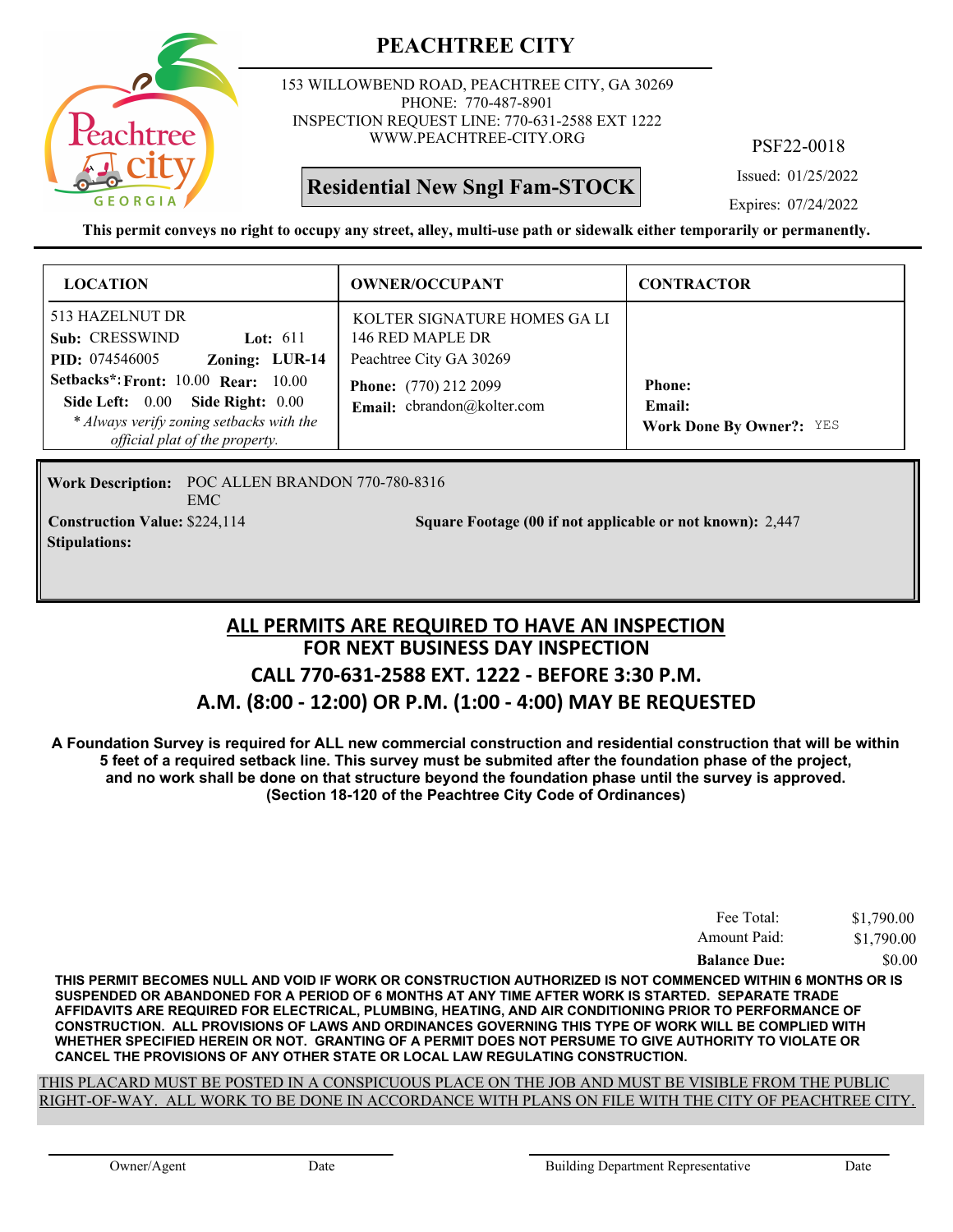

153 WILLOWBEND ROAD, PEACHTREE CITY, GA 30269 PHONE: 770-487-8901 INSPECTION REQUEST LINE: 770-631-2588 EXT 1222 WWW.PEACHTREE-CITY.ORG

**Residential New Sngl Fam-STOCK**

PSF22-0018

Issued: 01/25/2022

Expires: 07/24/2022

**This permit conveys no right to occupy any street, alley, multi-use path or sidewalk either temporarily or permanently.**

| <b>LOCATION</b>                                                                                                                                              | <b>OWNER/OCCUPANT</b>                                                       | <b>CONTRACTOR</b>                                          |
|--------------------------------------------------------------------------------------------------------------------------------------------------------------|-----------------------------------------------------------------------------|------------------------------------------------------------|
| 513 HAZELNUT DR<br>Sub: CRESSWIND<br>Lot: $611$<br>Zoning: LUR-14<br><b>PID:</b> 074546005                                                                   | KOLTER SIGNATURE HOMES GA LI<br>146 RED MAPLE DR<br>Peachtree City GA 30269 |                                                            |
| <b>Setbacks*: Front: 10.00 Rear: 10.00</b><br>Side Left: 0.00 Side Right: 0.00<br>* Always verify zoning setbacks with the<br>official plat of the property. | Phone: (770) 212 2099<br>Email: cbrandon@kolter.com                         | <b>Phone:</b><br>Email:<br><b>Work Done By Owner?: YES</b> |

Work Description: POC ALLEN BRANDON 770-780-8316 EMC **Construction Value:** \$224,114 2,447 **Square Footage (00 if not applicable or not known):** 2,447 **Stipulations:**

#### **FOR NEXT BUSINESS DAY INSPECTION CALL 770-631-2588 EXT. 1222 - BEFORE 3:30 P.M. A.M. (8:00 - 12:00) OR P.M. (1:00 - 4:00) MAY BE REQUESTED ALL PERMITS ARE REQUIRED TO HAVE AN INSPECTION**

**A Foundation Survey is required for ALL new commercial construction and residential construction that will be within 5 feet of a required setback line. This survey must be submited after the foundation phase of the project, and no work shall be done on that structure beyond the foundation phase until the survey is approved. (Section 18-120 of the Peachtree City Code of Ordinances)**

| Fee Total:          | \$1,790.00 |
|---------------------|------------|
| Amount Paid:        | \$1,790.00 |
| <b>Balance Due:</b> | \$0.00     |

**THIS PERMIT BECOMES NULL AND VOID IF WORK OR CONSTRUCTION AUTHORIZED IS NOT COMMENCED WITHIN 6 MONTHS OR IS SUSPENDED OR ABANDONED FOR A PERIOD OF 6 MONTHS AT ANY TIME AFTER WORK IS STARTED. SEPARATE TRADE AFFIDAVITS ARE REQUIRED FOR ELECTRICAL, PLUMBING, HEATING, AND AIR CONDITIONING PRIOR TO PERFORMANCE OF CONSTRUCTION. ALL PROVISIONS OF LAWS AND ORDINANCES GOVERNING THIS TYPE OF WORK WILL BE COMPLIED WITH WHETHER SPECIFIED HEREIN OR NOT. GRANTING OF A PERMIT DOES NOT PERSUME TO GIVE AUTHORITY TO VIOLATE OR CANCEL THE PROVISIONS OF ANY OTHER STATE OR LOCAL LAW REGULATING CONSTRUCTION.**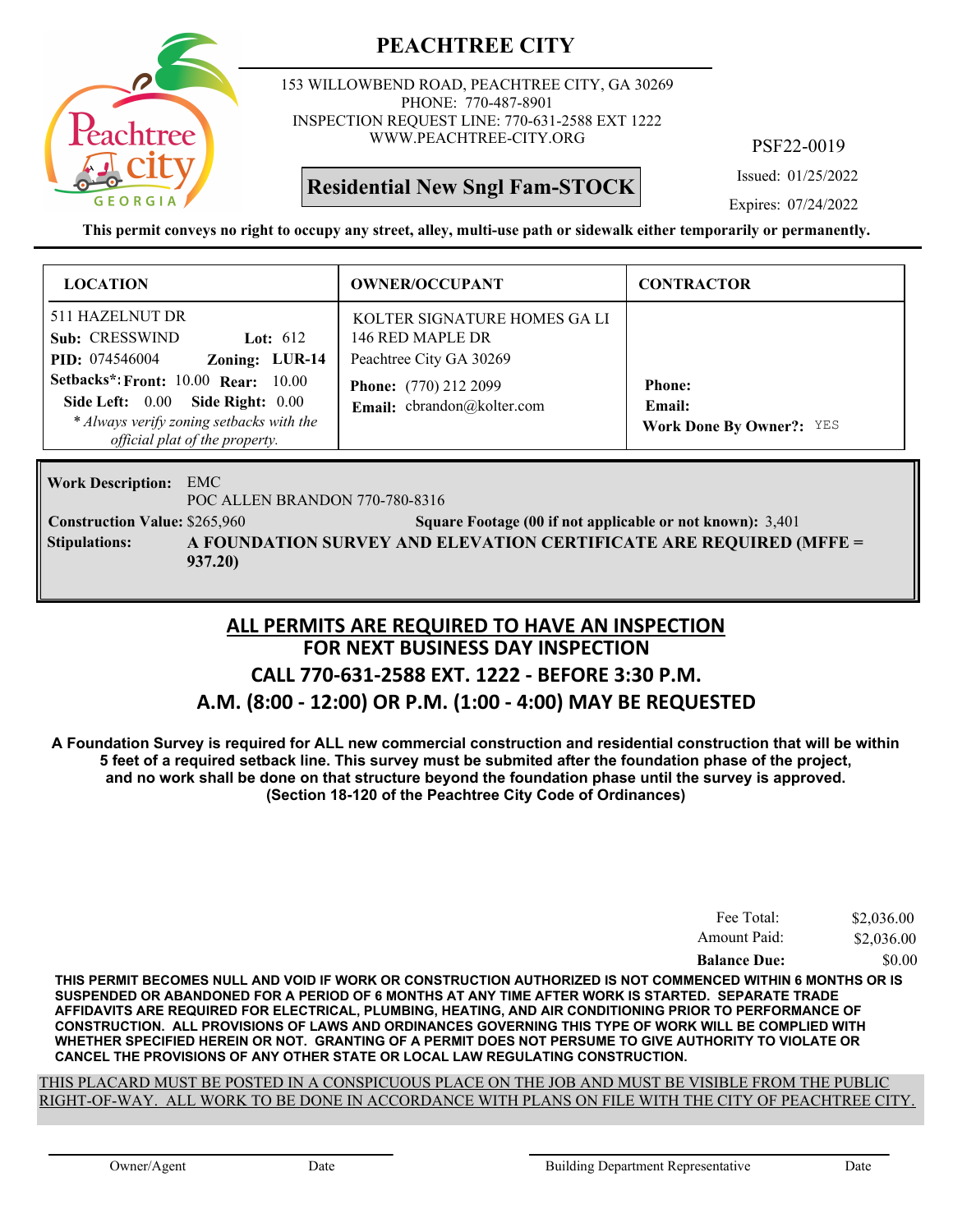

153 WILLOWBEND ROAD, PEACHTREE CITY, GA 30269 PHONE: 770-487-8901 INSPECTION REQUEST LINE: 770-631-2588 EXT 1222 WWW.PEACHTREE-CITY.ORG

PSF22-0019

Issued: 01/25/2022

Expires: 07/24/2022

**This permit conveys no right to occupy any street, alley, multi-use path or sidewalk either temporarily or permanently.**

**Residential New Sngl Fam-STOCK**

| <b>LOCATION</b>                                                                                                                                              | <b>OWNER/OCCUPANT</b>                                                       | <b>CONTRACTOR</b>                                          |
|--------------------------------------------------------------------------------------------------------------------------------------------------------------|-----------------------------------------------------------------------------|------------------------------------------------------------|
| 511 HAZELNUT DR<br>Sub: CRESSWIND<br>Lot: $612$<br>Zoning: LUR-14<br><b>PID:</b> 074546004                                                                   | KOLTER SIGNATURE HOMES GA LI<br>146 RED MAPLE DR<br>Peachtree City GA 30269 |                                                            |
| <b>Setbacks*: Front: 10.00 Rear: 10.00</b><br>Side Left: 0.00 Side Right: 0.00<br>* Always verify zoning setbacks with the<br>official plat of the property. | <b>Phone:</b> (770) 212 2099<br>Email: cbrandon@kolter.com                  | <b>Phone:</b><br>Email:<br><b>Work Done By Owner?: YES</b> |

EMC **Work Description:**

POC ALLEN BRANDON 770-780-8316

**Construction Value:** \$265,960 3,401 Square Footage (00 if not applicable or not known): 3,401 **A FOUNDATION SURVEY AND ELEVATION CERTIFICATE ARE REQUIRED (MFFE = 937.20) Stipulations:**

#### **FOR NEXT BUSINESS DAY INSPECTION CALL 770-631-2588 EXT. 1222 - BEFORE 3:30 P.M. A.M. (8:00 - 12:00) OR P.M. (1:00 - 4:00) MAY BE REQUESTED ALL PERMITS ARE REQUIRED TO HAVE AN INSPECTION**

**A Foundation Survey is required for ALL new commercial construction and residential construction that will be within 5 feet of a required setback line. This survey must be submited after the foundation phase of the project, and no work shall be done on that structure beyond the foundation phase until the survey is approved. (Section 18-120 of the Peachtree City Code of Ordinances)**

| Fee Total:          | \$2,036.00 |
|---------------------|------------|
| Amount Paid:        | \$2,036.00 |
| <b>Balance Due:</b> | \$0.00     |

**THIS PERMIT BECOMES NULL AND VOID IF WORK OR CONSTRUCTION AUTHORIZED IS NOT COMMENCED WITHIN 6 MONTHS OR IS SUSPENDED OR ABANDONED FOR A PERIOD OF 6 MONTHS AT ANY TIME AFTER WORK IS STARTED. SEPARATE TRADE AFFIDAVITS ARE REQUIRED FOR ELECTRICAL, PLUMBING, HEATING, AND AIR CONDITIONING PRIOR TO PERFORMANCE OF CONSTRUCTION. ALL PROVISIONS OF LAWS AND ORDINANCES GOVERNING THIS TYPE OF WORK WILL BE COMPLIED WITH WHETHER SPECIFIED HEREIN OR NOT. GRANTING OF A PERMIT DOES NOT PERSUME TO GIVE AUTHORITY TO VIOLATE OR CANCEL THE PROVISIONS OF ANY OTHER STATE OR LOCAL LAW REGULATING CONSTRUCTION.**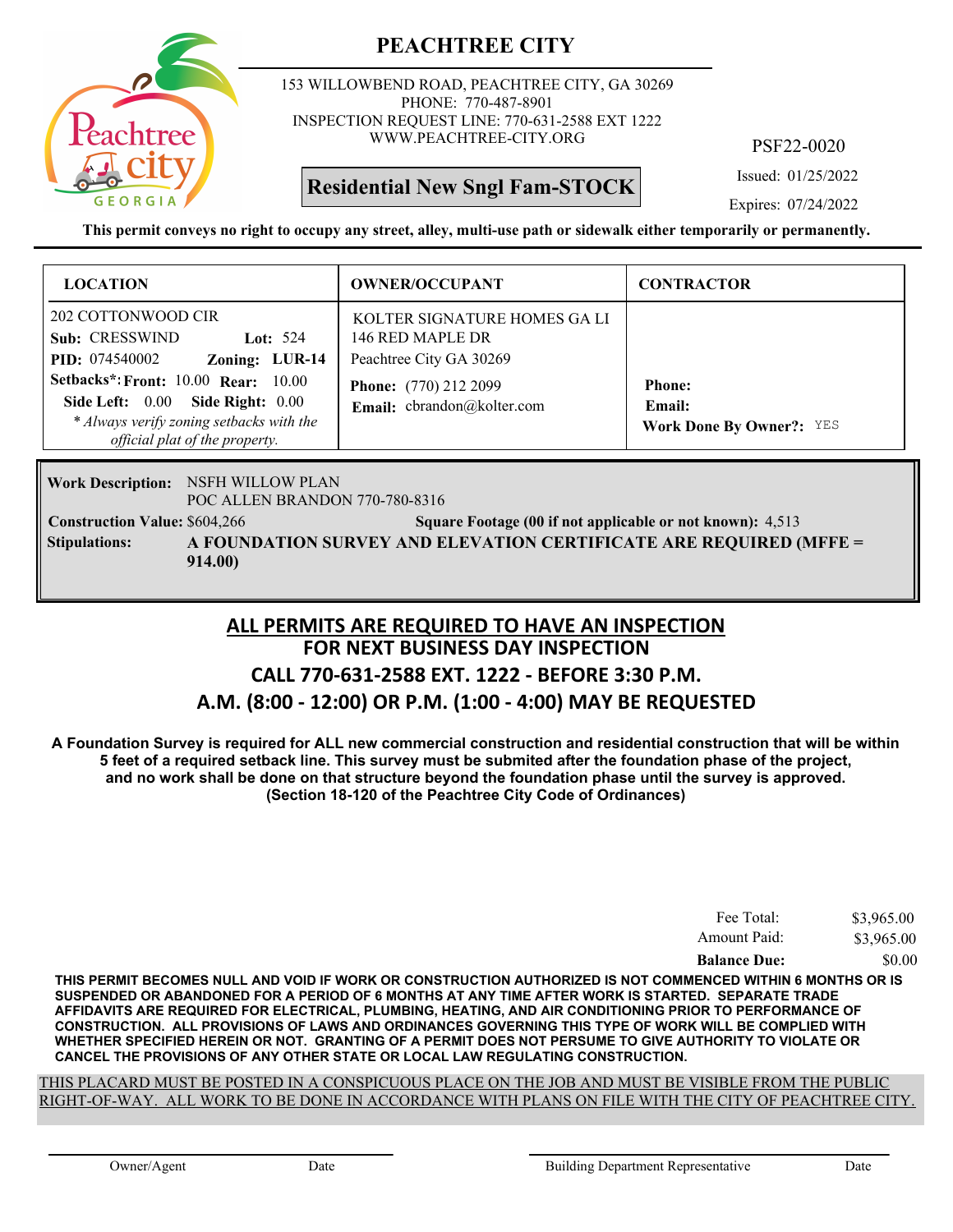

153 WILLOWBEND ROAD, PEACHTREE CITY, GA 30269 PHONE: 770-487-8901 INSPECTION REQUEST LINE: 770-631-2588 EXT 1222 WWW.PEACHTREE-CITY.ORG

**Residential New Sngl Fam-STOCK**

PSF22-0020

Issued: 01/25/2022

Expires: 07/24/2022

**This permit conveys no right to occupy any street, alley, multi-use path or sidewalk either temporarily or permanently.**

| <b>LOCATION</b>                                                                                                                                           | <b>OWNER/OCCUPANT</b>                                                       | <b>CONTRACTOR</b>                                          |
|-----------------------------------------------------------------------------------------------------------------------------------------------------------|-----------------------------------------------------------------------------|------------------------------------------------------------|
| 202 COTTONWOOD CIR<br>Sub: CRESSWIND<br>Lot: $524$<br>Zoning: LUR-14<br><b>PID:</b> 074540002                                                             | KOLTER SIGNATURE HOMES GA LI<br>146 RED MAPLE DR<br>Peachtree City GA 30269 |                                                            |
| Setbacks*: Front: $10.00$ Rear: $10.00$<br>Side Left: 0.00 Side Right: 0.00<br>* Always verify zoning setbacks with the<br>official plat of the property. | <b>Phone:</b> (770) 212 2099<br>Email: cbrandon@kolter.com                  | <b>Phone:</b><br>Email:<br><b>Work Done By Owner?: YES</b> |

**Work Description: NSFH WILLOW PLAN** POC ALLEN BRANDON 770-780-8316

**Construction Value:** \$604,266 500 Square Footage (00 if not applicable or not known): 4,513 **A FOUNDATION SURVEY AND ELEVATION CERTIFICATE ARE REQUIRED (MFFE = 914.00) Stipulations:**

#### **FOR NEXT BUSINESS DAY INSPECTION CALL 770-631-2588 EXT. 1222 - BEFORE 3:30 P.M. A.M. (8:00 - 12:00) OR P.M. (1:00 - 4:00) MAY BE REQUESTED ALL PERMITS ARE REQUIRED TO HAVE AN INSPECTION**

**A Foundation Survey is required for ALL new commercial construction and residential construction that will be within 5 feet of a required setback line. This survey must be submited after the foundation phase of the project,**

**and no work shall be done on that structure beyond the foundation phase until the survey is approved. (Section 18-120 of the Peachtree City Code of Ordinances)**

| Fee Total:          | \$3,965.00 |
|---------------------|------------|
| Amount Paid:        | \$3,965.00 |
| <b>Balance Due:</b> | \$0.00     |

**THIS PERMIT BECOMES NULL AND VOID IF WORK OR CONSTRUCTION AUTHORIZED IS NOT COMMENCED WITHIN 6 MONTHS OR IS SUSPENDED OR ABANDONED FOR A PERIOD OF 6 MONTHS AT ANY TIME AFTER WORK IS STARTED. SEPARATE TRADE AFFIDAVITS ARE REQUIRED FOR ELECTRICAL, PLUMBING, HEATING, AND AIR CONDITIONING PRIOR TO PERFORMANCE OF CONSTRUCTION. ALL PROVISIONS OF LAWS AND ORDINANCES GOVERNING THIS TYPE OF WORK WILL BE COMPLIED WITH WHETHER SPECIFIED HEREIN OR NOT. GRANTING OF A PERMIT DOES NOT PERSUME TO GIVE AUTHORITY TO VIOLATE OR CANCEL THE PROVISIONS OF ANY OTHER STATE OR LOCAL LAW REGULATING CONSTRUCTION.**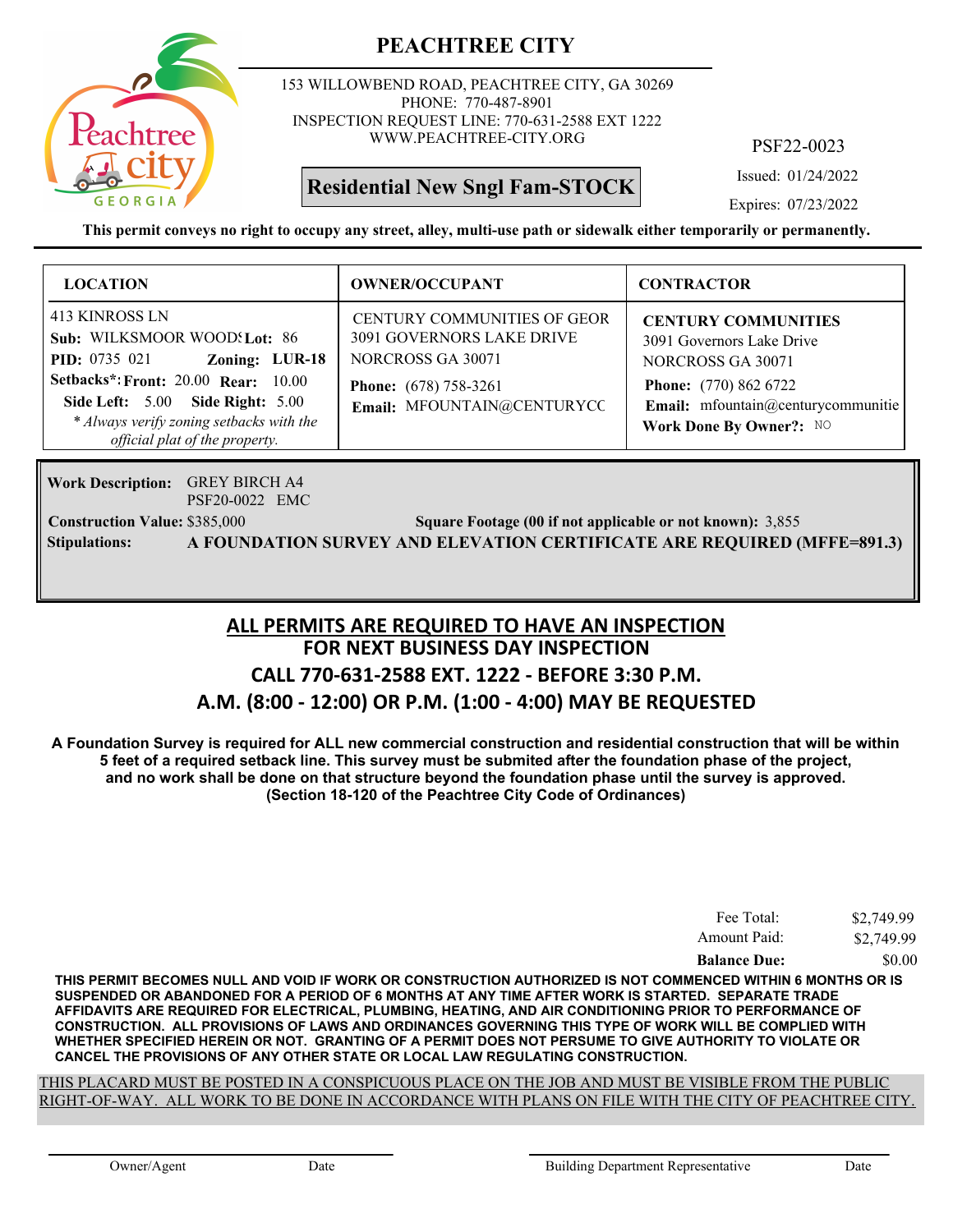

153 WILLOWBEND ROAD, PEACHTREE CITY, GA 30269 PHONE: 770-487-8901 INSPECTION REQUEST LINE: 770-631-2588 EXT 1222 WWW.PEACHTREE-CITY.ORG

**Residential New Sngl Fam-STOCK**

PSF22-0023

Issued: 01/24/2022

Expires: 07/23/2022

**This permit conveys no right to occupy any street, alley, multi-use path or sidewalk either temporarily or permanently.**

| <b>LOCATION</b>                                                                                                                                                                                                                                          | <b>OWNER/OCCUPANT</b>                                                                                                                                     | <b>CONTRACTOR</b>                                                                                                                                                             |
|----------------------------------------------------------------------------------------------------------------------------------------------------------------------------------------------------------------------------------------------------------|-----------------------------------------------------------------------------------------------------------------------------------------------------------|-------------------------------------------------------------------------------------------------------------------------------------------------------------------------------|
| 413 KINROSS LN<br>Sub: WILKSMOOR WOOD! Lot: 86<br><b>PID:</b> 0735 021<br>Zoning: LUR-18<br><b>Setbacks*: Front: 20.00 Rear: 10.00</b><br>Side Left: 5.00 Side Right: 5.00<br>* Always verify zoning setbacks with the<br>official plat of the property. | <b>CENTURY COMMUNITIES OF GEOR</b><br><b>3091 GOVERNORS LAKE DRIVE</b><br>NORCROSS GA 30071<br><b>Phone:</b> (678) 758-3261<br>Email: MFOUNTAIN@CENTURYCC | <b>CENTURY COMMUNITIES</b><br>3091 Governors Lake Drive<br>NORCROSS GA 30071<br><b>Phone:</b> (770) 862 6722<br>Email: mfountain@centurycommunitie<br>Work Done By Owner?: NO |

GREY BIRCH A4 **Work Description:** PSF20-0022 EMC

**Construction Value:** \$385,000 3,855 Square Footage (00 if not applicable or not known): 3,855 **Stipulations: A FOUNDATION SURVEY AND ELEVATION CERTIFICATE ARE REQUIRED (MFFE=891.3)**

#### **FOR NEXT BUSINESS DAY INSPECTION CALL 770-631-2588 EXT. 1222 - BEFORE 3:30 P.M. A.M. (8:00 - 12:00) OR P.M. (1:00 - 4:00) MAY BE REQUESTED ALL PERMITS ARE REQUIRED TO HAVE AN INSPECTION**

**A Foundation Survey is required for ALL new commercial construction and residential construction that will be within 5 feet of a required setback line. This survey must be submited after the foundation phase of the project, and no work shall be done on that structure beyond the foundation phase until the survey is approved. (Section 18-120 of the Peachtree City Code of Ordinances)**

| Fee Total:          | \$2,749.99 |
|---------------------|------------|
| Amount Paid:        | \$2,749.99 |
| <b>Balance Due:</b> | \$0.00     |

**THIS PERMIT BECOMES NULL AND VOID IF WORK OR CONSTRUCTION AUTHORIZED IS NOT COMMENCED WITHIN 6 MONTHS OR IS SUSPENDED OR ABANDONED FOR A PERIOD OF 6 MONTHS AT ANY TIME AFTER WORK IS STARTED. SEPARATE TRADE AFFIDAVITS ARE REQUIRED FOR ELECTRICAL, PLUMBING, HEATING, AND AIR CONDITIONING PRIOR TO PERFORMANCE OF CONSTRUCTION. ALL PROVISIONS OF LAWS AND ORDINANCES GOVERNING THIS TYPE OF WORK WILL BE COMPLIED WITH WHETHER SPECIFIED HEREIN OR NOT. GRANTING OF A PERMIT DOES NOT PERSUME TO GIVE AUTHORITY TO VIOLATE OR CANCEL THE PROVISIONS OF ANY OTHER STATE OR LOCAL LAW REGULATING CONSTRUCTION.**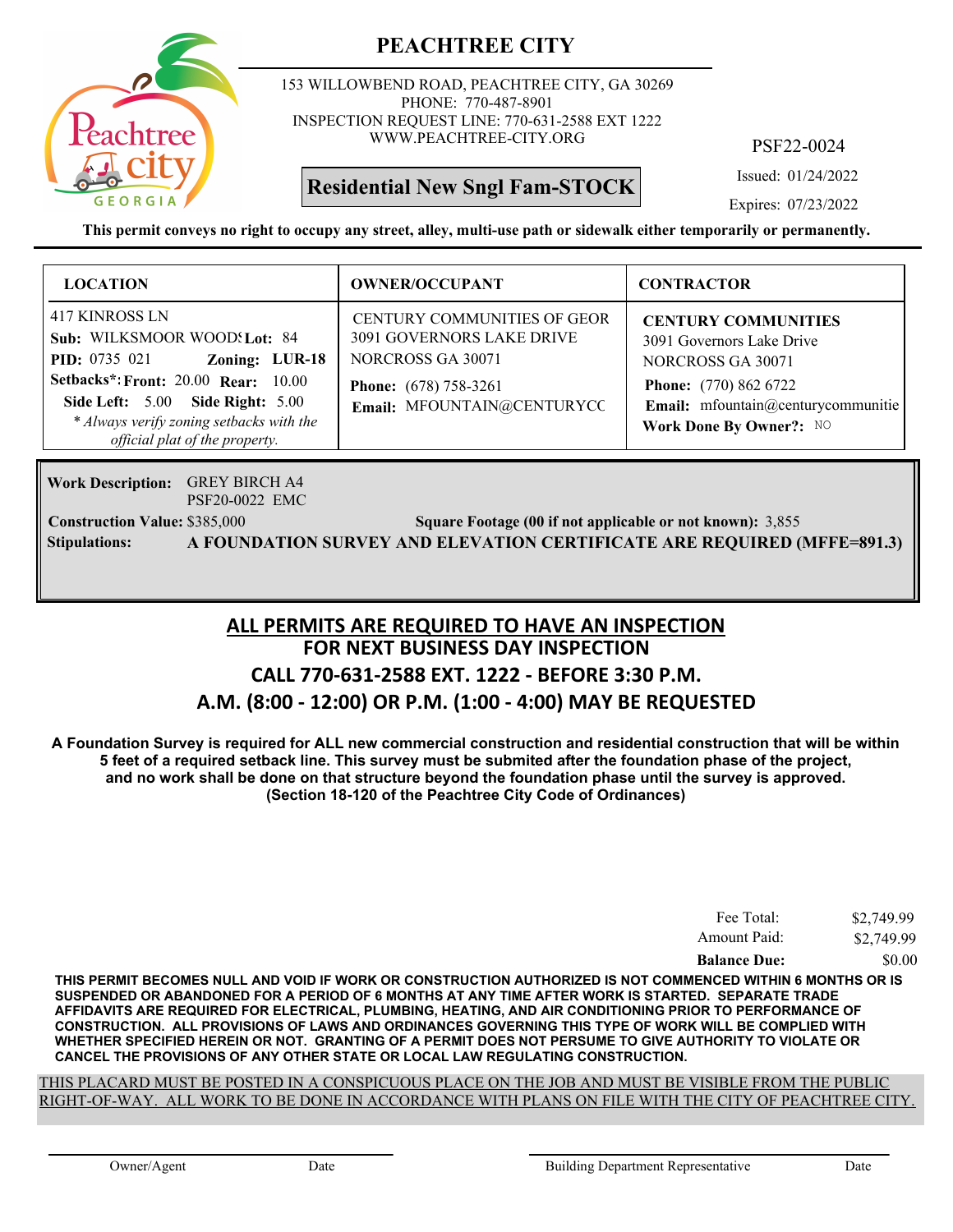

153 WILLOWBEND ROAD, PEACHTREE CITY, GA 30269 PHONE: 770-487-8901 INSPECTION REQUEST LINE: 770-631-2588 EXT 1222 WWW.PEACHTREE-CITY.ORG

**Residential New Sngl Fam-STOCK**

PSF22-0024

Issued: 01/24/2022

Expires: 07/23/2022

**This permit conveys no right to occupy any street, alley, multi-use path or sidewalk either temporarily or permanently.**

| <b>LOCATION</b>                                                                                                                                                                                                                                          | <b>OWNER/OCCUPANT</b>                                                                                                                                     | <b>CONTRACTOR</b>                                                                                                                                                             |
|----------------------------------------------------------------------------------------------------------------------------------------------------------------------------------------------------------------------------------------------------------|-----------------------------------------------------------------------------------------------------------------------------------------------------------|-------------------------------------------------------------------------------------------------------------------------------------------------------------------------------|
| 417 KINROSS LN<br>Sub: WILKSMOOR WOOD! Lot: 84<br>Zoning: LUR-18<br><b>PID:</b> 0735 021<br><b>Setbacks*: Front: 20.00 Rear: 10.00</b><br>Side Left: 5.00 Side Right: 5.00<br>* Always verify zoning setbacks with the<br>official plat of the property. | <b>CENTURY COMMUNITIES OF GEOR</b><br><b>3091 GOVERNORS LAKE DRIVE</b><br>NORCROSS GA 30071<br><b>Phone:</b> (678) 758-3261<br>Email: MFOUNTAIN@CENTURYCC | <b>CENTURY COMMUNITIES</b><br>3091 Governors Lake Drive<br>NORCROSS GA 30071<br><b>Phone:</b> (770) 862 6722<br>Email: mfountain@centurycommunitie<br>Work Done By Owner?: NO |

GREY BIRCH A4 **Work Description:** PSF20-0022 EMC

**Construction Value:** \$385,000 3,855 Square Footage (00 if not applicable or not known): 3,855 **Stipulations: A FOUNDATION SURVEY AND ELEVATION CERTIFICATE ARE REQUIRED (MFFE=891.3)**

#### **FOR NEXT BUSINESS DAY INSPECTION CALL 770-631-2588 EXT. 1222 - BEFORE 3:30 P.M. A.M. (8:00 - 12:00) OR P.M. (1:00 - 4:00) MAY BE REQUESTED ALL PERMITS ARE REQUIRED TO HAVE AN INSPECTION**

**A Foundation Survey is required for ALL new commercial construction and residential construction that will be within 5 feet of a required setback line. This survey must be submited after the foundation phase of the project, and no work shall be done on that structure beyond the foundation phase until the survey is approved. (Section 18-120 of the Peachtree City Code of Ordinances)**

| Fee Total:          | \$2,749.99 |
|---------------------|------------|
| Amount Paid:        | \$2,749.99 |
| <b>Balance Due:</b> | \$0.00     |

**THIS PERMIT BECOMES NULL AND VOID IF WORK OR CONSTRUCTION AUTHORIZED IS NOT COMMENCED WITHIN 6 MONTHS OR IS SUSPENDED OR ABANDONED FOR A PERIOD OF 6 MONTHS AT ANY TIME AFTER WORK IS STARTED. SEPARATE TRADE AFFIDAVITS ARE REQUIRED FOR ELECTRICAL, PLUMBING, HEATING, AND AIR CONDITIONING PRIOR TO PERFORMANCE OF CONSTRUCTION. ALL PROVISIONS OF LAWS AND ORDINANCES GOVERNING THIS TYPE OF WORK WILL BE COMPLIED WITH WHETHER SPECIFIED HEREIN OR NOT. GRANTING OF A PERMIT DOES NOT PERSUME TO GIVE AUTHORITY TO VIOLATE OR CANCEL THE PROVISIONS OF ANY OTHER STATE OR LOCAL LAW REGULATING CONSTRUCTION.**